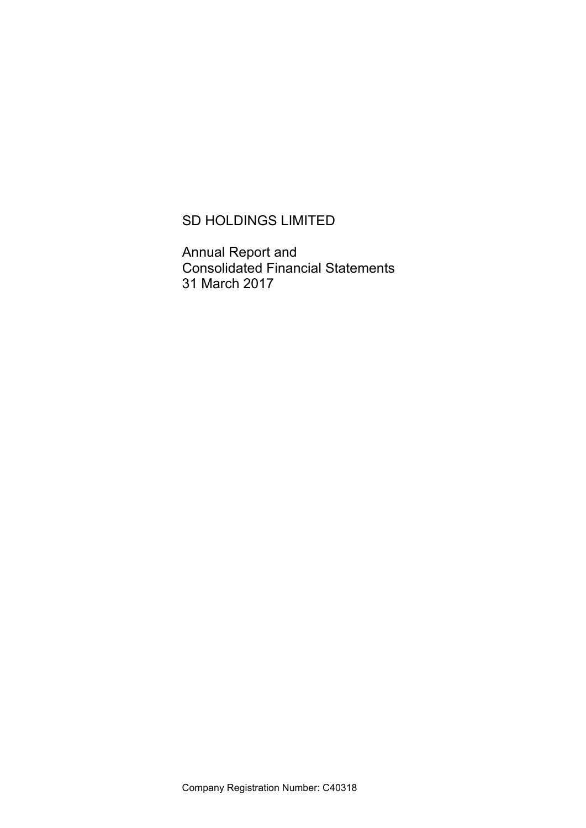# SD HOLDINGS LIMITED

Annual Report and Consolidated Financial Statements 31 March 2017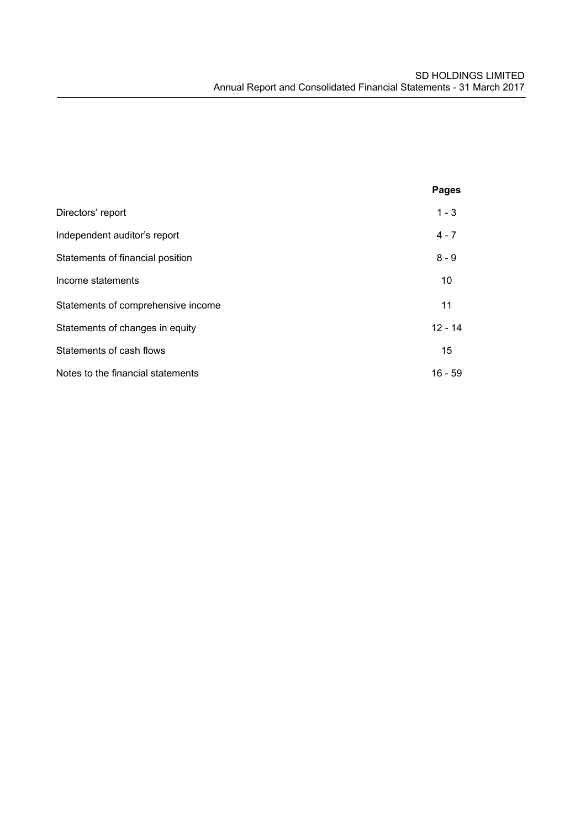|                                    | <b>Pages</b> |
|------------------------------------|--------------|
| Directors' report                  | $1 - 3$      |
| Independent auditor's report       | $4 - 7$      |
| Statements of financial position   | $8 - 9$      |
| Income statements                  | 10           |
| Statements of comprehensive income | 11           |
| Statements of changes in equity    | $12 - 14$    |
| Statements of cash flows           | 15           |
| Notes to the financial statements  | $16 - 59$    |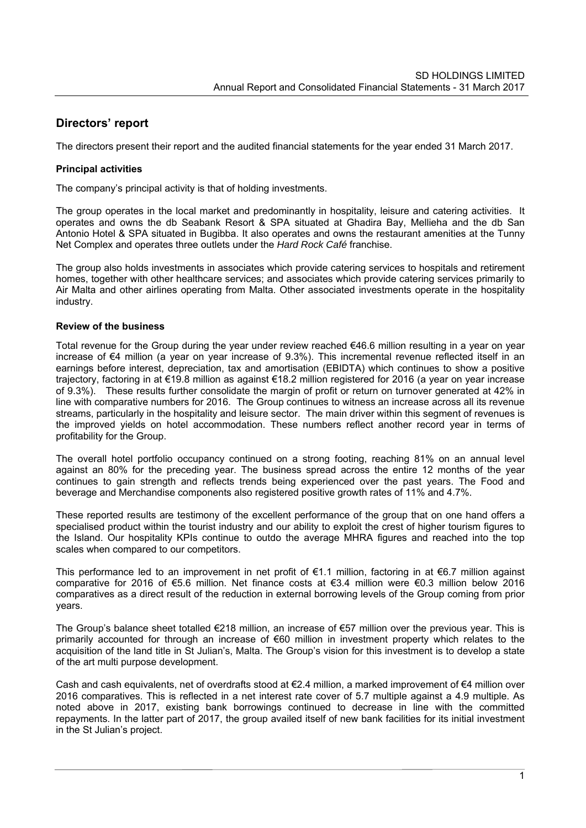# **Directors' report**

The directors present their report and the audited financial statements for the year ended 31 March 2017.

## **Principal activities**

The company's principal activity is that of holding investments.

The group operates in the local market and predominantly in hospitality, leisure and catering activities. It operates and owns the db Seabank Resort & SPA situated at Ghadira Bay, Mellieha and the db San Antonio Hotel & SPA situated in Bugibba. It also operates and owns the restaurant amenities at the Tunny Net Complex and operates three outlets under the *Hard Rock Café* franchise.

The group also holds investments in associates which provide catering services to hospitals and retirement homes, together with other healthcare services; and associates which provide catering services primarily to Air Malta and other airlines operating from Malta. Other associated investments operate in the hospitality industry.

### **Review of the business**

Total revenue for the Group during the year under review reached €46.6 million resulting in a year on year increase of €4 million (a year on year increase of 9.3%). This incremental revenue reflected itself in an earnings before interest, depreciation, tax and amortisation (EBIDTA) which continues to show a positive trajectory, factoring in at €19.8 million as against €18.2 million registered for 2016 (a year on year increase of 9.3%). These results further consolidate the margin of profit or return on turnover generated at 42% in line with comparative numbers for 2016. The Group continues to witness an increase across all its revenue streams, particularly in the hospitality and leisure sector. The main driver within this segment of revenues is the improved yields on hotel accommodation. These numbers reflect another record year in terms of profitability for the Group.

The overall hotel portfolio occupancy continued on a strong footing, reaching 81% on an annual level against an 80% for the preceding year. The business spread across the entire 12 months of the year continues to gain strength and reflects trends being experienced over the past years. The Food and beverage and Merchandise components also registered positive growth rates of 11% and 4.7%.

These reported results are testimony of the excellent performance of the group that on one hand offers a specialised product within the tourist industry and our ability to exploit the crest of higher tourism figures to the Island. Our hospitality KPIs continue to outdo the average MHRA figures and reached into the top scales when compared to our competitors.

This performance led to an improvement in net profit of €1.1 million, factoring in at €6.7 million against comparative for 2016 of €5.6 million. Net finance costs at €3.4 million were €0.3 million below 2016 comparatives as a direct result of the reduction in external borrowing levels of the Group coming from prior years.

The Group's balance sheet totalled €218 million, an increase of €57 million over the previous year. This is primarily accounted for through an increase of €60 million in investment property which relates to the acquisition of the land title in St Julian's, Malta. The Group's vision for this investment is to develop a state of the art multi purpose development.

Cash and cash equivalents, net of overdrafts stood at €2.4 million, a marked improvement of €4 million over 2016 comparatives. This is reflected in a net interest rate cover of 5.7 multiple against a 4.9 multiple. As noted above in 2017, existing bank borrowings continued to decrease in line with the committed repayments. In the latter part of 2017, the group availed itself of new bank facilities for its initial investment in the St Julian's project.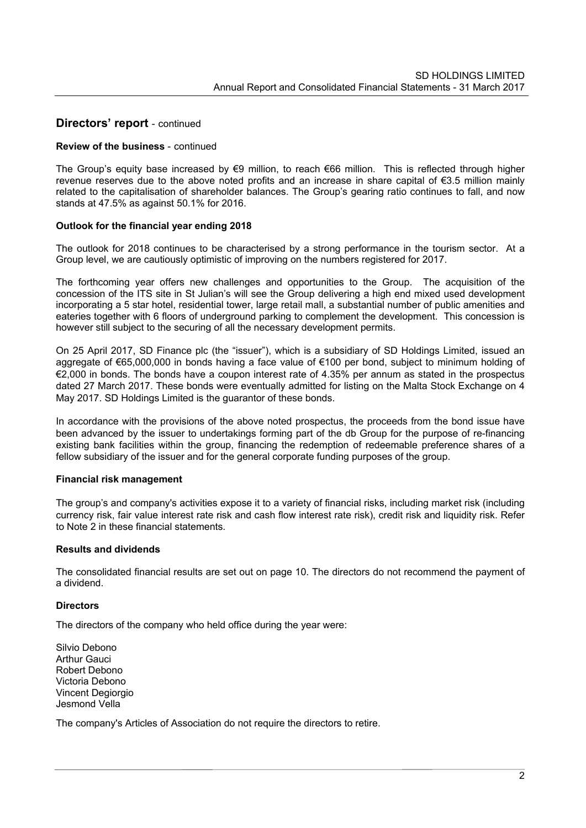# **Directors' report** - continued

## **Review of the business** - continued

The Group's equity base increased by €9 million, to reach €66 million. This is reflected through higher revenue reserves due to the above noted profits and an increase in share capital of €3.5 million mainly related to the capitalisation of shareholder balances. The Group's gearing ratio continues to fall, and now stands at 47.5% as against 50.1% for 2016.

### **Outlook for the financial year ending 2018**

The outlook for 2018 continues to be characterised by a strong performance in the tourism sector. At a Group level, we are cautiously optimistic of improving on the numbers registered for 2017.

The forthcoming year offers new challenges and opportunities to the Group. The acquisition of the concession of the ITS site in St Julian's will see the Group delivering a high end mixed used development incorporating a 5 star hotel, residential tower, large retail mall, a substantial number of public amenities and eateries together with 6 floors of underground parking to complement the development. This concession is however still subject to the securing of all the necessary development permits.

On 25 April 2017, SD Finance plc (the "issuer"), which is a subsidiary of SD Holdings Limited, issued an aggregate of €65,000,000 in bonds having a face value of €100 per bond, subject to minimum holding of €2,000 in bonds. The bonds have a coupon interest rate of 4.35% per annum as stated in the prospectus dated 27 March 2017. These bonds were eventually admitted for listing on the Malta Stock Exchange on 4 May 2017. SD Holdings Limited is the guarantor of these bonds.

In accordance with the provisions of the above noted prospectus, the proceeds from the bond issue have been advanced by the issuer to undertakings forming part of the db Group for the purpose of re-financing existing bank facilities within the group, financing the redemption of redeemable preference shares of a fellow subsidiary of the issuer and for the general corporate funding purposes of the group.

### **Financial risk management**

The group's and company's activities expose it to a variety of financial risks, including market risk (including currency risk, fair value interest rate risk and cash flow interest rate risk), credit risk and liquidity risk. Refer to Note 2 in these financial statements.

### **Results and dividends**

The consolidated financial results are set out on page 10. The directors do not recommend the payment of a dividend.

### **Directors**

The directors of the company who held office during the year were:

Silvio Debono Arthur Gauci Robert Debono Victoria Debono Vincent Degiorgio Jesmond Vella

The company's Articles of Association do not require the directors to retire.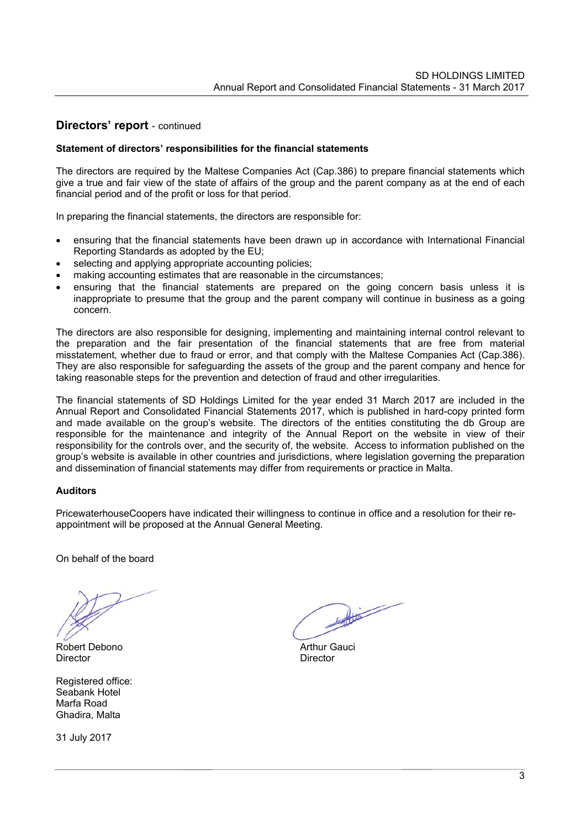# **Directors' report** - continued

## **Statement of directors' responsibilities for the financial statements**

The directors are required by the Maltese Companies Act (Cap.386) to prepare financial statements which give a true and fair view of the state of affairs of the group and the parent company as at the end of each financial period and of the profit or loss for that period.

In preparing the financial statements, the directors are responsible for:

- ensuring that the financial statements have been drawn up in accordance with International Financial Reporting Standards as adopted by the EU;
- selecting and applying appropriate accounting policies;
- making accounting estimates that are reasonable in the circumstances;
- ensuring that the financial statements are prepared on the going concern basis unless it is inappropriate to presume that the group and the parent company will continue in business as a going concern.

The directors are also responsible for designing, implementing and maintaining internal control relevant to the preparation and the fair presentation of the financial statements that are free from material misstatement, whether due to fraud or error, and that comply with the Maltese Companies Act (Cap.386). They are also responsible for safeguarding the assets of the group and the parent company and hence for taking reasonable steps for the prevention and detection of fraud and other irregularities.

The financial statements of SD Holdings Limited for the year ended 31 March 2017 are included in the Annual Report and Consolidated Financial Statements 2017, which is published in hard-copy printed form and made available on the group's website. The directors of the entities constituting the db Group are responsible for the maintenance and integrity of the Annual Report on the website in view of their responsibility for the controls over, and the security of, the website. Access to information published on the group's website is available in other countries and jurisdictions, where legislation governing the preparation and dissemination of financial statements may differ from requirements or practice in Malta.

### **Auditors**

PricewaterhouseCoopers have indicated their willingness to continue in office and a resolution for their reappointment will be proposed at the Annual General Meeting.

On behalf of the board

Robert Debono **Arthur Gauci** Director **Director** Director

Registered office: Seabank Hotel Marfa Road Ghadira, Malta

31 July 2017

 $\begin{picture}(20,20) \put(0,0){\vector(1,0){10}} \put(15,0){\vector(1,0){10}} \put(15,0){\vector(1,0){10}} \put(15,0){\vector(1,0){10}} \put(15,0){\vector(1,0){10}} \put(15,0){\vector(1,0){10}} \put(15,0){\vector(1,0){10}} \put(15,0){\vector(1,0){10}} \put(15,0){\vector(1,0){10}} \put(15,0){\vector(1,0){10}} \put(15,0){\vector(1,0){10}} \put(15,0){\vector(1$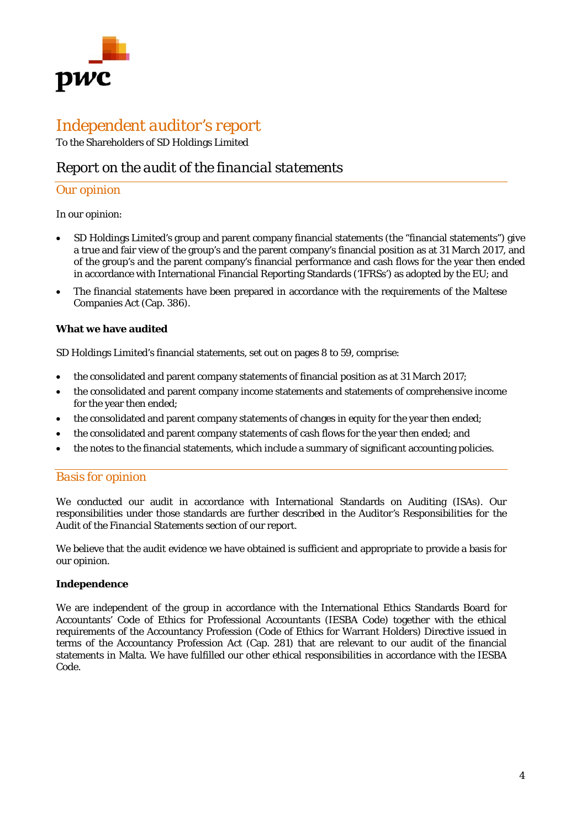

# *Independent auditor's report*

To the Shareholders of SD Holdings Limited

# *Report on the audit of the financial statements*

# *Our opinion*

In our opinion:

- SD Holdings Limited's group and parent company financial statements (the "financial statements") give a true and fair view of the group's and the parent company's financial position as at 31 March 2017, and of the group's and the parent company's financial performance and cash flows for the year then ended in accordance with International Financial Reporting Standards ('IFRSs') as adopted by the EU; and
- The financial statements have been prepared in accordance with the requirements of the Maltese Companies Act (Cap. 386).

# **What we have audited**

SD Holdings Limited's financial statements, set out on pages 8 to 59, comprise:

- the consolidated and parent company statements of financial position as at 31 March 2017;
- the consolidated and parent company income statements and statements of comprehensive income for the year then ended;
- the consolidated and parent company statements of changes in equity for the year then ended;
- the consolidated and parent company statements of cash flows for the year then ended; and
- the notes to the financial statements, which include a summary of significant accounting policies.

# *Basis for opinion*

We conducted our audit in accordance with International Standards on Auditing (ISAs). Our responsibilities under those standards are further described in the *Auditor's Responsibilities for the Audit of the Financial Statements* section of our report.

We believe that the audit evidence we have obtained is sufficient and appropriate to provide a basis for our opinion.

### **Independence**

We are independent of the group in accordance with the International Ethics Standards Board for Accountants' Code of Ethics for Professional Accountants (IESBA Code) together with the ethical requirements of the Accountancy Profession (Code of Ethics for Warrant Holders) Directive issued in terms of the Accountancy Profession Act (Cap. 281) that are relevant to our audit of the financial statements in Malta. We have fulfilled our other ethical responsibilities in accordance with the IESBA Code.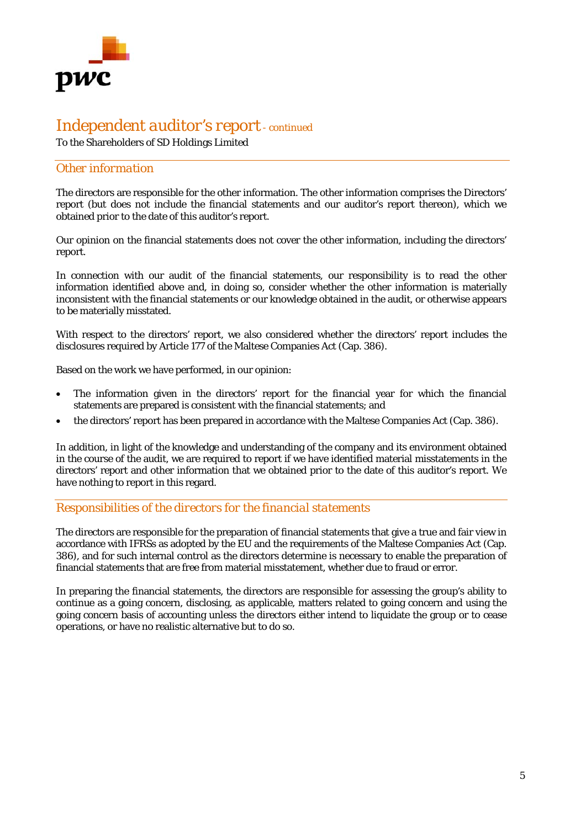

# *Independent auditor's report - continued*

To the Shareholders of SD Holdings Limited

# *Other information*

The directors are responsible for the other information. The other information comprises the Directors' report (but does not include the financial statements and our auditor's report thereon), which we obtained prior to the date of this auditor's report.

Our opinion on the financial statements does not cover the other information, including the directors' report.

In connection with our audit of the financial statements, our responsibility is to read the other information identified above and, in doing so, consider whether the other information is materially inconsistent with the financial statements or our knowledge obtained in the audit, or otherwise appears to be materially misstated.

With respect to the directors' report, we also considered whether the directors' report includes the disclosures required by Article 177 of the Maltese Companies Act (Cap. 386).

Based on the work we have performed, in our opinion:

- The information given in the directors' report for the financial year for which the financial statements are prepared is consistent with the financial statements; and
- the directors' report has been prepared in accordance with the Maltese Companies Act (Cap. 386).

In addition, in light of the knowledge and understanding of the company and its environment obtained in the course of the audit, we are required to report if we have identified material misstatements in the directors' report and other information that we obtained prior to the date of this auditor's report. We have nothing to report in this regard.

# *Responsibilities of the directors for the financial statements*

The directors are responsible for the preparation of financial statements that give a true and fair view in accordance with IFRSs as adopted by the EU and the requirements of the Maltese Companies Act (Cap. 386), and for such internal control as the directors determine is necessary to enable the preparation of financial statements that are free from material misstatement, whether due to fraud or error.

In preparing the financial statements, the directors are responsible for assessing the group's ability to continue as a going concern, disclosing, as applicable, matters related to going concern and using the going concern basis of accounting unless the directors either intend to liquidate the group or to cease operations, or have no realistic alternative but to do so.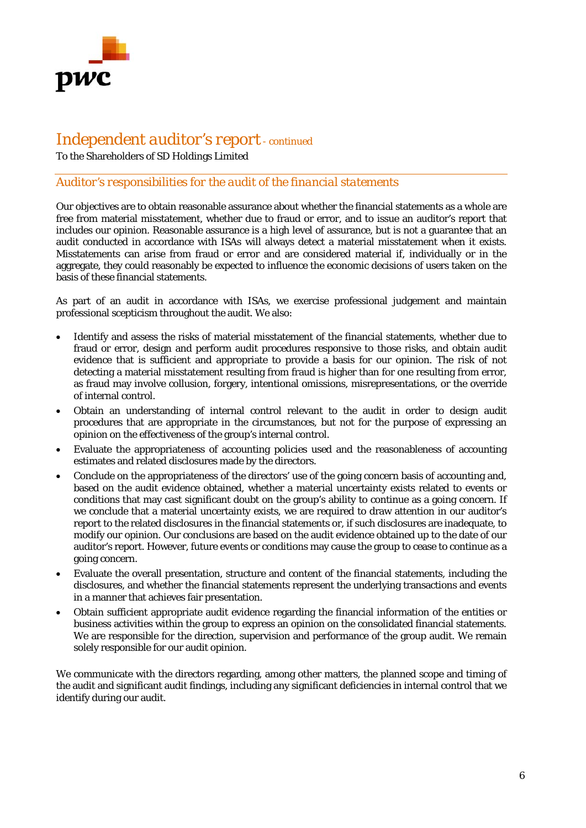

# *Independent auditor's report - continued*

To the Shareholders of SD Holdings Limited

# *Auditor's responsibilities for the audit of the financial statements*

Our objectives are to obtain reasonable assurance about whether the financial statements as a whole are free from material misstatement, whether due to fraud or error, and to issue an auditor's report that includes our opinion. Reasonable assurance is a high level of assurance, but is not a guarantee that an audit conducted in accordance with ISAs will always detect a material misstatement when it exists. Misstatements can arise from fraud or error and are considered material if, individually or in the aggregate, they could reasonably be expected to influence the economic decisions of users taken on the basis of these financial statements.

As part of an audit in accordance with ISAs, we exercise professional judgement and maintain professional scepticism throughout the audit. We also:

- Identify and assess the risks of material misstatement of the financial statements, whether due to fraud or error, design and perform audit procedures responsive to those risks, and obtain audit evidence that is sufficient and appropriate to provide a basis for our opinion. The risk of not detecting a material misstatement resulting from fraud is higher than for one resulting from error, as fraud may involve collusion, forgery, intentional omissions, misrepresentations, or the override of internal control.
- Obtain an understanding of internal control relevant to the audit in order to design audit procedures that are appropriate in the circumstances, but not for the purpose of expressing an opinion on the effectiveness of the group's internal control.
- Evaluate the appropriateness of accounting policies used and the reasonableness of accounting estimates and related disclosures made by the directors.
- Conclude on the appropriateness of the directors' use of the going concern basis of accounting and, based on the audit evidence obtained, whether a material uncertainty exists related to events or conditions that may cast significant doubt on the group's ability to continue as a going concern. If we conclude that a material uncertainty exists, we are required to draw attention in our auditor's report to the related disclosures in the financial statements or, if such disclosures are inadequate, to modify our opinion. Our conclusions are based on the audit evidence obtained up to the date of our auditor's report. However, future events or conditions may cause the group to cease to continue as a going concern.
- Evaluate the overall presentation, structure and content of the financial statements, including the disclosures, and whether the financial statements represent the underlying transactions and events in a manner that achieves fair presentation.
- Obtain sufficient appropriate audit evidence regarding the financial information of the entities or business activities within the group to express an opinion on the consolidated financial statements. We are responsible for the direction, supervision and performance of the group audit. We remain solely responsible for our audit opinion.

We communicate with the directors regarding, among other matters, the planned scope and timing of the audit and significant audit findings, including any significant deficiencies in internal control that we identify during our audit.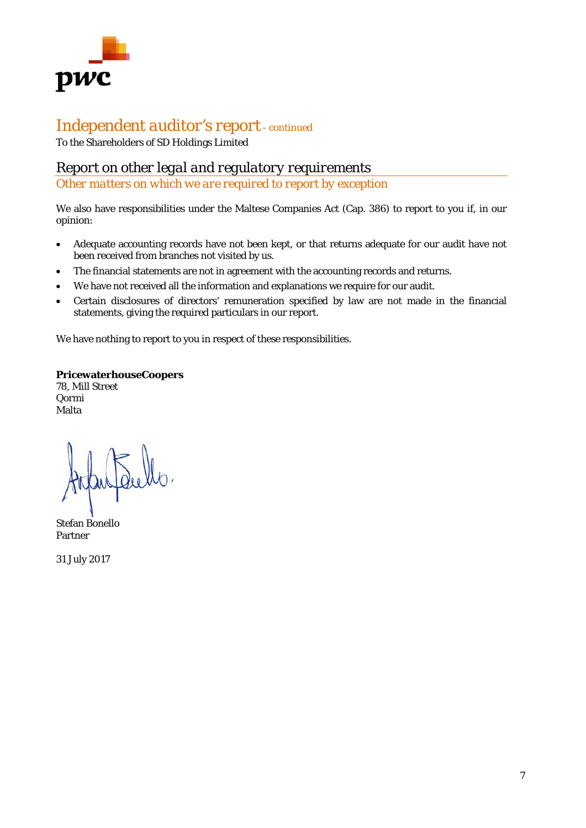

# *Independent auditor's report - continued*

To the Shareholders of SD Holdings Limited

# *Report on other legal and regulatory requirements*

*Other matters on which we are required to report by exception* 

We also have responsibilities under the Maltese Companies Act (Cap. 386) to report to you if, in our opinion:

- Adequate accounting records have not been kept, or that returns adequate for our audit have not been received from branches not visited by us.
- The financial statements are not in agreement with the accounting records and returns.
- We have not received all the information and explanations we require for our audit.
- Certain disclosures of directors' remuneration specified by law are not made in the financial statements, giving the required particulars in our report.

We have nothing to report to you in respect of these responsibilities.

### **PricewaterhouseCoopers**

78, Mill Street Qormi Malta

Stefan Bonello Partner

31 July 2017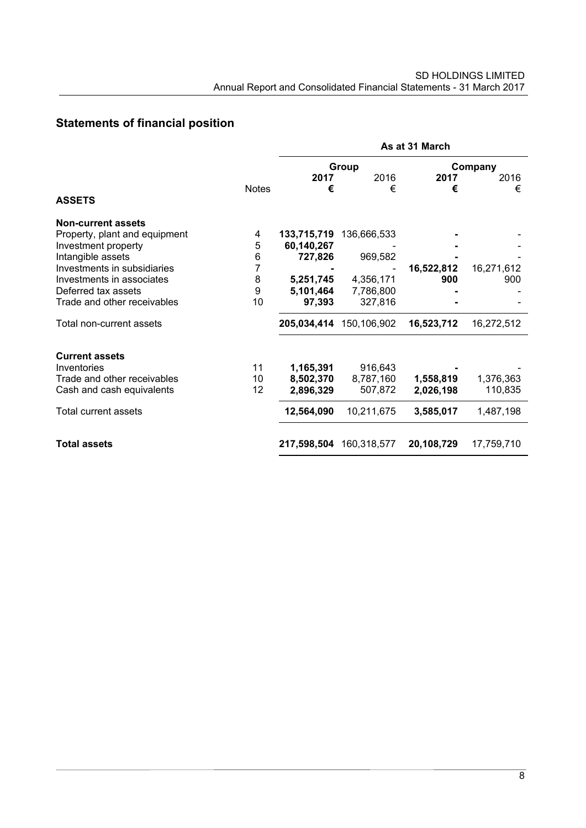# **Statements of financial position**

|                               |              | As at 31 March |                         |            |            |  |  |
|-------------------------------|--------------|----------------|-------------------------|------------|------------|--|--|
|                               |              |                | Group                   | Company    |            |  |  |
|                               |              | 2017           | 2016                    | 2017       | 2016       |  |  |
|                               | <b>Notes</b> | €              | €                       | €          | €          |  |  |
| <b>ASSETS</b>                 |              |                |                         |            |            |  |  |
| <b>Non-current assets</b>     |              |                |                         |            |            |  |  |
| Property, plant and equipment | 4            | 133,715,719    | 136,666,533             |            |            |  |  |
| Investment property           | 5            | 60,140,267     |                         |            |            |  |  |
| Intangible assets             | 6            | 727,826        | 969,582                 |            |            |  |  |
| Investments in subsidiaries   | 7            |                |                         | 16,522,812 | 16,271,612 |  |  |
| Investments in associates     | 8            | 5,251,745      | 4,356,171               | 900        | 900        |  |  |
| Deferred tax assets           | 9            | 5,101,464      | 7,786,800               |            |            |  |  |
| Trade and other receivables   | 10           | 97,393         | 327,816                 |            |            |  |  |
| Total non-current assets      |              | 205,034,414    | 150,106,902             | 16,523,712 | 16,272,512 |  |  |
| <b>Current assets</b>         |              |                |                         |            |            |  |  |
| Inventories                   | 11           | 1,165,391      | 916,643                 |            |            |  |  |
| Trade and other receivables   | 10           | 8,502,370      | 8,787,160               | 1,558,819  | 1,376,363  |  |  |
| Cash and cash equivalents     | 12           | 2,896,329      | 507,872                 | 2,026,198  | 110,835    |  |  |
| Total current assets          |              | 12,564,090     | 10,211,675              | 3,585,017  | 1,487,198  |  |  |
| <b>Total assets</b>           |              |                | 217,598,504 160,318,577 | 20,108,729 | 17,759,710 |  |  |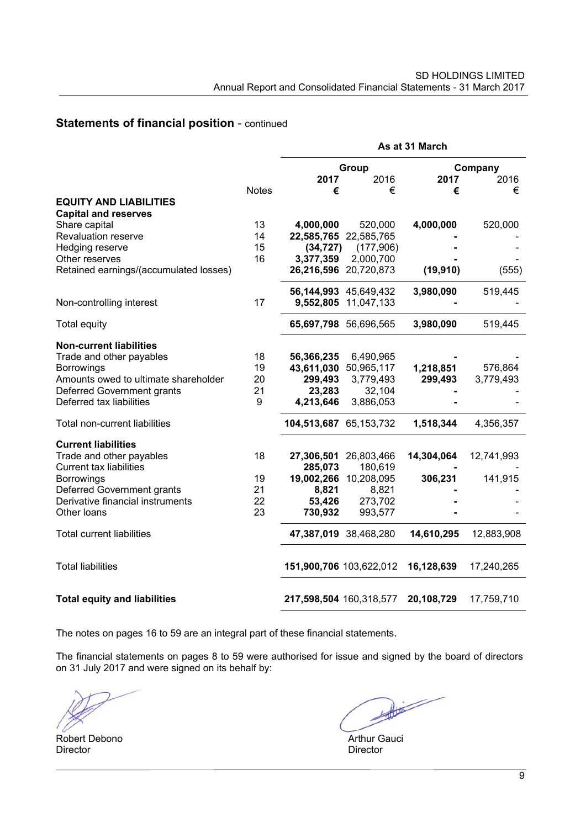# **Statements of financial position** - continued

|                                        |              | As at 31 March          |                                    |            |            |  |  |
|----------------------------------------|--------------|-------------------------|------------------------------------|------------|------------|--|--|
|                                        |              |                         | Group                              |            | Company    |  |  |
|                                        |              | 2017                    | 2016                               | 2017       | 2016       |  |  |
|                                        | <b>Notes</b> | €                       | €                                  | €          | €          |  |  |
| <b>EQUITY AND LIABILITIES</b>          |              |                         |                                    |            |            |  |  |
| <b>Capital and reserves</b>            |              |                         |                                    |            |            |  |  |
| Share capital                          | 13           | 4,000,000               | 520,000                            | 4,000,000  | 520,000    |  |  |
| <b>Revaluation reserve</b>             | 14           |                         | 22,585,765 22,585,765              |            |            |  |  |
| Hedging reserve                        | 15           | (34, 727)               | (177,906)                          |            |            |  |  |
| Other reserves                         | 16           | 3,377,359               | 2,000,700<br>26,216,596 20,720,873 |            |            |  |  |
| Retained earnings/(accumulated losses) |              |                         |                                    | (19, 910)  | (555)      |  |  |
|                                        |              |                         | 56,144,993 45,649,432              | 3,980,090  | 519,445    |  |  |
| Non-controlling interest               | 17           |                         | 9,552,805 11,047,133               |            |            |  |  |
| Total equity                           |              |                         | 65,697,798 56,696,565              | 3,980,090  | 519,445    |  |  |
| <b>Non-current liabilities</b>         |              |                         |                                    |            |            |  |  |
| Trade and other payables               | 18           | 56,366,235              | 6,490,965                          |            |            |  |  |
| <b>Borrowings</b>                      | 19           |                         | 43,611,030 50,965,117              | 1,218,851  | 576,864    |  |  |
| Amounts owed to ultimate shareholder   | 20           | 299,493                 | 3,779,493                          | 299,493    | 3,779,493  |  |  |
| Deferred Government grants             | 21           | 23,283                  | 32,104                             |            |            |  |  |
| Deferred tax liabilities               | 9            | 4,213,646               | 3,886,053                          |            |            |  |  |
| Total non-current liabilities          |              | 104,513,687 65,153,732  |                                    | 1,518,344  | 4,356,357  |  |  |
| <b>Current liabilities</b>             |              |                         |                                    |            |            |  |  |
| Trade and other payables               | 18           | 27,306,501              | 26,803,466                         | 14,304,064 | 12,741,993 |  |  |
| <b>Current tax liabilities</b>         |              | 285,073                 | 180,619                            |            |            |  |  |
| <b>Borrowings</b>                      | 19           | 19,002,266              | 10,208,095                         | 306,231    | 141,915    |  |  |
| Deferred Government grants             | 21           | 8,821                   | 8,821                              |            |            |  |  |
| Derivative financial instruments       | 22<br>23     | 53,426                  | 273,702                            |            |            |  |  |
| Other loans                            |              | 730,932                 | 993,577                            |            |            |  |  |
| <b>Total current liabilities</b>       |              |                         | 47,387,019 38,468,280              | 14,610,295 | 12,883,908 |  |  |
| <b>Total liabilities</b>               |              |                         | 151,900,706 103,622,012            | 16,128,639 | 17,240,265 |  |  |
| <b>Total equity and liabilities</b>    |              | 217,598,504 160,318,577 |                                    | 20,108,729 | 17,759,710 |  |  |

The notes on pages 16 to 59 are an integral part of these financial statements.

The financial statements on pages 8 to 59 were authorised for issue and signed by the board of directors on 31 July 2017 and were signed on its behalf by:

Robert Debono **Arthur Gauci** Director **Director** Director

 $\begin{picture}(20,20) \put(0,0){\vector(1,0){10}} \put(15,0){\vector(1,0){10}} \put(15,0){\vector(1,0){10}} \put(15,0){\vector(1,0){10}} \put(15,0){\vector(1,0){10}} \put(15,0){\vector(1,0){10}} \put(15,0){\vector(1,0){10}} \put(15,0){\vector(1,0){10}} \put(15,0){\vector(1,0){10}} \put(15,0){\vector(1,0){10}} \put(15,0){\vector(1,0){10}} \put(15,0){\vector(1$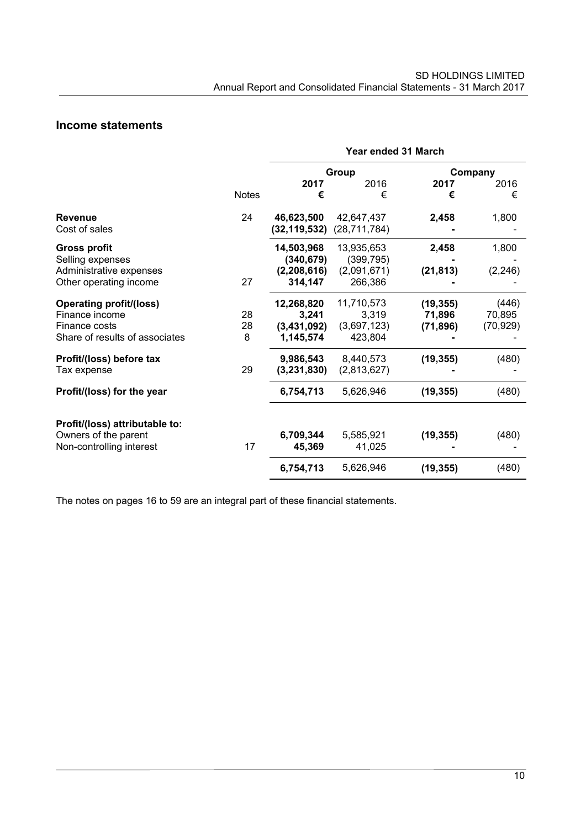# **Income statements**

|                                |              | Year ended 31 March |                |           |           |  |  |
|--------------------------------|--------------|---------------------|----------------|-----------|-----------|--|--|
|                                |              |                     | Group          |           | Company   |  |  |
|                                |              | 2017                | 2016           | 2017      | 2016      |  |  |
|                                | <b>Notes</b> | €                   | €              | €         | €         |  |  |
| <b>Revenue</b>                 | 24           | 46,623,500          | 42,647,437     | 2,458     | 1,800     |  |  |
| Cost of sales                  |              | (32,119,532)        | (28, 711, 784) |           |           |  |  |
| <b>Gross profit</b>            |              | 14,503,968          | 13,935,653     | 2,458     | 1,800     |  |  |
| Selling expenses               |              | (340, 679)          | (399, 795)     |           |           |  |  |
| Administrative expenses        |              | (2,208,616)         | (2,091,671)    | (21, 813) | (2, 246)  |  |  |
| Other operating income         | 27           | 314,147             | 266,386        |           |           |  |  |
| <b>Operating profit/(loss)</b> |              | 12,268,820          | 11,710,573     | (19, 355) | (446)     |  |  |
| Finance income                 | 28           | 3,241               | 3,319          | 71,896    | 70,895    |  |  |
| Finance costs                  | 28           | (3,431,092)         | (3,697,123)    | (71, 896) | (70, 929) |  |  |
| Share of results of associates | 8            | 1,145,574           | 423,804        |           |           |  |  |
| Profit/(loss) before tax       |              | 9,986,543           | 8,440,573      | (19, 355) | (480)     |  |  |
| Tax expense                    | 29           | (3,231,830)         | (2,813,627)    |           |           |  |  |
| Profit/(loss) for the year     |              | 6,754,713           | 5,626,946      | (19, 355) | (480)     |  |  |
| Profit/(loss) attributable to: |              |                     |                |           |           |  |  |
| Owners of the parent           |              | 6,709,344           | 5,585,921      | (19, 355) | (480)     |  |  |
| Non-controlling interest       | 17           | 45,369              | 41,025         |           |           |  |  |
|                                |              | 6,754,713           | 5,626,946      | (19, 355) | (480)     |  |  |

The notes on pages 16 to 59 are an integral part of these financial statements.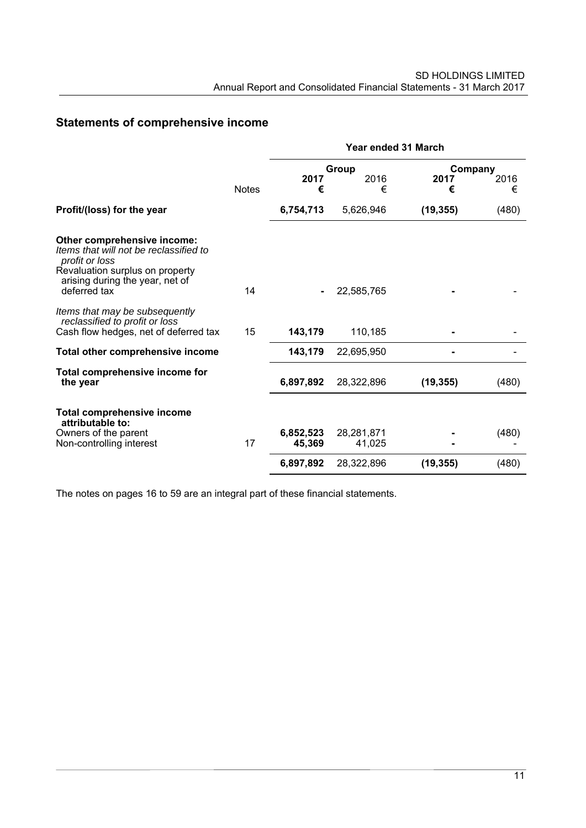# **Statements of comprehensive income**

|                                                                                                                                                                               |              | Year ended 31 March |                      |           |       |  |  |
|-------------------------------------------------------------------------------------------------------------------------------------------------------------------------------|--------------|---------------------|----------------------|-----------|-------|--|--|
|                                                                                                                                                                               |              |                     | Group                | Company   |       |  |  |
|                                                                                                                                                                               |              | 2017                | 2016                 | 2017      | 2016  |  |  |
|                                                                                                                                                                               | <b>Notes</b> | €                   | €                    | €         | €     |  |  |
| Profit/(loss) for the year                                                                                                                                                    |              | 6,754,713           | 5,626,946            | (19, 355) | (480) |  |  |
| Other comprehensive income:<br>Items that will not be reclassified to<br>profit or loss<br>Revaluation surplus on property<br>arising during the year, net of<br>deferred tax | 14           |                     | 22,585,765           |           |       |  |  |
| Items that may be subsequently<br>reclassified to profit or loss<br>Cash flow hedges, net of deferred tax                                                                     | 15           | 143,179             | 110,185              |           |       |  |  |
| Total other comprehensive income                                                                                                                                              |              | 143,179             | 22,695,950           |           |       |  |  |
| Total comprehensive income for<br>the year                                                                                                                                    |              | 6,897,892           | 28,322,896           | (19, 355) | (480) |  |  |
| <b>Total comprehensive income</b><br>attributable to:                                                                                                                         |              |                     |                      |           |       |  |  |
| Owners of the parent<br>Non-controlling interest                                                                                                                              | 17           | 6,852,523<br>45,369 | 28,281,871<br>41,025 |           | (480) |  |  |
|                                                                                                                                                                               |              | 6,897,892           | 28,322,896           | (19, 355) | (480) |  |  |

The notes on pages 16 to 59 are an integral part of these financial statements.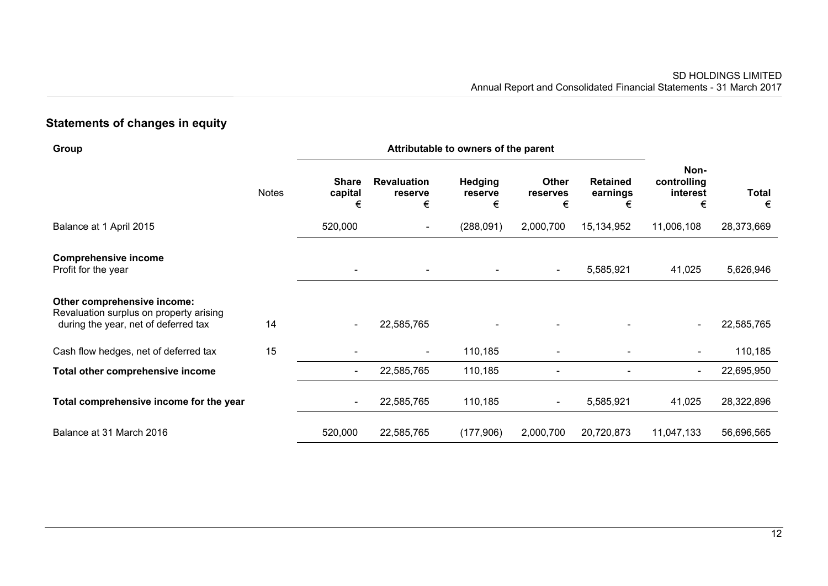# **Statements of changes in equity**

| Group                                                                                                          |              | Attributable to owners of the parent |                                    |                                |                        |                                  |                                      |                   |
|----------------------------------------------------------------------------------------------------------------|--------------|--------------------------------------|------------------------------------|--------------------------------|------------------------|----------------------------------|--------------------------------------|-------------------|
|                                                                                                                | <b>Notes</b> | <b>Share</b><br>capital<br>€         | <b>Revaluation</b><br>reserve<br>€ | <b>Hedging</b><br>reserve<br>€ | Other<br>reserves<br>€ | <b>Retained</b><br>earnings<br>€ | Non-<br>controlling<br>interest<br>€ | <b>Total</b><br>€ |
| Balance at 1 April 2015                                                                                        |              | 520,000                              | $\overline{\phantom{a}}$           | (288,091)                      | 2,000,700              | 15,134,952                       | 11,006,108                           | 28,373,669        |
| <b>Comprehensive income</b><br>Profit for the year                                                             |              | $\blacksquare$                       |                                    |                                | $\blacksquare$         | 5,585,921                        | 41,025                               | 5,626,946         |
| Other comprehensive income:<br>Revaluation surplus on property arising<br>during the year, net of deferred tax | 14           | $\overline{\phantom{a}}$             | 22,585,765                         |                                |                        |                                  | $\sim$                               | 22,585,765        |
| Cash flow hedges, net of deferred tax                                                                          | 15           |                                      | $\overline{\phantom{a}}$           | 110,185                        |                        |                                  | $\blacksquare$                       | 110,185           |
| Total other comprehensive income                                                                               |              | $\sim$                               | 22,585,765                         | 110,185                        |                        |                                  | $\blacksquare$                       | 22,695,950        |
| Total comprehensive income for the year                                                                        |              | $\overline{\phantom{a}}$             | 22,585,765                         | 110,185                        | Ξ.                     | 5,585,921                        | 41,025                               | 28,322,896        |
| Balance at 31 March 2016                                                                                       |              | 520,000                              | 22,585,765                         | (177,906)                      | 2,000,700              | 20,720,873                       | 11,047,133                           | 56,696,565        |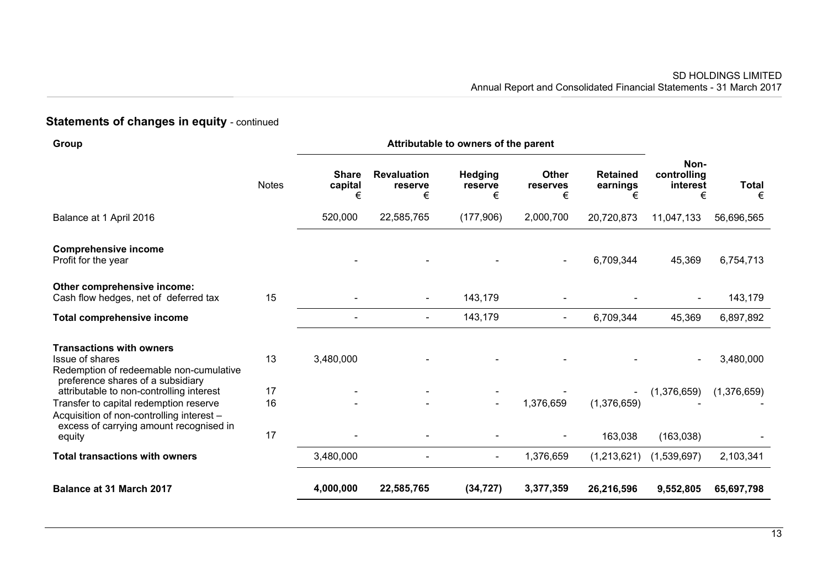# **Statements of changes in equity - continued**

| Group                                                                                                                                     |              | Attributable to owners of the parent |                                    |                         |                               |                                  |                                      |                   |
|-------------------------------------------------------------------------------------------------------------------------------------------|--------------|--------------------------------------|------------------------------------|-------------------------|-------------------------------|----------------------------------|--------------------------------------|-------------------|
|                                                                                                                                           | <b>Notes</b> | <b>Share</b><br>capital<br>€         | <b>Revaluation</b><br>reserve<br>€ | Hedging<br>reserve<br>€ | <b>Other</b><br>reserves<br>€ | <b>Retained</b><br>earnings<br>€ | Non-<br>controlling<br>interest<br>€ | <b>Total</b><br>€ |
| Balance at 1 April 2016                                                                                                                   |              | 520,000                              | 22,585,765                         | (177,906)               | 2,000,700                     | 20,720,873                       | 11,047,133                           | 56,696,565        |
| <b>Comprehensive income</b><br>Profit for the year                                                                                        |              |                                      |                                    |                         |                               | 6,709,344                        | 45,369                               | 6,754,713         |
| Other comprehensive income:<br>Cash flow hedges, net of deferred tax                                                                      | 15           |                                      | $\blacksquare$                     | 143,179                 |                               |                                  |                                      | 143,179           |
| <b>Total comprehensive income</b>                                                                                                         |              |                                      | $\blacksquare$                     | 143,179                 | $\blacksquare$                | 6,709,344                        | 45,369                               | 6,897,892         |
| <b>Transactions with owners</b><br><b>Issue of shares</b><br>Redemption of redeemable non-cumulative<br>preference shares of a subsidiary | 13           | 3,480,000                            |                                    |                         |                               |                                  |                                      | 3,480,000         |
| attributable to non-controlling interest<br>Transfer to capital redemption reserve<br>Acquisition of non-controlling interest -           | 17<br>16     |                                      |                                    | $\blacksquare$          | 1,376,659                     | (1,376,659)                      | (1,376,659)                          | (1,376,659)       |
| excess of carrying amount recognised in<br>equity                                                                                         | 17           |                                      |                                    |                         |                               | 163,038                          | (163,038)                            |                   |
| <b>Total transactions with owners</b>                                                                                                     |              | 3,480,000                            |                                    | $\blacksquare$          | 1,376,659                     | (1,213,621)                      | (1,539,697)                          | 2,103,341         |
| <b>Balance at 31 March 2017</b>                                                                                                           |              | 4,000,000                            | 22,585,765                         | (34, 727)               | 3,377,359                     | 26,216,596                       | 9,552,805                            | 65,697,798        |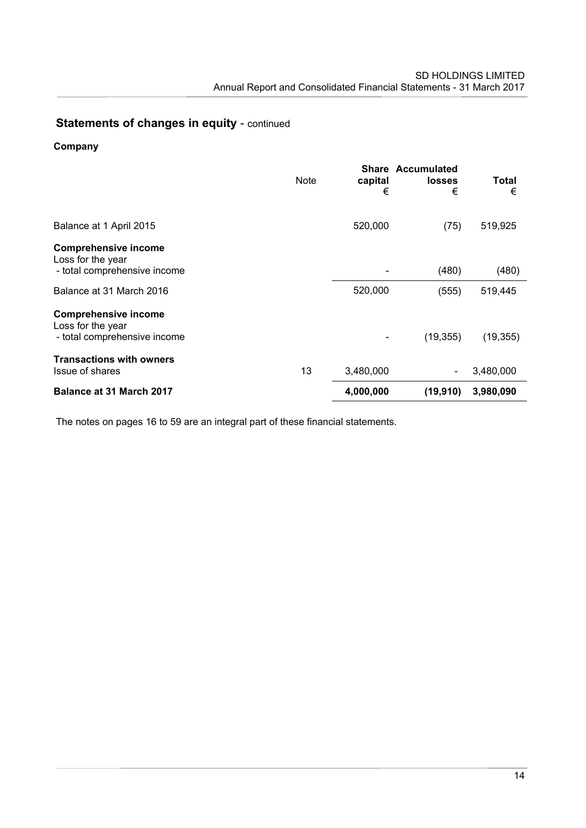# **Statements of changes in equity - continued**

# **Company**

|                                                                                  | Note | capital<br>€ | <b>Share Accumulated</b><br><b>losses</b><br>€ | Total<br>€ |
|----------------------------------------------------------------------------------|------|--------------|------------------------------------------------|------------|
| Balance at 1 April 2015                                                          |      | 520,000      | (75)                                           | 519,925    |
| <b>Comprehensive income</b><br>Loss for the year<br>- total comprehensive income |      |              | (480)                                          | (480)      |
| Balance at 31 March 2016                                                         |      | 520,000      | (555)                                          | 519,445    |
| <b>Comprehensive income</b><br>Loss for the year<br>- total comprehensive income |      |              | (19, 355)                                      | (19, 355)  |
| <b>Transactions with owners</b><br><b>Issue of shares</b>                        | 13   | 3,480,000    |                                                | 3,480,000  |
| Balance at 31 March 2017                                                         |      | 4,000,000    | (19,910)                                       | 3,980,090  |

The notes on pages 16 to 59 are an integral part of these financial statements.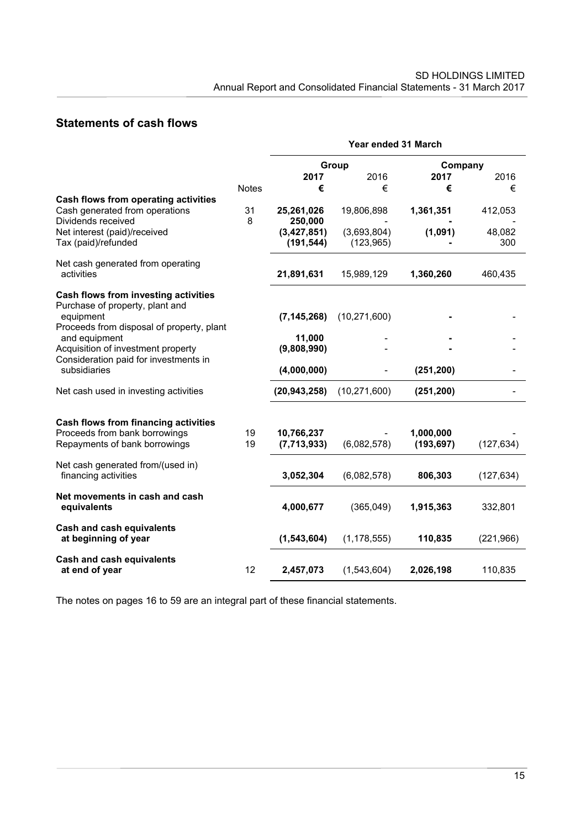# **Statements of cash flows**

|                                                                                              |              | Year ended 31 March         |                           |                         |               |  |
|----------------------------------------------------------------------------------------------|--------------|-----------------------------|---------------------------|-------------------------|---------------|--|
|                                                                                              |              |                             | Group                     | Company                 |               |  |
|                                                                                              |              | 2017                        | 2016                      | 2017                    | 2016          |  |
|                                                                                              | <b>Notes</b> | €                           | €                         | €                       | €             |  |
| Cash flows from operating activities<br>Cash generated from operations<br>Dividends received | 31<br>8      | 25,261,026<br>250,000       | 19,806,898                | 1,361,351               | 412,053       |  |
| Net interest (paid)/received<br>Tax (paid)/refunded                                          |              | (3, 427, 851)<br>(191, 544) | (3,693,804)<br>(123, 965) | (1,091)                 | 48,082<br>300 |  |
| Net cash generated from operating<br>activities                                              |              | 21,891,631                  | 15,989,129                | 1,360,260               | 460,435       |  |
| Cash flows from investing activities<br>Purchase of property, plant and                      |              |                             |                           |                         |               |  |
| equipment<br>Proceeds from disposal of property, plant                                       |              | (7, 145, 268)               | (10, 271, 600)            |                         |               |  |
| and equipment                                                                                |              | 11,000                      |                           |                         |               |  |
| Acquisition of investment property                                                           |              | (9,808,990)                 |                           |                         |               |  |
| Consideration paid for investments in<br>subsidiaries                                        |              | (4,000,000)                 |                           | (251, 200)              |               |  |
| Net cash used in investing activities                                                        |              | (20, 943, 258)              | (10, 271, 600)            | (251, 200)              |               |  |
| <b>Cash flows from financing activities</b>                                                  |              |                             |                           |                         |               |  |
| Proceeds from bank borrowings<br>Repayments of bank borrowings                               | 19<br>19     | 10,766,237<br>(7,713,933)   | (6,082,578)               | 1,000,000<br>(193, 697) | (127, 634)    |  |
| Net cash generated from/(used in)<br>financing activities                                    |              | 3,052,304                   | (6,082,578)               | 806,303                 | (127, 634)    |  |
| Net movements in cash and cash<br>equivalents                                                |              | 4,000,677                   | (365,049)                 | 1,915,363               | 332,801       |  |
| <b>Cash and cash equivalents</b><br>at beginning of year                                     |              | (1, 543, 604)               | (1, 178, 555)             | 110,835                 | (221, 966)    |  |
| <b>Cash and cash equivalents</b><br>at end of year                                           | 12           | 2,457,073                   | (1,543,604)               | 2,026,198               | 110,835       |  |

The notes on pages 16 to 59 are an integral part of these financial statements.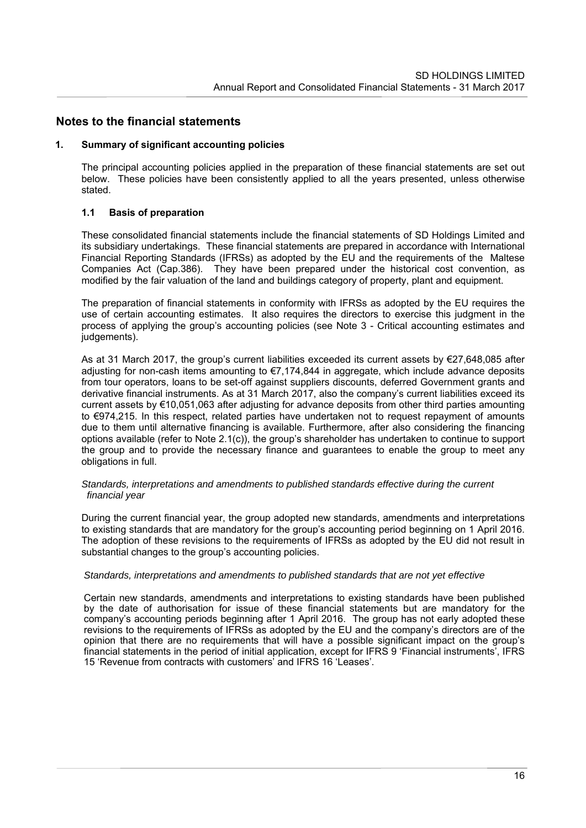# **Notes to the financial statements**

#### **1. Summary of significant accounting policies**

The principal accounting policies applied in the preparation of these financial statements are set out below. These policies have been consistently applied to all the years presented, unless otherwise stated.

### **1.1 Basis of preparation**

These consolidated financial statements include the financial statements of SD Holdings Limited and its subsidiary undertakings. These financial statements are prepared in accordance with International Financial Reporting Standards (IFRSs) as adopted by the EU and the requirements of the Maltese Companies Act (Cap.386). They have been prepared under the historical cost convention, as modified by the fair valuation of the land and buildings category of property, plant and equipment.

The preparation of financial statements in conformity with IFRSs as adopted by the EU requires the use of certain accounting estimates. It also requires the directors to exercise this judgment in the process of applying the group's accounting policies (see Note 3 - Critical accounting estimates and judgements).

As at 31 March 2017, the group's current liabilities exceeded its current assets by €27,648,085 after adjusting for non-cash items amounting to €7,174,844 in aggregate, which include advance deposits from tour operators, loans to be set-off against suppliers discounts, deferred Government grants and derivative financial instruments. As at 31 March 2017, also the company's current liabilities exceed its current assets by €10,051,063 after adjusting for advance deposits from other third parties amounting to €974,215. In this respect, related parties have undertaken not to request repayment of amounts due to them until alternative financing is available. Furthermore, after also considering the financing options available (refer to Note 2.1(c)), the group's shareholder has undertaken to continue to support the group and to provide the necessary finance and guarantees to enable the group to meet any obligations in full.

#### *Standards, interpretations and amendments to published standards effective during the current financial year*

During the current financial year, the group adopted new standards, amendments and interpretations to existing standards that are mandatory for the group's accounting period beginning on 1 April 2016. The adoption of these revisions to the requirements of IFRSs as adopted by the EU did not result in substantial changes to the group's accounting policies.

#### *Standards, interpretations and amendments to published standards that are not yet effective*

Certain new standards, amendments and interpretations to existing standards have been published by the date of authorisation for issue of these financial statements but are mandatory for the company's accounting periods beginning after 1 April 2016. The group has not early adopted these revisions to the requirements of IFRSs as adopted by the EU and the company's directors are of the opinion that there are no requirements that will have a possible significant impact on the group's financial statements in the period of initial application, except for IFRS 9 'Financial instruments', IFRS 15 'Revenue from contracts with customers' and IFRS 16 'Leases'.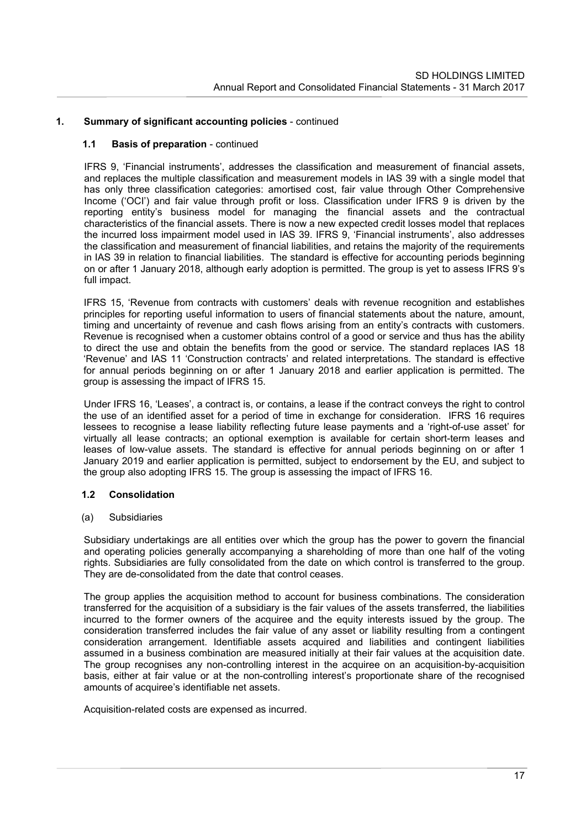### **1.1 Basis of preparation** - continued

IFRS 9, 'Financial instruments', addresses the classification and measurement of financial assets, and replaces the multiple classification and measurement models in IAS 39 with a single model that has only three classification categories: amortised cost, fair value through Other Comprehensive Income ('OCI') and fair value through profit or loss. Classification under IFRS 9 is driven by the reporting entity's business model for managing the financial assets and the contractual characteristics of the financial assets. There is now a new expected credit losses model that replaces the incurred loss impairment model used in IAS 39. IFRS 9, 'Financial instruments', also addresses the classification and measurement of financial liabilities, and retains the majority of the requirements in IAS 39 in relation to financial liabilities. The standard is effective for accounting periods beginning on or after 1 January 2018, although early adoption is permitted. The group is yet to assess IFRS 9's full impact.

IFRS 15, 'Revenue from contracts with customers' deals with revenue recognition and establishes principles for reporting useful information to users of financial statements about the nature, amount, timing and uncertainty of revenue and cash flows arising from an entity's contracts with customers. Revenue is recognised when a customer obtains control of a good or service and thus has the ability to direct the use and obtain the benefits from the good or service. The standard replaces IAS 18 'Revenue' and IAS 11 'Construction contracts' and related interpretations. The standard is effective for annual periods beginning on or after 1 January 2018 and earlier application is permitted. The group is assessing the impact of IFRS 15.

Under IFRS 16, 'Leases', a contract is, or contains, a lease if the contract conveys the right to control the use of an identified asset for a period of time in exchange for consideration. IFRS 16 requires lessees to recognise a lease liability reflecting future lease payments and a 'right-of-use asset' for virtually all lease contracts; an optional exemption is available for certain short-term leases and leases of low-value assets. The standard is effective for annual periods beginning on or after 1 January 2019 and earlier application is permitted, subject to endorsement by the EU, and subject to the group also adopting IFRS 15. The group is assessing the impact of IFRS 16.

### **1.2 Consolidation**

### (a) Subsidiaries

Subsidiary undertakings are all entities over which the group has the power to govern the financial and operating policies generally accompanying a shareholding of more than one half of the voting rights. Subsidiaries are fully consolidated from the date on which control is transferred to the group. They are de-consolidated from the date that control ceases.

The group applies the acquisition method to account for business combinations. The consideration transferred for the acquisition of a subsidiary is the fair values of the assets transferred, the liabilities incurred to the former owners of the acquiree and the equity interests issued by the group. The consideration transferred includes the fair value of any asset or liability resulting from a contingent consideration arrangement. Identifiable assets acquired and liabilities and contingent liabilities assumed in a business combination are measured initially at their fair values at the acquisition date. The group recognises any non-controlling interest in the acquiree on an acquisition-by-acquisition basis, either at fair value or at the non-controlling interest's proportionate share of the recognised amounts of acquiree's identifiable net assets.

Acquisition-related costs are expensed as incurred.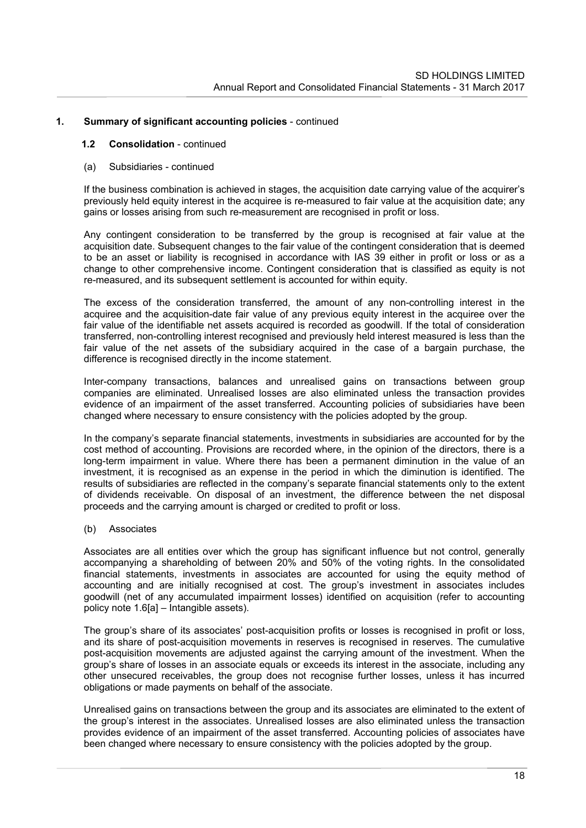#### **1.2 Consolidation** - continued

(a) Subsidiaries - continued

If the business combination is achieved in stages, the acquisition date carrying value of the acquirer's previously held equity interest in the acquiree is re-measured to fair value at the acquisition date; any gains or losses arising from such re-measurement are recognised in profit or loss.

Any contingent consideration to be transferred by the group is recognised at fair value at the acquisition date. Subsequent changes to the fair value of the contingent consideration that is deemed to be an asset or liability is recognised in accordance with IAS 39 either in profit or loss or as a change to other comprehensive income. Contingent consideration that is classified as equity is not re-measured, and its subsequent settlement is accounted for within equity.

The excess of the consideration transferred, the amount of any non-controlling interest in the acquiree and the acquisition-date fair value of any previous equity interest in the acquiree over the fair value of the identifiable net assets acquired is recorded as goodwill. If the total of consideration transferred, non-controlling interest recognised and previously held interest measured is less than the fair value of the net assets of the subsidiary acquired in the case of a bargain purchase, the difference is recognised directly in the income statement.

Inter-company transactions, balances and unrealised gains on transactions between group companies are eliminated. Unrealised losses are also eliminated unless the transaction provides evidence of an impairment of the asset transferred. Accounting policies of subsidiaries have been changed where necessary to ensure consistency with the policies adopted by the group.

In the company's separate financial statements, investments in subsidiaries are accounted for by the cost method of accounting. Provisions are recorded where, in the opinion of the directors, there is a long-term impairment in value. Where there has been a permanent diminution in the value of an investment, it is recognised as an expense in the period in which the diminution is identified. The results of subsidiaries are reflected in the company's separate financial statements only to the extent of dividends receivable. On disposal of an investment, the difference between the net disposal proceeds and the carrying amount is charged or credited to profit or loss.

### (b) Associates

Associates are all entities over which the group has significant influence but not control, generally accompanying a shareholding of between 20% and 50% of the voting rights. In the consolidated financial statements, investments in associates are accounted for using the equity method of accounting and are initially recognised at cost. The group's investment in associates includes goodwill (net of any accumulated impairment losses) identified on acquisition (refer to accounting policy note 1.6[a] – Intangible assets).

The group's share of its associates' post-acquisition profits or losses is recognised in profit or loss, and its share of post-acquisition movements in reserves is recognised in reserves. The cumulative post-acquisition movements are adjusted against the carrying amount of the investment. When the group's share of losses in an associate equals or exceeds its interest in the associate, including any other unsecured receivables, the group does not recognise further losses, unless it has incurred obligations or made payments on behalf of the associate.

Unrealised gains on transactions between the group and its associates are eliminated to the extent of the group's interest in the associates. Unrealised losses are also eliminated unless the transaction provides evidence of an impairment of the asset transferred. Accounting policies of associates have been changed where necessary to ensure consistency with the policies adopted by the group.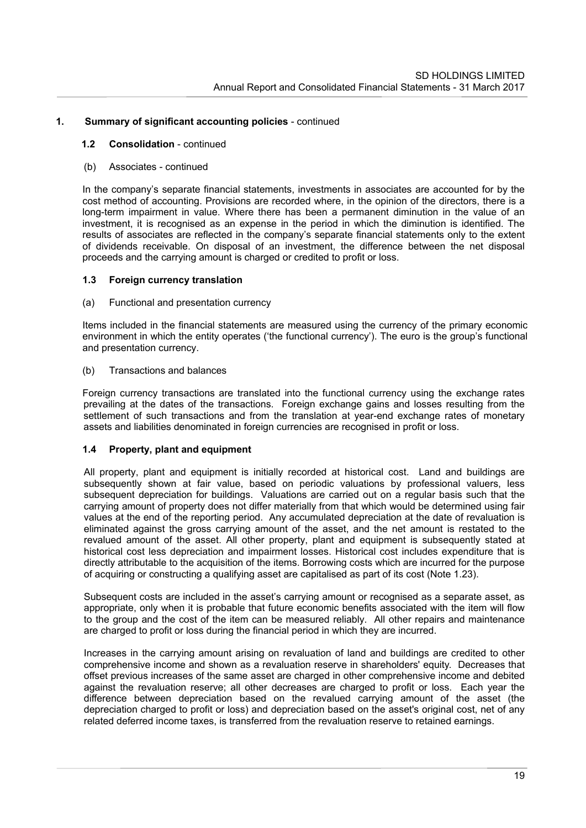### **1.2 Consolidation** - continued

## (b) Associates - continued

In the company's separate financial statements, investments in associates are accounted for by the cost method of accounting. Provisions are recorded where, in the opinion of the directors, there is a long-term impairment in value. Where there has been a permanent diminution in the value of an investment, it is recognised as an expense in the period in which the diminution is identified. The results of associates are reflected in the company's separate financial statements only to the extent of dividends receivable. On disposal of an investment, the difference between the net disposal proceeds and the carrying amount is charged or credited to profit or loss.

# **1.3 Foreign currency translation**

### (a) Functional and presentation currency

Items included in the financial statements are measured using the currency of the primary economic environment in which the entity operates ('the functional currency'). The euro is the group's functional and presentation currency.

## (b) Transactions and balances

Foreign currency transactions are translated into the functional currency using the exchange rates prevailing at the dates of the transactions. Foreign exchange gains and losses resulting from the settlement of such transactions and from the translation at year-end exchange rates of monetary assets and liabilities denominated in foreign currencies are recognised in profit or loss.

### **1.4 Property, plant and equipment**

All property, plant and equipment is initially recorded at historical cost. Land and buildings are subsequently shown at fair value, based on periodic valuations by professional valuers, less subsequent depreciation for buildings. Valuations are carried out on a regular basis such that the carrying amount of property does not differ materially from that which would be determined using fair values at the end of the reporting period. Any accumulated depreciation at the date of revaluation is eliminated against the gross carrying amount of the asset, and the net amount is restated to the revalued amount of the asset. All other property, plant and equipment is subsequently stated at historical cost less depreciation and impairment losses. Historical cost includes expenditure that is directly attributable to the acquisition of the items. Borrowing costs which are incurred for the purpose of acquiring or constructing a qualifying asset are capitalised as part of its cost (Note 1.23).

Subsequent costs are included in the asset's carrying amount or recognised as a separate asset, as appropriate, only when it is probable that future economic benefits associated with the item will flow to the group and the cost of the item can be measured reliably. All other repairs and maintenance are charged to profit or loss during the financial period in which they are incurred.

Increases in the carrying amount arising on revaluation of land and buildings are credited to other comprehensive income and shown as a revaluation reserve in shareholders' equity. Decreases that offset previous increases of the same asset are charged in other comprehensive income and debited against the revaluation reserve; all other decreases are charged to profit or loss. Each year the difference between depreciation based on the revalued carrying amount of the asset (the depreciation charged to profit or loss) and depreciation based on the asset's original cost, net of any related deferred income taxes, is transferred from the revaluation reserve to retained earnings.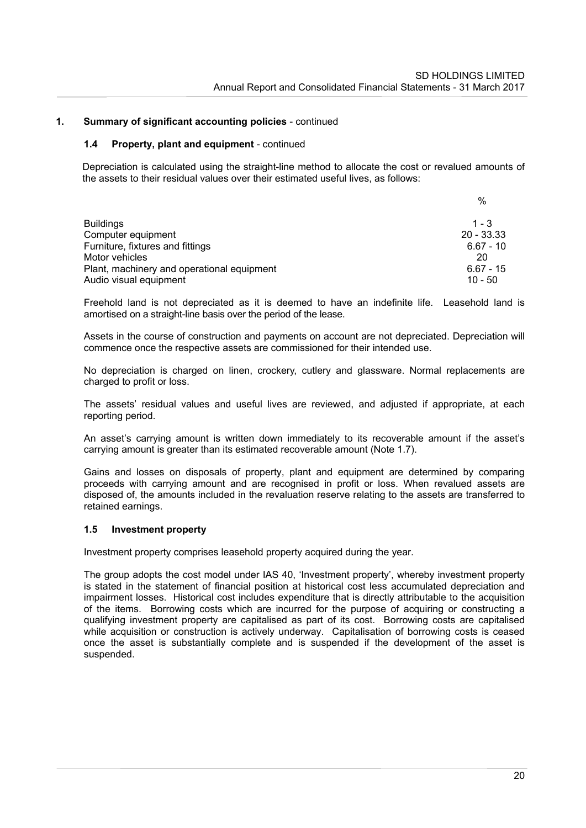#### **1.4 Property, plant and equipment** - continued

Depreciation is calculated using the straight-line method to allocate the cost or revalued amounts of the assets to their residual values over their estimated useful lives, as follows:

|                                            | %            |
|--------------------------------------------|--------------|
| <b>Buildings</b>                           | $1 - 3$      |
| Computer equipment                         | $20 - 33.33$ |
| Furniture, fixtures and fittings           | $6.67 - 10$  |
| Motor vehicles                             | 20           |
| Plant, machinery and operational equipment | $6.67 - 15$  |
| Audio visual equipment                     | $10 - 50$    |

Freehold land is not depreciated as it is deemed to have an indefinite life. Leasehold land is amortised on a straight-line basis over the period of the lease.

Assets in the course of construction and payments on account are not depreciated. Depreciation will commence once the respective assets are commissioned for their intended use.

No depreciation is charged on linen, crockery, cutlery and glassware. Normal replacements are charged to profit or loss.

The assets' residual values and useful lives are reviewed, and adjusted if appropriate, at each reporting period.

An asset's carrying amount is written down immediately to its recoverable amount if the asset's carrying amount is greater than its estimated recoverable amount (Note 1.7).

Gains and losses on disposals of property, plant and equipment are determined by comparing proceeds with carrying amount and are recognised in profit or loss. When revalued assets are disposed of, the amounts included in the revaluation reserve relating to the assets are transferred to retained earnings.

#### **1.5 Investment property**

Investment property comprises leasehold property acquired during the year.

The group adopts the cost model under IAS 40, 'Investment property', whereby investment property is stated in the statement of financial position at historical cost less accumulated depreciation and impairment losses. Historical cost includes expenditure that is directly attributable to the acquisition of the items. Borrowing costs which are incurred for the purpose of acquiring or constructing a qualifying investment property are capitalised as part of its cost. Borrowing costs are capitalised while acquisition or construction is actively underway. Capitalisation of borrowing costs is ceased once the asset is substantially complete and is suspended if the development of the asset is suspended.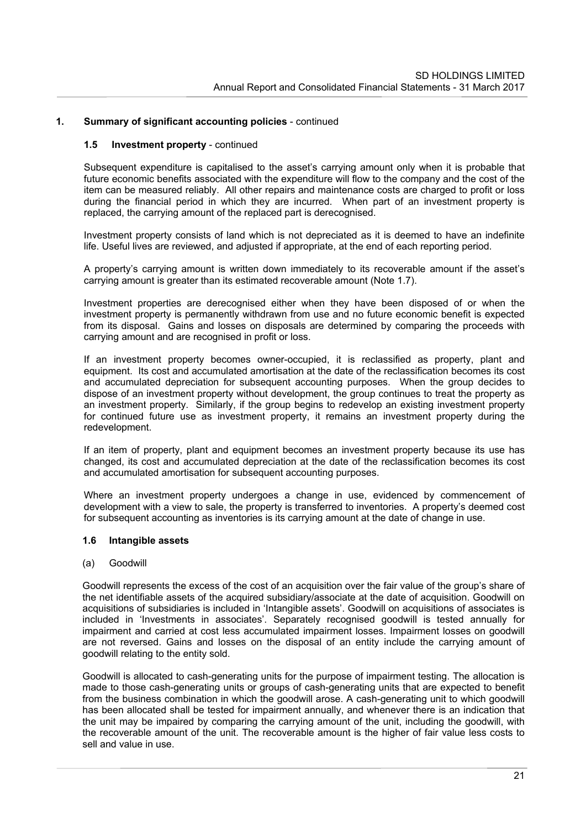#### **1.5 Investment property** - continued

Subsequent expenditure is capitalised to the asset's carrying amount only when it is probable that future economic benefits associated with the expenditure will flow to the company and the cost of the item can be measured reliably. All other repairs and maintenance costs are charged to profit or loss during the financial period in which they are incurred. When part of an investment property is replaced, the carrying amount of the replaced part is derecognised.

Investment property consists of land which is not depreciated as it is deemed to have an indefinite life. Useful lives are reviewed, and adjusted if appropriate, at the end of each reporting period.

A property's carrying amount is written down immediately to its recoverable amount if the asset's carrying amount is greater than its estimated recoverable amount (Note 1.7).

Investment properties are derecognised either when they have been disposed of or when the investment property is permanently withdrawn from use and no future economic benefit is expected from its disposal. Gains and losses on disposals are determined by comparing the proceeds with carrying amount and are recognised in profit or loss.

If an investment property becomes owner-occupied, it is reclassified as property, plant and equipment. Its cost and accumulated amortisation at the date of the reclassification becomes its cost and accumulated depreciation for subsequent accounting purposes. When the group decides to dispose of an investment property without development, the group continues to treat the property as an investment property. Similarly, if the group begins to redevelop an existing investment property for continued future use as investment property, it remains an investment property during the redevelopment.

If an item of property, plant and equipment becomes an investment property because its use has changed, its cost and accumulated depreciation at the date of the reclassification becomes its cost and accumulated amortisation for subsequent accounting purposes.

Where an investment property undergoes a change in use, evidenced by commencement of development with a view to sale, the property is transferred to inventories. A property's deemed cost for subsequent accounting as inventories is its carrying amount at the date of change in use.

#### **1.6 Intangible assets**

#### (a) Goodwill

Goodwill represents the excess of the cost of an acquisition over the fair value of the group's share of the net identifiable assets of the acquired subsidiary/associate at the date of acquisition. Goodwill on acquisitions of subsidiaries is included in 'Intangible assets'. Goodwill on acquisitions of associates is included in 'Investments in associates'. Separately recognised goodwill is tested annually for impairment and carried at cost less accumulated impairment losses. Impairment losses on goodwill are not reversed. Gains and losses on the disposal of an entity include the carrying amount of goodwill relating to the entity sold.

Goodwill is allocated to cash-generating units for the purpose of impairment testing. The allocation is made to those cash-generating units or groups of cash-generating units that are expected to benefit from the business combination in which the goodwill arose. A cash-generating unit to which goodwill has been allocated shall be tested for impairment annually, and whenever there is an indication that the unit may be impaired by comparing the carrying amount of the unit, including the goodwill, with the recoverable amount of the unit. The recoverable amount is the higher of fair value less costs to sell and value in use.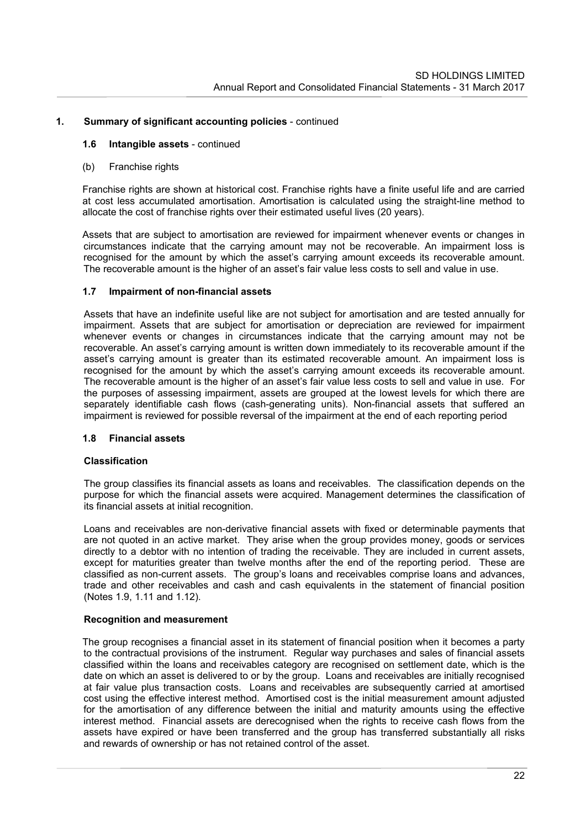### **1.6 Intangible assets** - continued

(b) Franchise rights

Franchise rights are shown at historical cost. Franchise rights have a finite useful life and are carried at cost less accumulated amortisation. Amortisation is calculated using the straight-line method to allocate the cost of franchise rights over their estimated useful lives (20 years).

Assets that are subject to amortisation are reviewed for impairment whenever events or changes in circumstances indicate that the carrying amount may not be recoverable. An impairment loss is recognised for the amount by which the asset's carrying amount exceeds its recoverable amount. The recoverable amount is the higher of an asset's fair value less costs to sell and value in use.

# **1.7 Impairment of non-financial assets**

Assets that have an indefinite useful like are not subject for amortisation and are tested annually for impairment. Assets that are subject for amortisation or depreciation are reviewed for impairment whenever events or changes in circumstances indicate that the carrying amount may not be recoverable. An asset's carrying amount is written down immediately to its recoverable amount if the asset's carrying amount is greater than its estimated recoverable amount. An impairment loss is recognised for the amount by which the asset's carrying amount exceeds its recoverable amount. The recoverable amount is the higher of an asset's fair value less costs to sell and value in use. For the purposes of assessing impairment, assets are grouped at the lowest levels for which there are separately identifiable cash flows (cash-generating units). Non-financial assets that suffered an impairment is reviewed for possible reversal of the impairment at the end of each reporting period

## **1.8 Financial assets**

### **Classification**

The group classifies its financial assets as loans and receivables. The classification depends on the purpose for which the financial assets were acquired. Management determines the classification of its financial assets at initial recognition.

Loans and receivables are non-derivative financial assets with fixed or determinable payments that are not quoted in an active market. They arise when the group provides money, goods or services directly to a debtor with no intention of trading the receivable. They are included in current assets, except for maturities greater than twelve months after the end of the reporting period. These are classified as non-current assets. The group's loans and receivables comprise loans and advances, trade and other receivables and cash and cash equivalents in the statement of financial position (Notes 1.9, 1.11 and 1.12).

### **Recognition and measurement**

The group recognises a financial asset in its statement of financial position when it becomes a party to the contractual provisions of the instrument. Regular way purchases and sales of financial assets classified within the loans and receivables category are recognised on settlement date, which is the date on which an asset is delivered to or by the group. Loans and receivables are initially recognised at fair value plus transaction costs. Loans and receivables are subsequently carried at amortised cost using the effective interest method. Amortised cost is the initial measurement amount adjusted for the amortisation of any difference between the initial and maturity amounts using the effective interest method. Financial assets are derecognised when the rights to receive cash flows from the assets have expired or have been transferred and the group has transferred substantially all risks and rewards of ownership or has not retained control of the asset.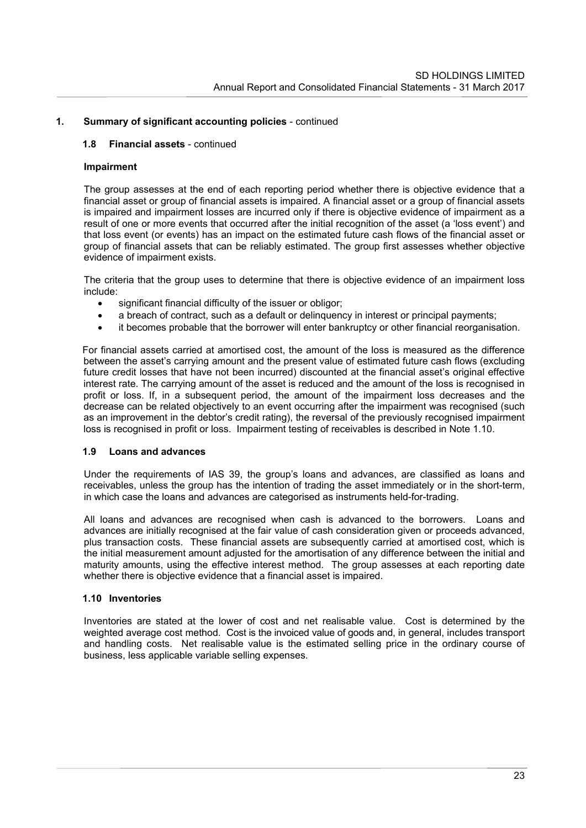## **1.8 Financial assets** - continued

## **Impairment**

The group assesses at the end of each reporting period whether there is objective evidence that a financial asset or group of financial assets is impaired. A financial asset or a group of financial assets is impaired and impairment losses are incurred only if there is objective evidence of impairment as a result of one or more events that occurred after the initial recognition of the asset (a 'loss event') and that loss event (or events) has an impact on the estimated future cash flows of the financial asset or group of financial assets that can be reliably estimated. The group first assesses whether objective evidence of impairment exists.

The criteria that the group uses to determine that there is objective evidence of an impairment loss include:

- significant financial difficulty of the issuer or obligor;
- a breach of contract, such as a default or delinguency in interest or principal payments;
- it becomes probable that the borrower will enter bankruptcy or other financial reorganisation.

For financial assets carried at amortised cost, the amount of the loss is measured as the difference between the asset's carrying amount and the present value of estimated future cash flows (excluding future credit losses that have not been incurred) discounted at the financial asset's original effective interest rate. The carrying amount of the asset is reduced and the amount of the loss is recognised in profit or loss. If, in a subsequent period, the amount of the impairment loss decreases and the decrease can be related objectively to an event occurring after the impairment was recognised (such as an improvement in the debtor's credit rating), the reversal of the previously recognised impairment loss is recognised in profit or loss. Impairment testing of receivables is described in Note 1.10.

### **1.9 Loans and advances**

Under the requirements of IAS 39, the group's loans and advances, are classified as loans and receivables, unless the group has the intention of trading the asset immediately or in the short-term, in which case the loans and advances are categorised as instruments held-for-trading.

All loans and advances are recognised when cash is advanced to the borrowers. Loans and advances are initially recognised at the fair value of cash consideration given or proceeds advanced, plus transaction costs. These financial assets are subsequently carried at amortised cost, which is the initial measurement amount adjusted for the amortisation of any difference between the initial and maturity amounts, using the effective interest method. The group assesses at each reporting date whether there is objective evidence that a financial asset is impaired.

### **1.10 Inventories**

Inventories are stated at the lower of cost and net realisable value. Cost is determined by the weighted average cost method. Cost is the invoiced value of goods and, in general, includes transport and handling costs. Net realisable value is the estimated selling price in the ordinary course of business, less applicable variable selling expenses.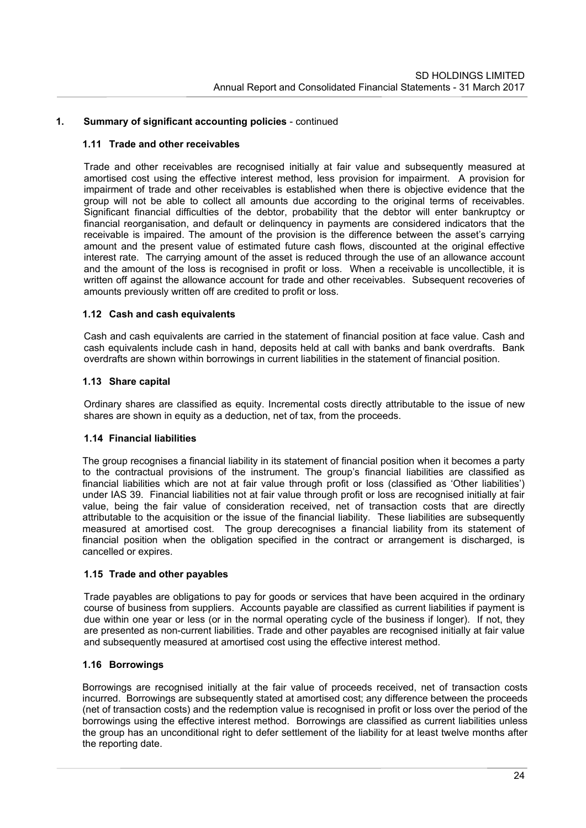### **1.11 Trade and other receivables**

Trade and other receivables are recognised initially at fair value and subsequently measured at amortised cost using the effective interest method, less provision for impairment. A provision for impairment of trade and other receivables is established when there is objective evidence that the group will not be able to collect all amounts due according to the original terms of receivables. Significant financial difficulties of the debtor, probability that the debtor will enter bankruptcy or financial reorganisation, and default or delinquency in payments are considered indicators that the receivable is impaired. The amount of the provision is the difference between the asset's carrying amount and the present value of estimated future cash flows, discounted at the original effective interest rate. The carrying amount of the asset is reduced through the use of an allowance account and the amount of the loss is recognised in profit or loss. When a receivable is uncollectible, it is written off against the allowance account for trade and other receivables. Subsequent recoveries of amounts previously written off are credited to profit or loss.

# **1.12 Cash and cash equivalents**

Cash and cash equivalents are carried in the statement of financial position at face value. Cash and cash equivalents include cash in hand, deposits held at call with banks and bank overdrafts. Bank overdrafts are shown within borrowings in current liabilities in the statement of financial position.

# **1.13 Share capital**

Ordinary shares are classified as equity. Incremental costs directly attributable to the issue of new shares are shown in equity as a deduction, net of tax, from the proceeds.

## **1.14 Financial liabilities**

The group recognises a financial liability in its statement of financial position when it becomes a party to the contractual provisions of the instrument. The group's financial liabilities are classified as financial liabilities which are not at fair value through profit or loss (classified as 'Other liabilities') under IAS 39. Financial liabilities not at fair value through profit or loss are recognised initially at fair value, being the fair value of consideration received, net of transaction costs that are directly attributable to the acquisition or the issue of the financial liability. These liabilities are subsequently measured at amortised cost. The group derecognises a financial liability from its statement of financial position when the obligation specified in the contract or arrangement is discharged, is cancelled or expires.

### **1.15 Trade and other payables**

Trade payables are obligations to pay for goods or services that have been acquired in the ordinary course of business from suppliers. Accounts payable are classified as current liabilities if payment is due within one year or less (or in the normal operating cycle of the business if longer). If not, they are presented as non-current liabilities. Trade and other payables are recognised initially at fair value and subsequently measured at amortised cost using the effective interest method.

### **1.16 Borrowings**

Borrowings are recognised initially at the fair value of proceeds received, net of transaction costs incurred. Borrowings are subsequently stated at amortised cost: any difference between the proceeds (net of transaction costs) and the redemption value is recognised in profit or loss over the period of the borrowings using the effective interest method. Borrowings are classified as current liabilities unless the group has an unconditional right to defer settlement of the liability for at least twelve months after the reporting date.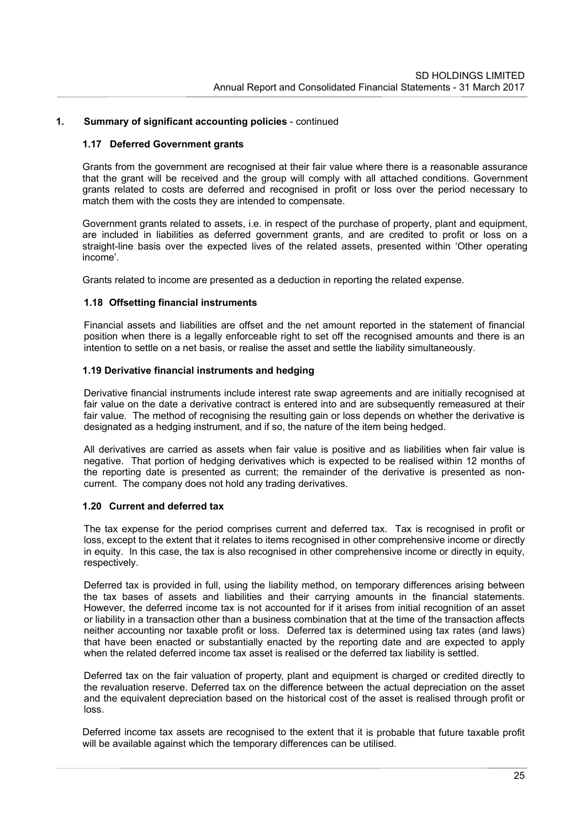## **1.17 Deferred Government grants**

Grants from the government are recognised at their fair value where there is a reasonable assurance that the grant will be received and the group will comply with all attached conditions. Government grants related to costs are deferred and recognised in profit or loss over the period necessary to match them with the costs they are intended to compensate.

Government grants related to assets, i.e. in respect of the purchase of property, plant and equipment, are included in liabilities as deferred government grants, and are credited to profit or loss on a straight-line basis over the expected lives of the related assets, presented within 'Other operating income'.

Grants related to income are presented as a deduction in reporting the related expense.

# **1.18 Offsetting financial instruments**

Financial assets and liabilities are offset and the net amount reported in the statement of financial position when there is a legally enforceable right to set off the recognised amounts and there is an intention to settle on a net basis, or realise the asset and settle the liability simultaneously.

# **1.19 Derivative financial instruments and hedging**

Derivative financial instruments include interest rate swap agreements and are initially recognised at fair value on the date a derivative contract is entered into and are subsequently remeasured at their fair value. The method of recognising the resulting gain or loss depends on whether the derivative is designated as a hedging instrument, and if so, the nature of the item being hedged.

All derivatives are carried as assets when fair value is positive and as liabilities when fair value is negative. That portion of hedging derivatives which is expected to be realised within 12 months of the reporting date is presented as current; the remainder of the derivative is presented as noncurrent. The company does not hold any trading derivatives.

### **1.20 Current and deferred tax**

The tax expense for the period comprises current and deferred tax. Tax is recognised in profit or loss, except to the extent that it relates to items recognised in other comprehensive income or directly in equity. In this case, the tax is also recognised in other comprehensive income or directly in equity, respectively.

Deferred tax is provided in full, using the liability method, on temporary differences arising between the tax bases of assets and liabilities and their carrying amounts in the financial statements. However, the deferred income tax is not accounted for if it arises from initial recognition of an asset or liability in a transaction other than a business combination that at the time of the transaction affects neither accounting nor taxable profit or loss. Deferred tax is determined using tax rates (and laws) that have been enacted or substantially enacted by the reporting date and are expected to apply when the related deferred income tax asset is realised or the deferred tax liability is settled.

Deferred tax on the fair valuation of property, plant and equipment is charged or credited directly to the revaluation reserve. Deferred tax on the difference between the actual depreciation on the asset and the equivalent depreciation based on the historical cost of the asset is realised through profit or loss.

Deferred income tax assets are recognised to the extent that it is probable that future taxable profit will be available against which the temporary differences can be utilised.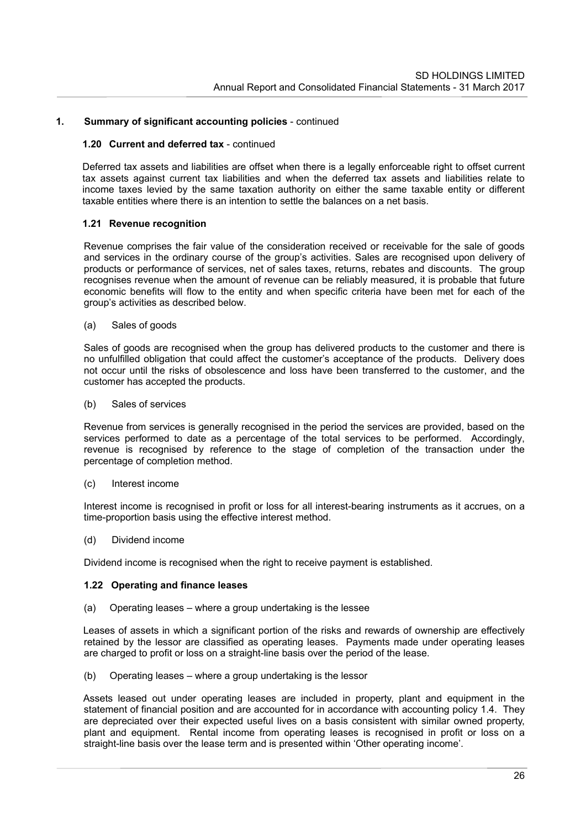#### **1.20 Current and deferred tax** - continued

Deferred tax assets and liabilities are offset when there is a legally enforceable right to offset current tax assets against current tax liabilities and when the deferred tax assets and liabilities relate to income taxes levied by the same taxation authority on either the same taxable entity or different taxable entities where there is an intention to settle the balances on a net basis.

### **1.21 Revenue recognition**

Revenue comprises the fair value of the consideration received or receivable for the sale of goods and services in the ordinary course of the group's activities. Sales are recognised upon delivery of products or performance of services, net of sales taxes, returns, rebates and discounts. The group recognises revenue when the amount of revenue can be reliably measured, it is probable that future economic benefits will flow to the entity and when specific criteria have been met for each of the group's activities as described below.

(a) Sales of goods

Sales of goods are recognised when the group has delivered products to the customer and there is no unfulfilled obligation that could affect the customer's acceptance of the products. Delivery does not occur until the risks of obsolescence and loss have been transferred to the customer, and the customer has accepted the products.

(b) Sales of services

Revenue from services is generally recognised in the period the services are provided, based on the services performed to date as a percentage of the total services to be performed. Accordingly, revenue is recognised by reference to the stage of completion of the transaction under the percentage of completion method.

(c) Interest income

Interest income is recognised in profit or loss for all interest-bearing instruments as it accrues, on a time-proportion basis using the effective interest method.

(d) Dividend income

Dividend income is recognised when the right to receive payment is established.

## **1.22 Operating and finance leases**

(a) Operating leases – where a group undertaking is the lessee

Leases of assets in which a significant portion of the risks and rewards of ownership are effectively retained by the lessor are classified as operating leases. Payments made under operating leases are charged to profit or loss on a straight-line basis over the period of the lease.

(b) Operating leases – where a group undertaking is the lessor

Assets leased out under operating leases are included in property, plant and equipment in the statement of financial position and are accounted for in accordance with accounting policy 1.4. They are depreciated over their expected useful lives on a basis consistent with similar owned property, plant and equipment. Rental income from operating leases is recognised in profit or loss on a straight-line basis over the lease term and is presented within 'Other operating income'.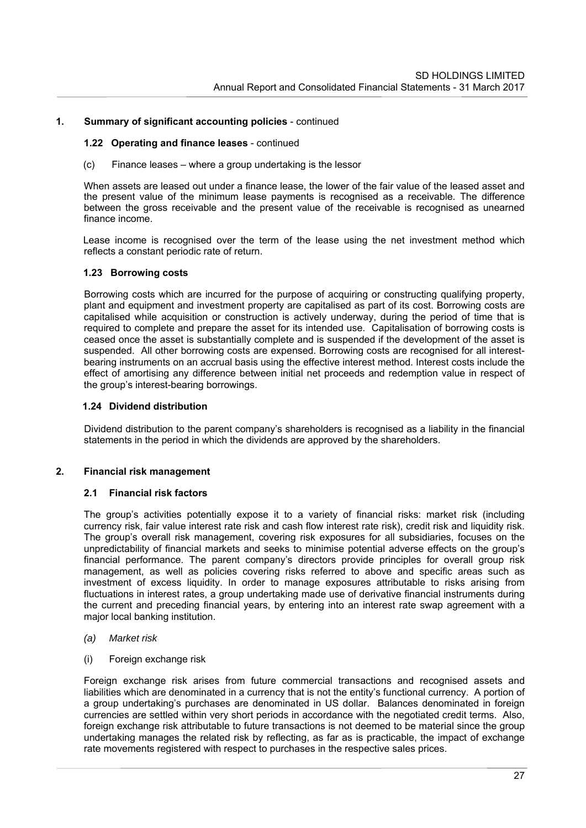### **1.22 Operating and finance leases** - continued

(c) Finance leases – where a group undertaking is the lessor

When assets are leased out under a finance lease, the lower of the fair value of the leased asset and the present value of the minimum lease payments is recognised as a receivable. The difference between the gross receivable and the present value of the receivable is recognised as unearned finance income.

Lease income is recognised over the term of the lease using the net investment method which reflects a constant periodic rate of return.

### **1.23 Borrowing costs**

Borrowing costs which are incurred for the purpose of acquiring or constructing qualifying property, plant and equipment and investment property are capitalised as part of its cost. Borrowing costs are capitalised while acquisition or construction is actively underway, during the period of time that is required to complete and prepare the asset for its intended use. Capitalisation of borrowing costs is ceased once the asset is substantially complete and is suspended if the development of the asset is suspended. All other borrowing costs are expensed. Borrowing costs are recognised for all interestbearing instruments on an accrual basis using the effective interest method. Interest costs include the effect of amortising any difference between initial net proceeds and redemption value in respect of the group's interest-bearing borrowings.

#### **1.24 Dividend distribution**

Dividend distribution to the parent company's shareholders is recognised as a liability in the financial statements in the period in which the dividends are approved by the shareholders.

#### **2. Financial risk management**

#### **2.1 Financial risk factors**

The group's activities potentially expose it to a variety of financial risks: market risk (including currency risk, fair value interest rate risk and cash flow interest rate risk), credit risk and liquidity risk. The group's overall risk management, covering risk exposures for all subsidiaries, focuses on the unpredictability of financial markets and seeks to minimise potential adverse effects on the group's financial performance. The parent company's directors provide principles for overall group risk management, as well as policies covering risks referred to above and specific areas such as investment of excess liquidity. In order to manage exposures attributable to risks arising from fluctuations in interest rates, a group undertaking made use of derivative financial instruments during the current and preceding financial years, by entering into an interest rate swap agreement with a major local banking institution.

#### *(a) Market risk*

(i) Foreign exchange risk

Foreign exchange risk arises from future commercial transactions and recognised assets and liabilities which are denominated in a currency that is not the entity's functional currency. A portion of a group undertaking's purchases are denominated in US dollar. Balances denominated in foreign currencies are settled within very short periods in accordance with the negotiated credit terms. Also, foreign exchange risk attributable to future transactions is not deemed to be material since the group undertaking manages the related risk by reflecting, as far as is practicable, the impact of exchange rate movements registered with respect to purchases in the respective sales prices.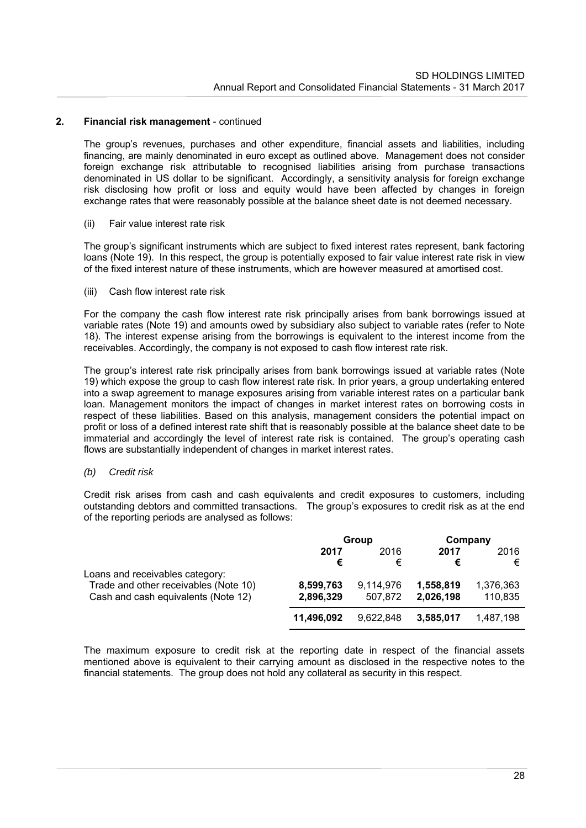The group's revenues, purchases and other expenditure, financial assets and liabilities, including financing, are mainly denominated in euro except as outlined above. Management does not consider foreign exchange risk attributable to recognised liabilities arising from purchase transactions denominated in US dollar to be significant. Accordingly, a sensitivity analysis for foreign exchange risk disclosing how profit or loss and equity would have been affected by changes in foreign exchange rates that were reasonably possible at the balance sheet date is not deemed necessary.

#### (ii) Fair value interest rate risk

The group's significant instruments which are subject to fixed interest rates represent, bank factoring loans (Note 19). In this respect, the group is potentially exposed to fair value interest rate risk in view of the fixed interest nature of these instruments, which are however measured at amortised cost.

#### (iii) Cash flow interest rate risk

For the company the cash flow interest rate risk principally arises from bank borrowings issued at variable rates (Note 19) and amounts owed by subsidiary also subject to variable rates (refer to Note 18). The interest expense arising from the borrowings is equivalent to the interest income from the receivables. Accordingly, the company is not exposed to cash flow interest rate risk.

The group's interest rate risk principally arises from bank borrowings issued at variable rates (Note 19) which expose the group to cash flow interest rate risk. In prior years, a group undertaking entered into a swap agreement to manage exposures arising from variable interest rates on a particular bank loan. Management monitors the impact of changes in market interest rates on borrowing costs in respect of these liabilities. Based on this analysis, management considers the potential impact on profit or loss of a defined interest rate shift that is reasonably possible at the balance sheet date to be immaterial and accordingly the level of interest rate risk is contained. The group's operating cash flows are substantially independent of changes in market interest rates.

### *(b) Credit risk*

Credit risk arises from cash and cash equivalents and credit exposures to customers, including outstanding debtors and committed transactions. The group's exposures to credit risk as at the end of the reporting periods are analysed as follows:

|                                       | Group      |           | Company   |           |
|---------------------------------------|------------|-----------|-----------|-----------|
|                                       | 2017       | 2016      | 2017      | 2016      |
|                                       | €          | €         |           | €         |
| Loans and receivables category:       |            |           |           |           |
| Trade and other receivables (Note 10) | 8,599,763  | 9.114.976 | 1,558,819 | 1,376,363 |
| Cash and cash equivalents (Note 12)   | 2,896,329  | 507.872   | 2,026,198 | 110,835   |
|                                       | 11,496,092 | 9.622.848 | 3,585,017 | 1.487.198 |

The maximum exposure to credit risk at the reporting date in respect of the financial assets mentioned above is equivalent to their carrying amount as disclosed in the respective notes to the financial statements. The group does not hold any collateral as security in this respect.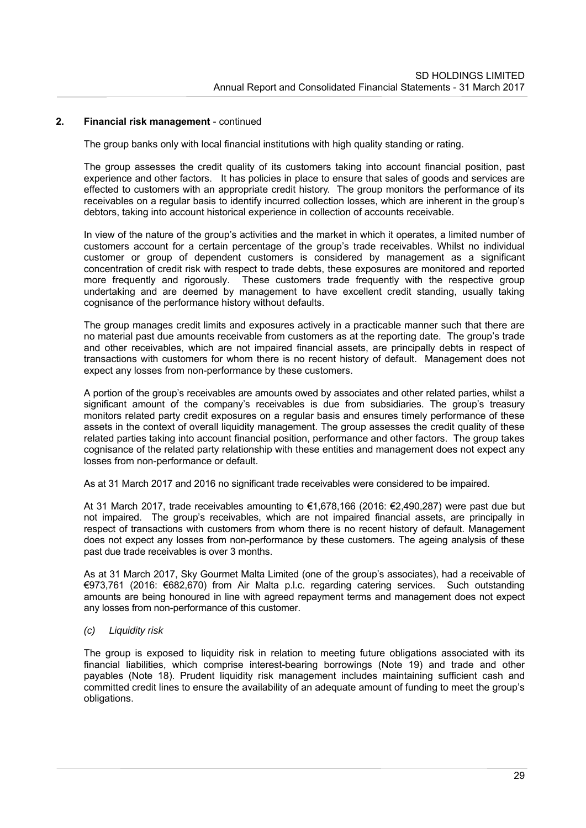The group banks only with local financial institutions with high quality standing or rating.

The group assesses the credit quality of its customers taking into account financial position, past experience and other factors. It has policies in place to ensure that sales of goods and services are effected to customers with an appropriate credit history. The group monitors the performance of its receivables on a regular basis to identify incurred collection losses, which are inherent in the group's debtors, taking into account historical experience in collection of accounts receivable.

In view of the nature of the group's activities and the market in which it operates, a limited number of customers account for a certain percentage of the group's trade receivables. Whilst no individual customer or group of dependent customers is considered by management as a significant concentration of credit risk with respect to trade debts, these exposures are monitored and reported more frequently and rigorously. These customers trade frequently with the respective group undertaking and are deemed by management to have excellent credit standing, usually taking cognisance of the performance history without defaults.

The group manages credit limits and exposures actively in a practicable manner such that there are no material past due amounts receivable from customers as at the reporting date. The group's trade and other receivables, which are not impaired financial assets, are principally debts in respect of transactions with customers for whom there is no recent history of default. Management does not expect any losses from non-performance by these customers.

A portion of the group's receivables are amounts owed by associates and other related parties, whilst a significant amount of the company's receivables is due from subsidiaries. The group's treasury monitors related party credit exposures on a regular basis and ensures timely performance of these assets in the context of overall liquidity management. The group assesses the credit quality of these related parties taking into account financial position, performance and other factors. The group takes cognisance of the related party relationship with these entities and management does not expect any losses from non-performance or default.

As at 31 March 2017 and 2016 no significant trade receivables were considered to be impaired.

At 31 March 2017, trade receivables amounting to €1,678,166 (2016: €2,490,287) were past due but not impaired. The group's receivables, which are not impaired financial assets, are principally in respect of transactions with customers from whom there is no recent history of default. Management does not expect any losses from non-performance by these customers. The ageing analysis of these past due trade receivables is over 3 months.

As at 31 March 2017, Sky Gourmet Malta Limited (one of the group's associates), had a receivable of €973,761 (2016: €682,670) from Air Malta p.l.c. regarding catering services. Such outstanding amounts are being honoured in line with agreed repayment terms and management does not expect any losses from non-performance of this customer.

#### *(c) Liquidity risk*

The group is exposed to liquidity risk in relation to meeting future obligations associated with its financial liabilities, which comprise interest-bearing borrowings (Note 19) and trade and other payables (Note 18). Prudent liquidity risk management includes maintaining sufficient cash and committed credit lines to ensure the availability of an adequate amount of funding to meet the group's obligations.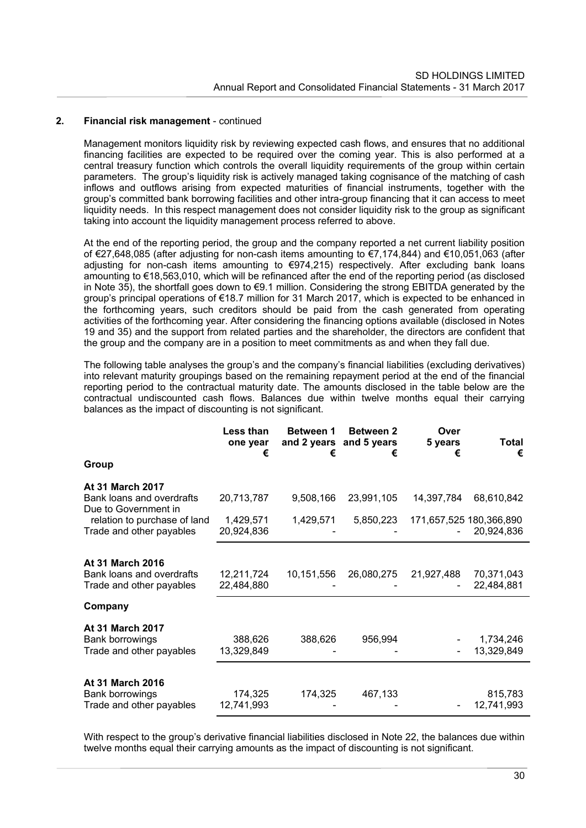Management monitors liquidity risk by reviewing expected cash flows, and ensures that no additional financing facilities are expected to be required over the coming year. This is also performed at a central treasury function which controls the overall liquidity requirements of the group within certain parameters. The group's liquidity risk is actively managed taking cognisance of the matching of cash inflows and outflows arising from expected maturities of financial instruments, together with the group's committed bank borrowing facilities and other intra-group financing that it can access to meet liquidity needs. In this respect management does not consider liquidity risk to the group as significant taking into account the liquidity management process referred to above.

At the end of the reporting period, the group and the company reported a net current liability position of €27,648,085 (after adjusting for non-cash items amounting to €7,174,844) and €10,051,063 (after adjusting for non-cash items amounting to €974,215) respectively. After excluding bank loans amounting to €18,563,010, which will be refinanced after the end of the reporting period (as disclosed in Note 35), the shortfall goes down to €9.1 million. Considering the strong EBITDA generated by the group's principal operations of €18.7 million for 31 March 2017, which is expected to be enhanced in the forthcoming years, such creditors should be paid from the cash generated from operating activities of the forthcoming year. After considering the financing options available (disclosed in Notes 19 and 35) and the support from related parties and the shareholder, the directors are confident that the group and the company are in a position to meet commitments as and when they fall due.

The following table analyses the group's and the company's financial liabilities (excluding derivatives) into relevant maturity groupings based on the remaining repayment period at the end of the financial reporting period to the contractual maturity date. The amounts disclosed in the table below are the contractual undiscounted cash flows. Balances due within twelve months equal their carrying balances as the impact of discounting is not significant.

|                                                                              | Less than<br>one year<br>€ | Between 1<br>and 2 years and 5 years<br>€ | <b>Between 2</b><br>€ | Over<br>5 years<br>€    | Total<br>€               |
|------------------------------------------------------------------------------|----------------------------|-------------------------------------------|-----------------------|-------------------------|--------------------------|
| Group                                                                        |                            |                                           |                       |                         |                          |
| <b>At 31 March 2017</b><br>Bank loans and overdrafts<br>Due to Government in | 20,713,787                 | 9,508,166                                 | 23,991,105            | 14,397,784              | 68,610,842               |
| relation to purchase of land<br>Trade and other payables                     | 1,429,571<br>20,924,836    | 1,429,571                                 | 5,850,223             | 171,657,525 180,366,890 | 20,924,836               |
| At 31 March 2016                                                             |                            |                                           |                       |                         |                          |
| Bank loans and overdrafts<br>Trade and other payables                        | 12,211,724<br>22,484,880   | 10,151,556                                | 26,080,275            | 21,927,488              | 70,371,043<br>22,484,881 |
| Company                                                                      |                            |                                           |                       |                         |                          |
| At 31 March 2017<br>Bank borrowings<br>Trade and other payables              | 388,626<br>13,329,849      | 388,626                                   | 956,994               |                         | 1,734,246<br>13,329,849  |
| At 31 March 2016<br>Bank borrowings<br>Trade and other payables              | 174,325<br>12,741,993      | 174,325                                   | 467,133               |                         | 815,783<br>12,741,993    |

With respect to the group's derivative financial liabilities disclosed in Note 22, the balances due within twelve months equal their carrying amounts as the impact of discounting is not significant.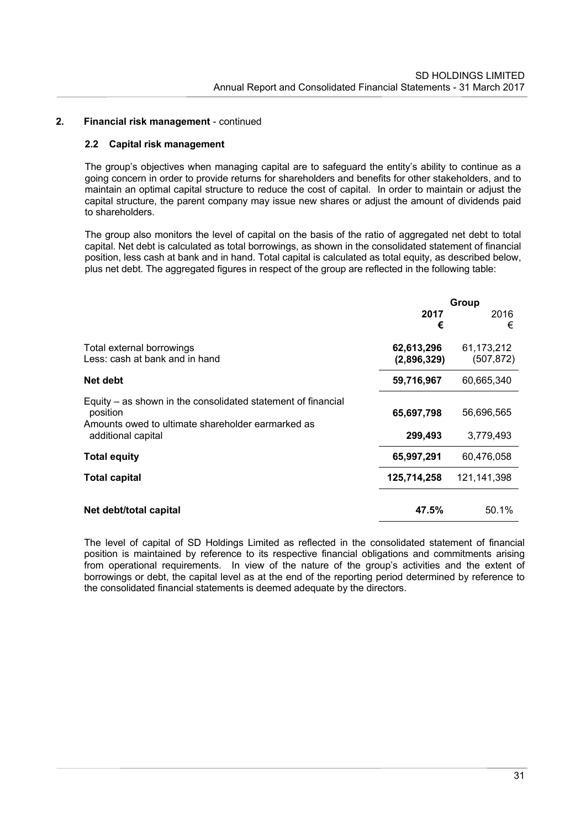#### **2.2 Capital risk management**

The group's objectives when managing capital are to safeguard the entity's ability to continue as a going concern in order to provide returns for shareholders and benefits for other stakeholders, and to maintain an optimal capital structure to reduce the cost of capital. In order to maintain or adjust the capital structure, the parent company may issue new shares or adjust the amount of dividends paid to shareholders.

The group also monitors the level of capital on the basis of the ratio of aggregated net debt to total capital. Net debt is calculated as total borrowings, as shown in the consolidated statement of financial position, less cash at bank and in hand. Total capital is calculated as total equity, as described below, plus net debt. The aggregated figures in respect of the group are reflected in the following table:

|                                                               | Group       |             |  |
|---------------------------------------------------------------|-------------|-------------|--|
|                                                               | 2017        | 2016        |  |
|                                                               | €           | €           |  |
| Total external borrowings                                     | 62,613,296  | 61,173,212  |  |
| Less: cash at bank and in hand                                | (2,896,329) | (507, 872)  |  |
| Net debt                                                      | 59,716,967  | 60,665,340  |  |
| Equity – as shown in the consolidated statement of financial  |             |             |  |
| position<br>Amounts owed to ultimate shareholder earmarked as | 65,697,798  | 56,696,565  |  |
| additional capital                                            | 299,493     | 3,779,493   |  |
| <b>Total equity</b>                                           | 65,997,291  | 60,476,058  |  |
| <b>Total capital</b>                                          | 125,714,258 | 121,141,398 |  |
|                                                               |             |             |  |
| Net debt/total capital                                        | 47.5%       | 50.1%       |  |

The level of capital of SD Holdings Limited as reflected in the consolidated statement of financial position is maintained by reference to its respective financial obligations and commitments arising from operational requirements. In view of the nature of the group's activities and the extent of borrowings or debt, the capital level as at the end of the reporting period determined by reference to the consolidated financial statements is deemed adequate by the directors.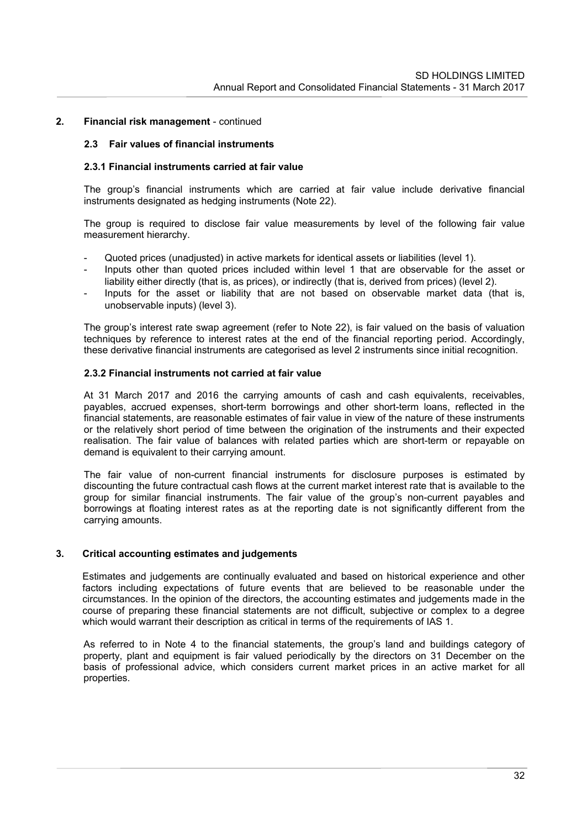#### **2.3 Fair values of financial instruments**

#### **2.3.1 Financial instruments carried at fair value**

The group's financial instruments which are carried at fair value include derivative financial instruments designated as hedging instruments (Note 22).

The group is required to disclose fair value measurements by level of the following fair value measurement hierarchy.

- Quoted prices (unadjusted) in active markets for identical assets or liabilities (level 1).
- Inputs other than quoted prices included within level 1 that are observable for the asset or liability either directly (that is, as prices), or indirectly (that is, derived from prices) (level 2).
- Inputs for the asset or liability that are not based on observable market data (that is, unobservable inputs) (level 3).

The group's interest rate swap agreement (refer to Note 22), is fair valued on the basis of valuation techniques by reference to interest rates at the end of the financial reporting period. Accordingly, these derivative financial instruments are categorised as level 2 instruments since initial recognition.

#### **2.3.2 Financial instruments not carried at fair value**

At 31 March 2017 and 2016 the carrying amounts of cash and cash equivalents, receivables, payables, accrued expenses, short-term borrowings and other short-term loans, reflected in the financial statements, are reasonable estimates of fair value in view of the nature of these instruments or the relatively short period of time between the origination of the instruments and their expected realisation. The fair value of balances with related parties which are short-term or repayable on demand is equivalent to their carrying amount.

The fair value of non-current financial instruments for disclosure purposes is estimated by discounting the future contractual cash flows at the current market interest rate that is available to the group for similar financial instruments. The fair value of the group's non-current payables and borrowings at floating interest rates as at the reporting date is not significantly different from the carrying amounts.

### **3. Critical accounting estimates and judgements**

Estimates and judgements are continually evaluated and based on historical experience and other factors including expectations of future events that are believed to be reasonable under the circumstances. In the opinion of the directors, the accounting estimates and judgements made in the course of preparing these financial statements are not difficult, subjective or complex to a degree which would warrant their description as critical in terms of the requirements of IAS 1.

As referred to in Note 4 to the financial statements, the group's land and buildings category of property, plant and equipment is fair valued periodically by the directors on 31 December on the basis of professional advice, which considers current market prices in an active market for all properties.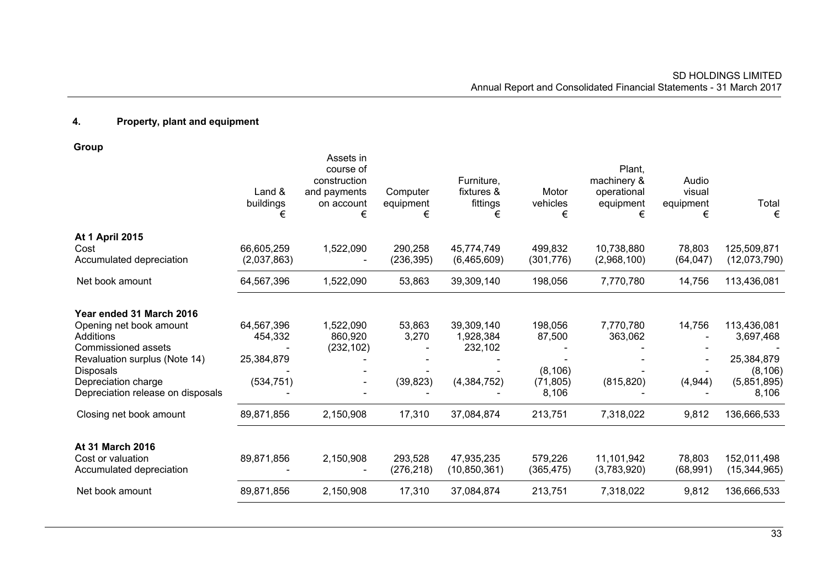# **4. Property, plant and equipment**

**Group** 

|                                                                                                                                                                                                          | Land &<br>buildings<br>€                          | Assets in<br>course of<br>construction<br>and payments<br>on account<br>€ | Computer<br>equipment<br>€   | Furniture,<br>fixtures &<br>fittings<br>€           | Motor<br>vehicles<br>€                              | Plant,<br>machinery &<br>operational<br>equipment<br>€ | Audio<br>visual<br>equipment<br>€ | Total<br>€                                                                 |
|----------------------------------------------------------------------------------------------------------------------------------------------------------------------------------------------------------|---------------------------------------------------|---------------------------------------------------------------------------|------------------------------|-----------------------------------------------------|-----------------------------------------------------|--------------------------------------------------------|-----------------------------------|----------------------------------------------------------------------------|
| At 1 April 2015<br>Cost<br>Accumulated depreciation                                                                                                                                                      | 66,605,259<br>(2,037,863)                         | 1,522,090                                                                 | 290,258<br>(236, 395)        | 45,774,749<br>(6,465,609)                           | 499,832<br>(301, 776)                               | 10,738,880<br>(2,968,100)                              | 78,803<br>(64, 047)               | 125,509,871<br>(12,073,790)                                                |
| Net book amount                                                                                                                                                                                          | 64,567,396                                        | 1,522,090                                                                 | 53,863                       | 39,309,140                                          | 198,056                                             | 7,770,780                                              | 14,756                            | 113,436,081                                                                |
| Year ended 31 March 2016<br>Opening net book amount<br>Additions<br>Commissioned assets<br>Revaluation surplus (Note 14)<br><b>Disposals</b><br>Depreciation charge<br>Depreciation release on disposals | 64,567,396<br>454,332<br>25,384,879<br>(534, 751) | 1,522,090<br>860,920<br>(232, 102)                                        | 53,863<br>3,270<br>(39, 823) | 39,309,140<br>1,928,384<br>232,102<br>(4, 384, 752) | 198,056<br>87,500<br>(8, 106)<br>(71, 805)<br>8,106 | 7,770,780<br>363,062<br>(815, 820)                     | 14,756<br>(4,944)                 | 113,436,081<br>3,697,468<br>25,384,879<br>(8, 106)<br>(5,851,895)<br>8,106 |
| Closing net book amount                                                                                                                                                                                  | 89,871,856                                        | 2,150,908                                                                 | 17,310                       | 37,084,874                                          | 213,751                                             | 7,318,022                                              | 9,812                             | 136,666,533                                                                |
| At 31 March 2016<br>Cost or valuation<br>Accumulated depreciation                                                                                                                                        | 89,871,856                                        | 2,150,908                                                                 | 293,528<br>(276, 218)        | 47,935,235<br>(10, 850, 361)                        | 579,226<br>(365, 475)                               | 11,101,942<br>(3,783,920)                              | 78,803<br>(68, 991)               | 152,011,498<br>(15, 344, 965)                                              |
| Net book amount                                                                                                                                                                                          | 89,871,856                                        | 2,150,908                                                                 | 17,310                       | 37,084,874                                          | 213,751                                             | 7,318,022                                              | 9,812                             | 136,666,533                                                                |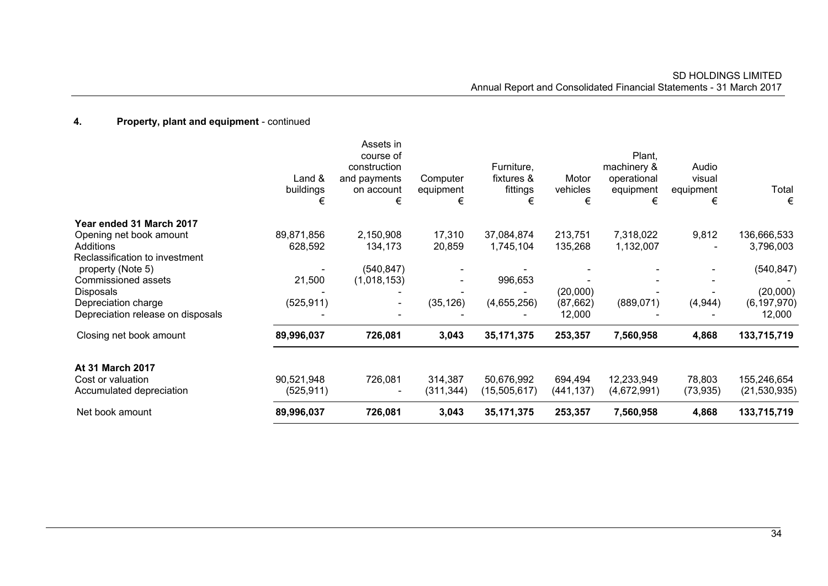| Net book amount                                                            | 89,996,037                  | 726,081                                                                   | 3,043                      | 35, 171, 375                              | 253,357                | 7,560,958                                              | 4,868                             | 133,715,719                   |
|----------------------------------------------------------------------------|-----------------------------|---------------------------------------------------------------------------|----------------------------|-------------------------------------------|------------------------|--------------------------------------------------------|-----------------------------------|-------------------------------|
| <b>At 31 March 2017</b><br>Cost or valuation<br>Accumulated depreciation   | 90,521,948<br>(525, 911)    | 726,081                                                                   | 314,387<br>(311, 344)      | 50,676,992<br>(15,505,617)                | 694,494<br>(441,137)   | 12,233,949<br>(4,672,991)                              | 78,803<br>(73, 935)               | 155,246,654<br>(21, 530, 935) |
| Closing net book amount                                                    | 89,996,037                  | 726,081                                                                   | 3,043                      | 35, 171, 375                              | 253,357                | 7,560,958                                              | 4,868                             | 133,715,719                   |
| Depreciation charge<br>Depreciation release on disposals                   | (525, 911)                  | $\blacksquare$                                                            | (35, 126)                  | (4,655,256)                               | (87,662)<br>12,000     | (889, 071)                                             | (4, 944)                          | (6, 197, 970)<br>12,000       |
| <b>Disposals</b>                                                           |                             |                                                                           |                            |                                           | (20,000)               |                                                        |                                   | (20,000)                      |
| Reclassification to investment<br>property (Note 5)<br>Commissioned assets | 21,500                      | (540, 847)<br>(1,018,153)                                                 |                            | 996,653                                   |                        |                                                        |                                   | (540, 847)                    |
| Year ended 31 March 2017<br>Opening net book amount<br>Additions           | 89,871,856<br>628,592       | 2,150,908<br>134,173                                                      | 17,310<br>20,859           | 37,084,874<br>1,745,104                   | 213,751<br>135,268     | 7,318,022<br>1,132,007                                 | 9,812                             | 136,666,533<br>3,796,003      |
|                                                                            | Land $\&$<br>buildings<br>€ | Assets in<br>course of<br>construction<br>and payments<br>on account<br>€ | Computer<br>equipment<br>€ | Furniture,<br>fixtures &<br>fittings<br>€ | Motor<br>vehicles<br>€ | Plant,<br>machinery &<br>operational<br>equipment<br>€ | Audio<br>visual<br>equipment<br>€ | Total<br>€                    |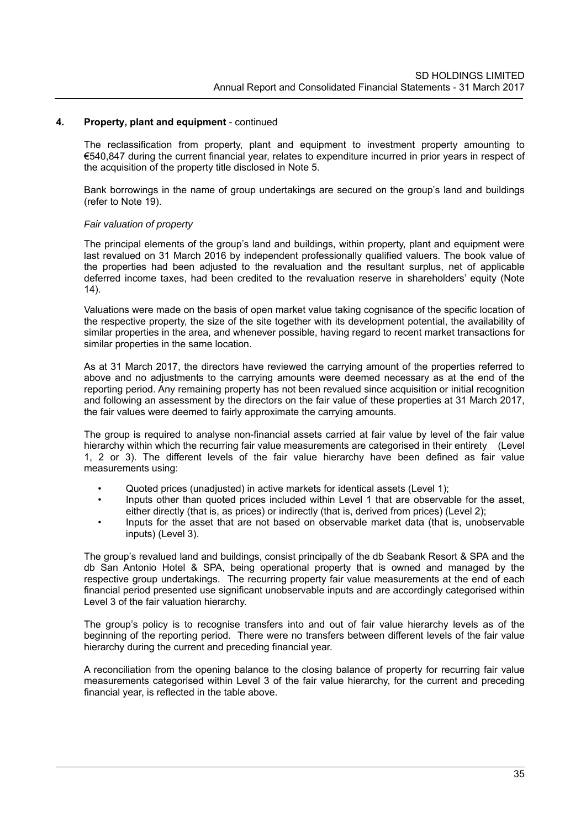The reclassification from property, plant and equipment to investment property amounting to €540,847 during the current financial year, relates to expenditure incurred in prior years in respect of the acquisition of the property title disclosed in Note 5.

Bank borrowings in the name of group undertakings are secured on the group's land and buildings (refer to Note 19).

#### *Fair valuation of property*

The principal elements of the group's land and buildings, within property, plant and equipment were last revalued on 31 March 2016 by independent professionally qualified valuers. The book value of the properties had been adjusted to the revaluation and the resultant surplus, net of applicable deferred income taxes, had been credited to the revaluation reserve in shareholders' equity (Note 14).

Valuations were made on the basis of open market value taking cognisance of the specific location of the respective property, the size of the site together with its development potential, the availability of similar properties in the area, and whenever possible, having regard to recent market transactions for similar properties in the same location.

As at 31 March 2017, the directors have reviewed the carrying amount of the properties referred to above and no adjustments to the carrying amounts were deemed necessary as at the end of the reporting period. Any remaining property has not been revalued since acquisition or initial recognition and following an assessment by the directors on the fair value of these properties at 31 March 2017, the fair values were deemed to fairly approximate the carrying amounts.

The group is required to analyse non-financial assets carried at fair value by level of the fair value hierarchy within which the recurring fair value measurements are categorised in their entirety (Level 1, 2 or 3). The different levels of the fair value hierarchy have been defined as fair value measurements using:

- Quoted prices (unadjusted) in active markets for identical assets (Level 1);
- Inputs other than quoted prices included within Level 1 that are observable for the asset, either directly (that is, as prices) or indirectly (that is, derived from prices) (Level 2);
- Inputs for the asset that are not based on observable market data (that is, unobservable inputs) (Level 3).

The group's revalued land and buildings, consist principally of the db Seabank Resort & SPA and the db San Antonio Hotel & SPA, being operational property that is owned and managed by the respective group undertakings. The recurring property fair value measurements at the end of each financial period presented use significant unobservable inputs and are accordingly categorised within Level 3 of the fair valuation hierarchy.

The group's policy is to recognise transfers into and out of fair value hierarchy levels as of the beginning of the reporting period. There were no transfers between different levels of the fair value hierarchy during the current and preceding financial year.

A reconciliation from the opening balance to the closing balance of property for recurring fair value measurements categorised within Level 3 of the fair value hierarchy, for the current and preceding financial year, is reflected in the table above.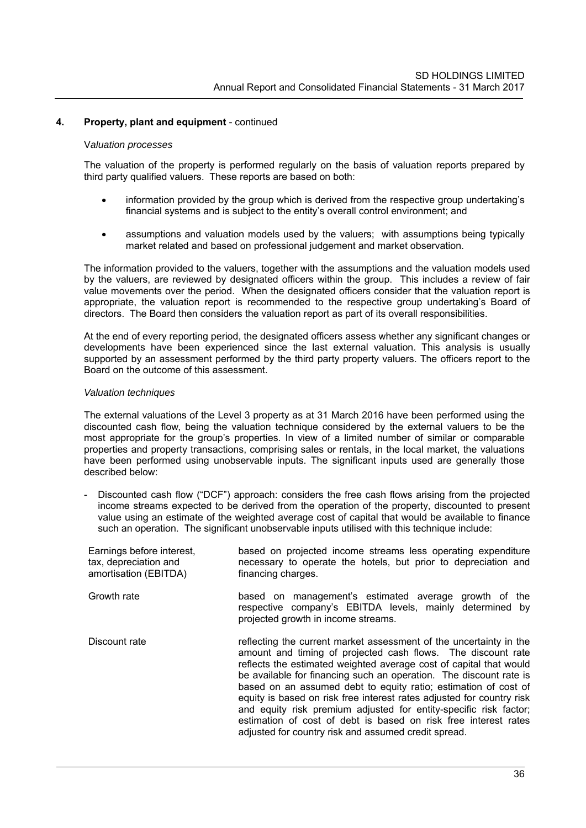#### V*aluation processes*

The valuation of the property is performed regularly on the basis of valuation reports prepared by third party qualified valuers. These reports are based on both:

- information provided by the group which is derived from the respective group undertaking's financial systems and is subject to the entity's overall control environment; and
- assumptions and valuation models used by the valuers; with assumptions being typically market related and based on professional judgement and market observation.

The information provided to the valuers, together with the assumptions and the valuation models used by the valuers, are reviewed by designated officers within the group. This includes a review of fair value movements over the period. When the designated officers consider that the valuation report is appropriate, the valuation report is recommended to the respective group undertaking's Board of directors. The Board then considers the valuation report as part of its overall responsibilities.

At the end of every reporting period, the designated officers assess whether any significant changes or developments have been experienced since the last external valuation. This analysis is usually supported by an assessment performed by the third party property valuers. The officers report to the Board on the outcome of this assessment.

#### *Valuation techniques*

The external valuations of the Level 3 property as at 31 March 2016 have been performed using the discounted cash flow, being the valuation technique considered by the external valuers to be the most appropriate for the group's properties. In view of a limited number of similar or comparable properties and property transactions, comprising sales or rentals, in the local market, the valuations have been performed using unobservable inputs. The significant inputs used are generally those described below:

- Discounted cash flow ("DCF") approach: considers the free cash flows arising from the projected income streams expected to be derived from the operation of the property, discounted to present value using an estimate of the weighted average cost of capital that would be available to finance such an operation. The significant unobservable inputs utilised with this technique include:

| Earnings before interest,<br>tax, depreciation and<br>amortisation (EBITDA) | based on projected income streams less operating expenditure<br>necessary to operate the hotels, but prior to depreciation and<br>financing charges.                                                                                                                                                                                                                                                                                                                                                                                                                                                                       |
|-----------------------------------------------------------------------------|----------------------------------------------------------------------------------------------------------------------------------------------------------------------------------------------------------------------------------------------------------------------------------------------------------------------------------------------------------------------------------------------------------------------------------------------------------------------------------------------------------------------------------------------------------------------------------------------------------------------------|
| Growth rate                                                                 | based on management's estimated average growth of the<br>respective company's EBITDA levels, mainly determined by<br>projected growth in income streams.                                                                                                                                                                                                                                                                                                                                                                                                                                                                   |
| Discount rate                                                               | reflecting the current market assessment of the uncertainty in the<br>amount and timing of projected cash flows. The discount rate<br>reflects the estimated weighted average cost of capital that would<br>be available for financing such an operation. The discount rate is<br>based on an assumed debt to equity ratio; estimation of cost of<br>equity is based on risk free interest rates adjusted for country risk<br>and equity risk premium adjusted for entity-specific risk factor;<br>estimation of cost of debt is based on risk free interest rates<br>adjusted for country risk and assumed credit spread. |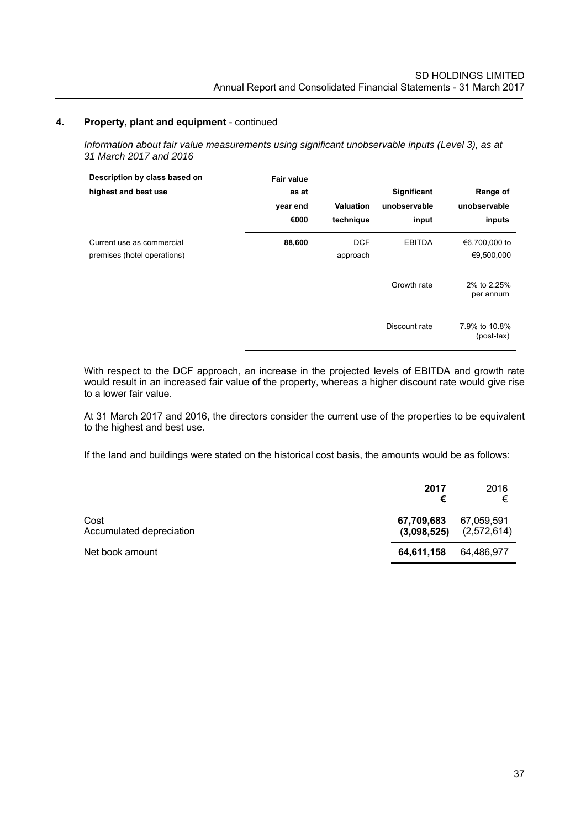*Information about fair value measurements using significant unobservable inputs (Level 3), as at 31 March 2017 and 2016*

| Description by class based on<br>highest and best use    | <b>Fair value</b><br>as at<br>year end<br>€000 | <b>Valuation</b><br>technique | Significant<br>unobservable<br>input | Range of<br>unobservable<br>inputs |
|----------------------------------------------------------|------------------------------------------------|-------------------------------|--------------------------------------|------------------------------------|
| Current use as commercial<br>premises (hotel operations) | 88,600                                         | <b>DCF</b><br>approach        | <b>EBITDA</b>                        | €6,700,000 to<br>€9,500,000        |
|                                                          |                                                |                               | Growth rate                          | 2% to 2.25%<br>per annum           |
|                                                          |                                                |                               | Discount rate                        | 7.9% to 10.8%<br>$(post-tax)$      |

With respect to the DCF approach, an increase in the projected levels of EBITDA and growth rate would result in an increased fair value of the property, whereas a higher discount rate would give rise to a lower fair value.

At 31 March 2017 and 2016, the directors consider the current use of the properties to be equivalent to the highest and best use.

If the land and buildings were stated on the historical cost basis, the amounts would be as follows:

|                                  | 2017<br>€                 | 2016<br>€                 |
|----------------------------------|---------------------------|---------------------------|
| Cost<br>Accumulated depreciation | 67,709,683<br>(3,098,525) | 67,059,591<br>(2,572,614) |
| Net book amount                  | 64,611,158                | 64.486.977                |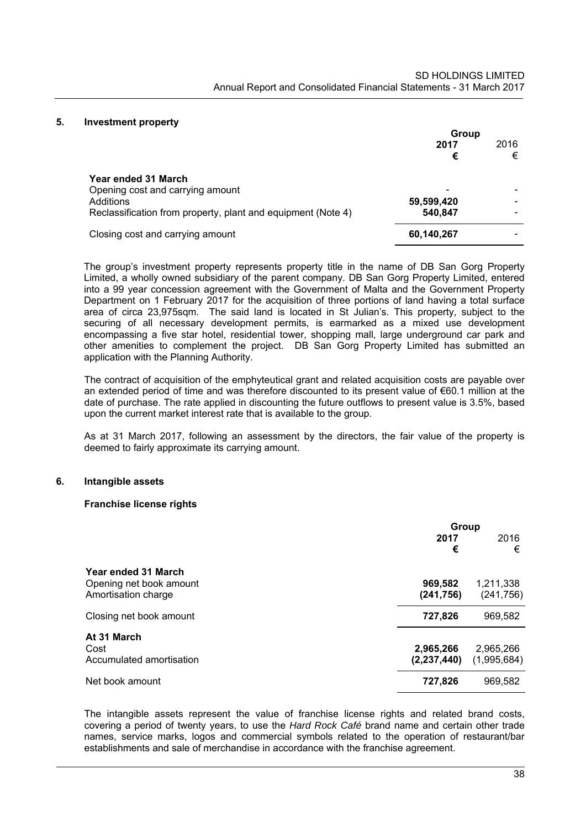#### **5. Investment property**

|                                                              | Group      |           |  |
|--------------------------------------------------------------|------------|-----------|--|
|                                                              | 2017<br>€  | 2016<br>€ |  |
| Year ended 31 March                                          |            |           |  |
| Opening cost and carrying amount                             |            |           |  |
| Additions                                                    | 59,599,420 |           |  |
| Reclassification from property, plant and equipment (Note 4) | 540,847    |           |  |
| Closing cost and carrying amount                             | 60,140,267 |           |  |

The group's investment property represents property title in the name of DB San Gorg Property Limited, a wholly owned subsidiary of the parent company. DB San Gorg Property Limited, entered into a 99 year concession agreement with the Government of Malta and the Government Property Department on 1 February 2017 for the acquisition of three portions of land having a total surface area of circa 23,975sqm. The said land is located in St Julian's. This property, subject to the securing of all necessary development permits, is earmarked as a mixed use development encompassing a five star hotel, residential tower, shopping mall, large underground car park and other amenities to complement the project. DB San Gorg Property Limited has submitted an application with the Planning Authority.

The contract of acquisition of the emphyteutical grant and related acquisition costs are payable over an extended period of time and was therefore discounted to its present value of €60.1 million at the date of purchase. The rate applied in discounting the future outflows to present value is 3.5%, based upon the current market interest rate that is available to the group.

As at 31 March 2017, following an assessment by the directors, the fair value of the property is deemed to fairly approximate its carrying amount.

### **6. Intangible assets**

#### **Franchise license rights**

|                                                | Group                 |                         |  |
|------------------------------------------------|-----------------------|-------------------------|--|
|                                                | 2017<br>€             | 2016<br>€               |  |
| Year ended 31 March                            |                       |                         |  |
| Opening net book amount<br>Amortisation charge | 969,582<br>(241, 756) | 1,211,338<br>(241, 756) |  |
| Closing net book amount                        | 727,826               | 969,582                 |  |
| At 31 March                                    |                       |                         |  |
| Cost                                           | 2,965,266             | 2,965,266               |  |
| Accumulated amortisation                       | (2, 237, 440)         | (1,995,684)             |  |
| Net book amount                                | 727,826               | 969,582                 |  |

The intangible assets represent the value of franchise license rights and related brand costs, covering a period of twenty years, to use the *Hard Rock Café* brand name and certain other trade names, service marks, logos and commercial symbols related to the operation of restaurant/bar establishments and sale of merchandise in accordance with the franchise agreement.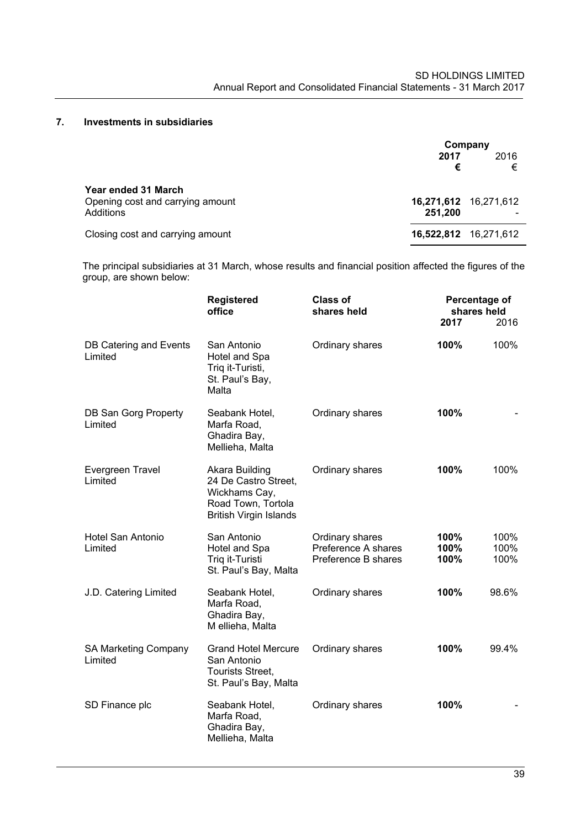# **7. Investments in subsidiaries**

|                                                                      | 2017                             | Company<br>2016 |
|----------------------------------------------------------------------|----------------------------------|-----------------|
|                                                                      | €                                | €               |
| Year ended 31 March<br>Opening cost and carrying amount<br>Additions | 16,271,612 16,271,612<br>251.200 |                 |
| Closing cost and carrying amount                                     | 16,522,812 16,271,612            |                 |

The principal subsidiaries at 31 March, whose results and financial position affected the figures of the group, are shown below:

|                                   | <b>Registered</b><br>office                                                                                    | <b>Class of</b><br>shares held                                | Percentage of<br>shares held<br>2017 | 2016                 |
|-----------------------------------|----------------------------------------------------------------------------------------------------------------|---------------------------------------------------------------|--------------------------------------|----------------------|
| DB Catering and Events<br>Limited | San Antonio<br>Hotel and Spa<br>Triq it-Turisti,<br>St. Paul's Bay,<br>Malta                                   | Ordinary shares                                               | 100%                                 | 100%                 |
| DB San Gorg Property<br>Limited   | Seabank Hotel,<br>Marfa Road,<br>Ghadira Bay,<br>Mellieha, Malta                                               | Ordinary shares                                               | 100%                                 |                      |
| Evergreen Travel<br>Limited       | Akara Building<br>24 De Castro Street,<br>Wickhams Cay,<br>Road Town, Tortola<br><b>British Virgin Islands</b> | Ordinary shares                                               | 100%                                 | 100%                 |
| Hotel San Antonio<br>Limited      | San Antonio<br>Hotel and Spa<br>Triq it-Turisti<br>St. Paul's Bay, Malta                                       | Ordinary shares<br>Preference A shares<br>Preference B shares | 100%<br>100%<br>100%                 | 100%<br>100%<br>100% |
| J.D. Catering Limited             | Seabank Hotel,<br>Marfa Road,<br>Ghadira Bay,<br>M ellieha, Malta                                              | Ordinary shares                                               | 100%                                 | 98.6%                |
| SA Marketing Company<br>Limited   | <b>Grand Hotel Mercure</b><br>San Antonio<br>Tourists Street,<br>St. Paul's Bay, Malta                         | Ordinary shares                                               | 100%                                 | 99.4%                |
| SD Finance plc                    | Seabank Hotel,<br>Marfa Road,<br>Ghadira Bay,<br>Mellieha, Malta                                               | Ordinary shares                                               | 100%                                 |                      |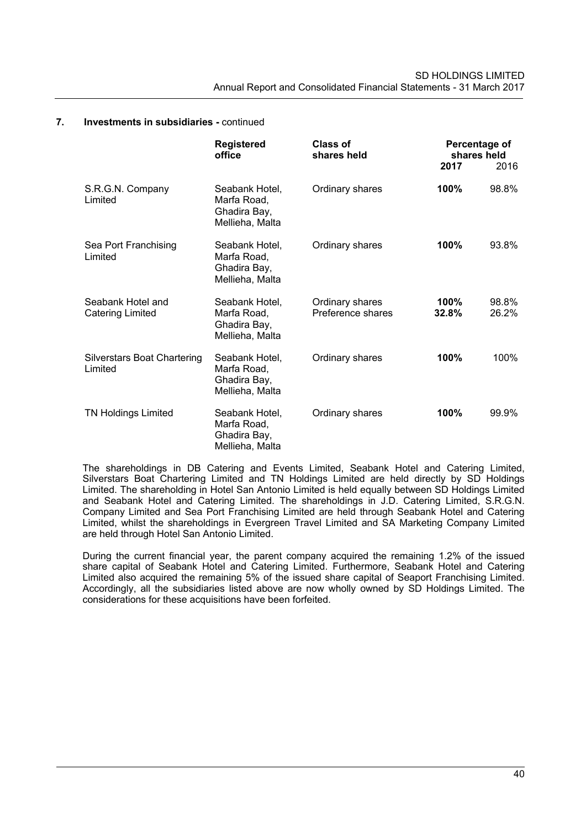|                                               | <b>Registered</b><br>office                                      | Class of<br>shares held              | Percentage of<br>shares held<br>2017 | 2016           |
|-----------------------------------------------|------------------------------------------------------------------|--------------------------------------|--------------------------------------|----------------|
| S.R.G.N. Company<br>Limited                   | Seabank Hotel,<br>Marfa Road,<br>Ghadira Bay,<br>Mellieha, Malta | Ordinary shares                      | 100%                                 | 98.8%          |
| Sea Port Franchising<br>Limited               | Seabank Hotel.<br>Marfa Road,<br>Ghadira Bay,<br>Mellieha, Malta | Ordinary shares                      | 100%                                 | 93.8%          |
| Seabank Hotel and<br>Catering Limited         | Seabank Hotel,<br>Marfa Road,<br>Ghadira Bay,<br>Mellieha, Malta | Ordinary shares<br>Preference shares | 100%<br>32.8%                        | 98.8%<br>26.2% |
| <b>Silverstars Boat Chartering</b><br>Limited | Seabank Hotel,<br>Marfa Road,<br>Ghadira Bay,<br>Mellieha, Malta | Ordinary shares                      | 100%                                 | 100%           |
| <b>TN Holdings Limited</b>                    | Seabank Hotel,<br>Marfa Road,<br>Ghadira Bay,<br>Mellieha, Malta | Ordinary shares                      | 100%                                 | 99.9%          |

#### **7. Investments in subsidiaries -** continued

The shareholdings in DB Catering and Events Limited, Seabank Hotel and Catering Limited, Silverstars Boat Chartering Limited and TN Holdings Limited are held directly by SD Holdings Limited. The shareholding in Hotel San Antonio Limited is held equally between SD Holdings Limited and Seabank Hotel and Catering Limited. The shareholdings in J.D. Catering Limited, S.R.G.N. Company Limited and Sea Port Franchising Limited are held through Seabank Hotel and Catering Limited, whilst the shareholdings in Evergreen Travel Limited and SA Marketing Company Limited are held through Hotel San Antonio Limited.

During the current financial year, the parent company acquired the remaining 1.2% of the issued share capital of Seabank Hotel and Catering Limited. Furthermore, Seabank Hotel and Catering Limited also acquired the remaining 5% of the issued share capital of Seaport Franchising Limited. Accordingly, all the subsidiaries listed above are now wholly owned by SD Holdings Limited. The considerations for these acquisitions have been forfeited.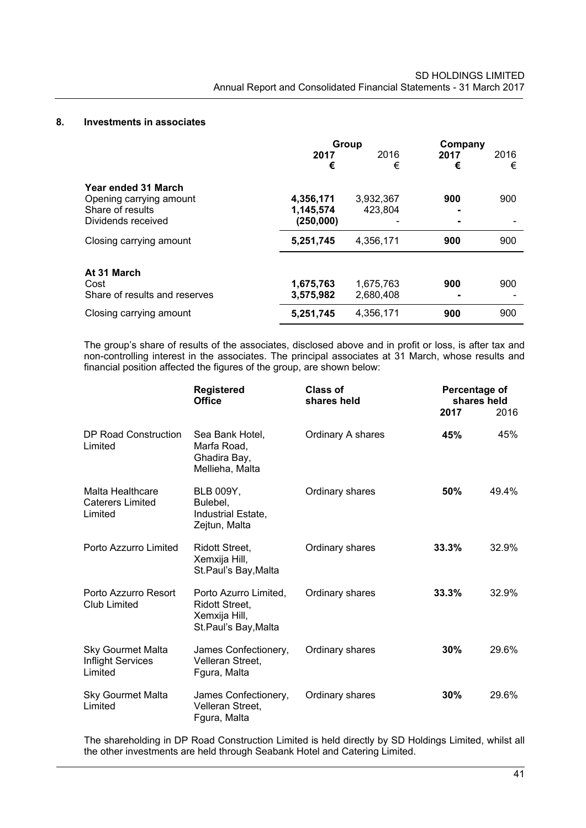#### **8. Investments in associates**

|                                                                                          | Group                               |                        | Company   |           |  |
|------------------------------------------------------------------------------------------|-------------------------------------|------------------------|-----------|-----------|--|
|                                                                                          | 2017<br>€                           | 2016<br>€              | 2017<br>€ | 2016<br>€ |  |
| Year ended 31 March<br>Opening carrying amount<br>Share of results<br>Dividends received | 4,356,171<br>1,145,574<br>(250,000) | 3,932,367<br>423,804   | 900       | 900       |  |
| Closing carrying amount                                                                  | 5,251,745                           | 4.356.171              | 900       | 900       |  |
| At 31 March<br>Cost<br>Share of results and reserves                                     | 1,675,763<br>3,575,982              | 1,675,763<br>2,680,408 | 900       | 900       |  |
| Closing carrying amount                                                                  | 5,251,745                           | 4,356,171              | 900       | 900       |  |

The group's share of results of the associates, disclosed above and in profit or loss, is after tax and non-controlling interest in the associates. The principal associates at 31 March, whose results and financial position affected the figures of the group, are shown below:

|                                                          | <b>Registered</b><br><b>Office</b>                                                      | Class of<br>shares held | Percentage of<br>shares held<br>2017 | 2016  |
|----------------------------------------------------------|-----------------------------------------------------------------------------------------|-------------------------|--------------------------------------|-------|
| DP Road Construction<br>Limited                          | Sea Bank Hotel,<br>Marfa Road,<br>Ghadira Bay,<br>Mellieha, Malta                       | Ordinary A shares       | 45%                                  | 45%   |
| Malta Healthcare<br><b>Caterers Limited</b><br>Limited   | <b>BLB 009Y,</b><br>Bulebel.<br>Industrial Estate,<br>Zejtun, Malta                     | Ordinary shares         | 50%                                  | 49.4% |
| Porto Azzurro Limited                                    | <b>Ridott Street,</b><br>Xemxija Hill,<br>St.Paul's Bay, Malta                          | Ordinary shares         | 33.3%                                | 32.9% |
| Porto Azzurro Resort<br><b>Club Limited</b>              | Porto Azurro Limited,<br><b>Ridott Street.</b><br>Xemxija Hill,<br>St.Paul's Bay, Malta | Ordinary shares         | 33.3%                                | 32.9% |
| <b>Sky Gourmet Malta</b><br>Inflight Services<br>Limited | James Confectionery,<br>Velleran Street,<br>Fgura, Malta                                | Ordinary shares         | 30%                                  | 29.6% |
| <b>Sky Gourmet Malta</b><br>Limited                      | James Confectionery,<br>Velleran Street,<br>Fgura, Malta                                | Ordinary shares         | 30%                                  | 29.6% |

The shareholding in DP Road Construction Limited is held directly by SD Holdings Limited, whilst all the other investments are held through Seabank Hotel and Catering Limited.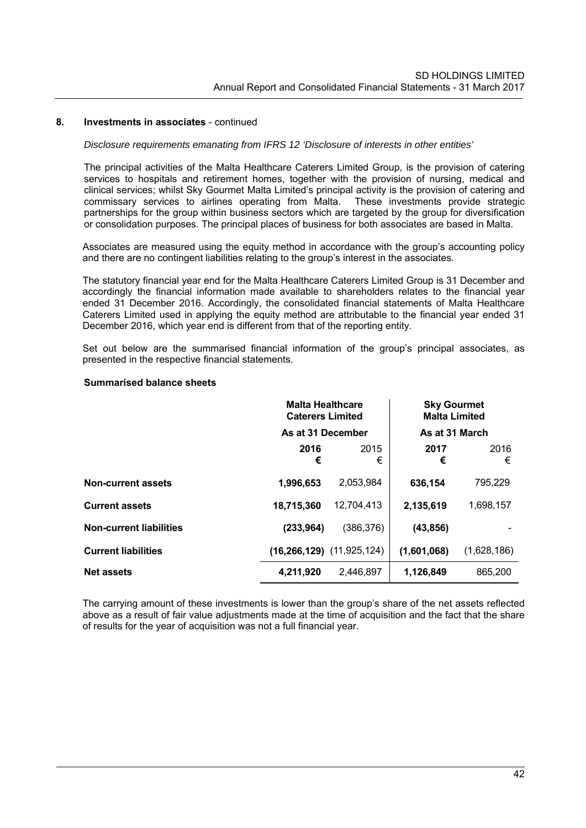#### **8. Investments in associates** - continued

#### *Disclosure requirements emanating from IFRS 12 'Disclosure of interests in other entities'*

The principal activities of the Malta Healthcare Caterers Limited Group, is the provision of catering services to hospitals and retirement homes, together with the provision of nursing, medical and clinical services; whilst Sky Gourmet Malta Limited's principal activity is the provision of catering and commissary services to airlines operating from Malta. These investments provide strategic partnerships for the group within business sectors which are targeted by the group for diversification or consolidation purposes. The principal places of business for both associates are based in Malta.

Associates are measured using the equity method in accordance with the group's accounting policy and there are no contingent liabilities relating to the group's interest in the associates.

The statutory financial year end for the Malta Healthcare Caterers Limited Group is 31 December and accordingly the financial information made available to shareholders relates to the financial year ended 31 December 2016. Accordingly, the consolidated financial statements of Malta Healthcare Caterers Limited used in applying the equity method are attributable to the financial year ended 31 December 2016, which year end is different from that of the reporting entity.

Set out below are the summarised financial information of the group's principal associates, as presented in the respective financial statements.

#### **Summarised balance sheets**

|                                | <b>Malta Healthcare</b><br><b>Caterers Limited</b> |                                   | <b>Sky Gourmet</b><br><b>Malta Limited</b> |             |
|--------------------------------|----------------------------------------------------|-----------------------------------|--------------------------------------------|-------------|
|                                | As at 31 December                                  |                                   | As at 31 March                             |             |
|                                | 2016<br>€                                          | 2015<br>€                         | 2017<br>€                                  | 2016<br>€   |
| <b>Non-current assets</b>      | 1,996,653                                          | 2,053,984                         | 636,154                                    | 795,229     |
| <b>Current assets</b>          | 18,715,360                                         | 12,704,413                        | 2,135,619                                  | 1,698,157   |
| <b>Non-current liabilities</b> | (233, 964)                                         | (386, 376)                        | (43, 856)                                  |             |
| <b>Current liabilities</b>     |                                                    | $(16, 266, 129)$ $(11, 925, 124)$ | (1,601,068)                                | (1,628,186) |
| <b>Net assets</b>              | 4,211,920                                          | 2,446,897                         | 1,126,849                                  | 865,200     |

The carrying amount of these investments is lower than the group's share of the net assets reflected above as a result of fair value adjustments made at the time of acquisition and the fact that the share of results for the year of acquisition was not a full financial year.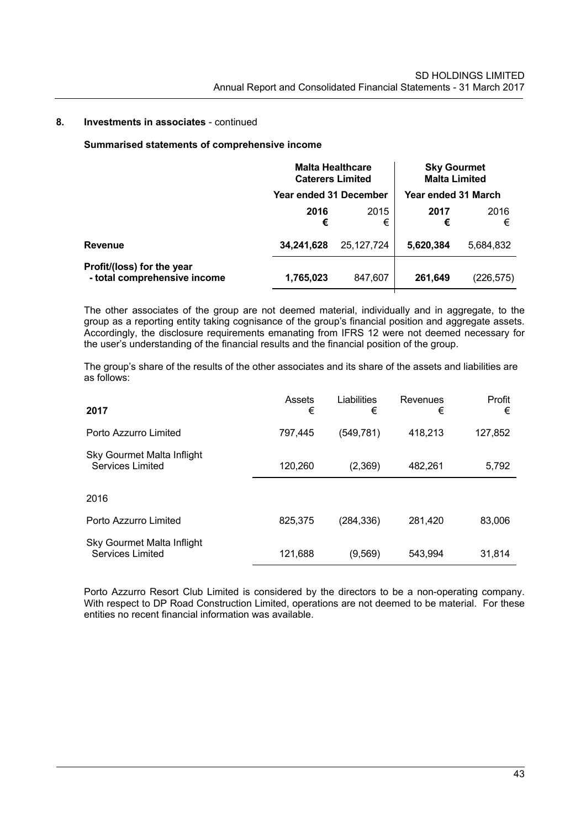#### **8. Investments in associates** - continued

#### **Summarised statements of comprehensive income**

|                                                            | <b>Malta Healthcare</b><br><b>Caterers Limited</b> |            | <b>Sky Gourmet</b><br><b>Malta Limited</b> |           |
|------------------------------------------------------------|----------------------------------------------------|------------|--------------------------------------------|-----------|
|                                                            | Year ended 31 December                             |            | Year ended 31 March                        |           |
|                                                            | 2016<br>€                                          | 2015<br>€  | 2017<br>€                                  | 2016<br>€ |
| Revenue                                                    | 34,241,628                                         | 25.127.724 | 5,620,384                                  | 5,684,832 |
| Profit/(loss) for the year<br>- total comprehensive income | 1,765,023                                          | 847,607    | 261,649                                    | (226,575) |

The other associates of the group are not deemed material, individually and in aggregate, to the group as a reporting entity taking cognisance of the group's financial position and aggregate assets. Accordingly, the disclosure requirements emanating from IFRS 12 were not deemed necessary for the user's understanding of the financial results and the financial position of the group.

The group's share of the results of the other associates and its share of the assets and liabilities are as follows:

| 2017                                                  | Assets<br>€ | Liabilities<br>€ | Revenues<br>€ | Profit<br>€ |
|-------------------------------------------------------|-------------|------------------|---------------|-------------|
| Porto Azzurro Limited                                 | 797.445     | (549,781)        | 418,213       | 127,852     |
| Sky Gourmet Malta Inflight<br><b>Services Limited</b> | 120,260     | (2,369)          | 482,261       | 5,792       |
| 2016                                                  |             |                  |               |             |
| Porto Azzurro Limited                                 | 825,375     | (284, 336)       | 281,420       | 83,006      |
| Sky Gourmet Malta Inflight<br>Services Limited        | 121,688     | (9, 569)         | 543,994       | 31,814      |

Porto Azzurro Resort Club Limited is considered by the directors to be a non-operating company. With respect to DP Road Construction Limited, operations are not deemed to be material. For these entities no recent financial information was available.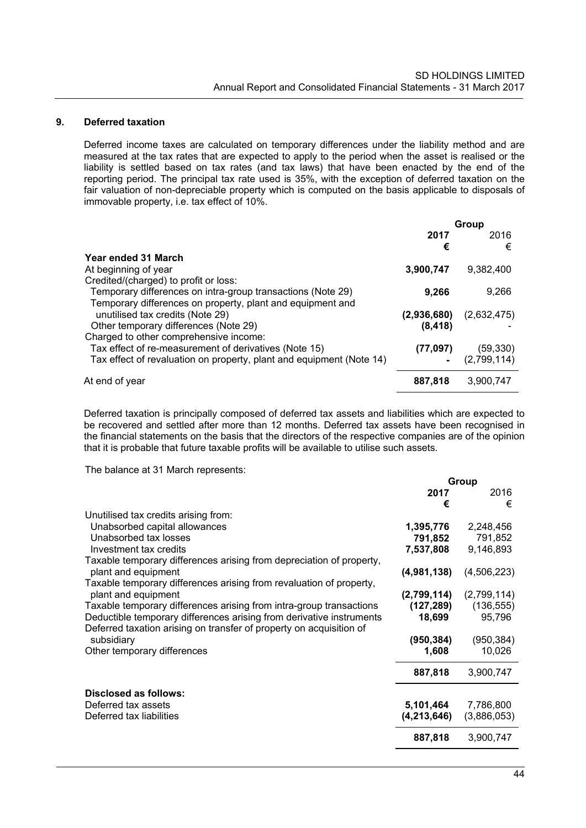### **9. Deferred taxation**

Deferred income taxes are calculated on temporary differences under the liability method and are measured at the tax rates that are expected to apply to the period when the asset is realised or the liability is settled based on tax rates (and tax laws) that have been enacted by the end of the reporting period. The principal tax rate used is 35%, with the exception of deferred taxation on the fair valuation of non-depreciable property which is computed on the basis applicable to disposals of immovable property, i.e. tax effect of 10%.

|                                                                      | Group       |             |
|----------------------------------------------------------------------|-------------|-------------|
|                                                                      | 2017        | 2016        |
|                                                                      | €           | €           |
| Year ended 31 March                                                  |             |             |
| At beginning of year                                                 | 3,900,747   | 9,382,400   |
| Credited/(charged) to profit or loss:                                |             |             |
| Temporary differences on intra-group transactions (Note 29)          | 9,266       | 9.266       |
| Temporary differences on property, plant and equipment and           |             |             |
| unutilised tax credits (Note 29)                                     | (2,936,680) | (2,632,475) |
| Other temporary differences (Note 29)                                | (8, 418)    |             |
| Charged to other comprehensive income:                               |             |             |
| Tax effect of re-measurement of derivatives (Note 15)                | (77,097)    | (59.330)    |
| Tax effect of revaluation on property, plant and equipment (Note 14) |             | (2,799,114) |
|                                                                      |             |             |
| At end of year                                                       | 887,818     | 3,900,747   |
|                                                                      |             |             |

Deferred taxation is principally composed of deferred tax assets and liabilities which are expected to be recovered and settled after more than 12 months. Deferred tax assets have been recognised in the financial statements on the basis that the directors of the respective companies are of the opinion that it is probable that future taxable profits will be available to utilise such assets.

The balance at 31 March represents:

|                                                                      | Group         |             |
|----------------------------------------------------------------------|---------------|-------------|
|                                                                      | 2017          | 2016        |
|                                                                      | €             | €           |
| Unutilised tax credits arising from:                                 |               |             |
| Unabsorbed capital allowances                                        | 1,395,776     | 2,248,456   |
| Unabsorbed tax losses                                                | 791,852       | 791,852     |
| Investment tax credits                                               | 7,537,808     | 9,146,893   |
| Taxable temporary differences arising from depreciation of property, |               |             |
| plant and equipment                                                  | (4,981,138)   | (4,506,223) |
| Taxable temporary differences arising from revaluation of property,  |               |             |
| plant and equipment                                                  | (2,799,114)   | (2,799,114) |
| Taxable temporary differences arising from intra-group transactions  | (127, 289)    | (136, 555)  |
| Deductible temporary differences arising from derivative instruments | 18,699        | 95,796      |
| Deferred taxation arising on transfer of property on acquisition of  |               |             |
| subsidiary                                                           | (950, 384)    | (950, 384)  |
| Other temporary differences                                          | 1,608         | 10,026      |
|                                                                      | 887,818       | 3,900,747   |
| Disclosed as follows:                                                |               |             |
| Deferred tax assets                                                  | 5,101,464     | 7,786,800   |
| Deferred tax liabilities                                             | (4, 213, 646) | (3,886,053) |
|                                                                      | 887,818       | 3,900,747   |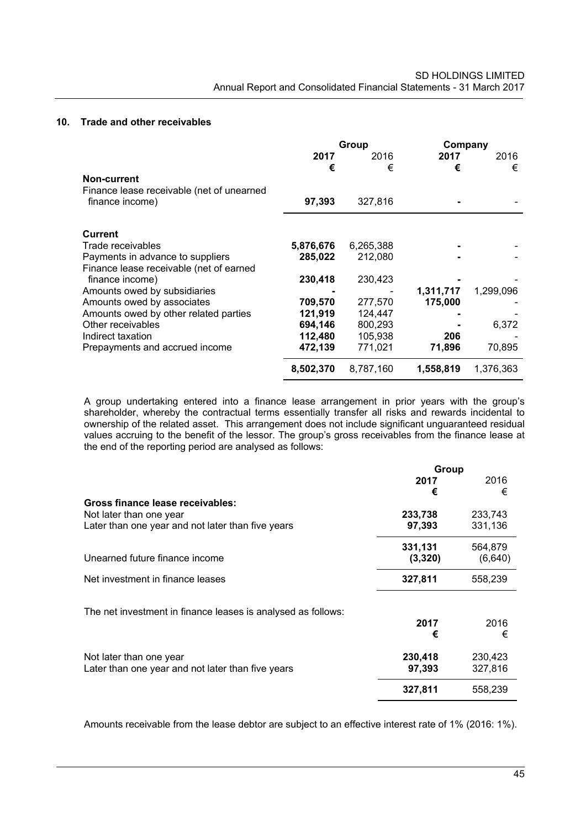### **10. Trade and other receivables**

|                                                                             | 2017<br>€ | Group<br>2016<br>€ | Company<br>2017<br>€ | 2016<br>€ |
|-----------------------------------------------------------------------------|-----------|--------------------|----------------------|-----------|
| Non-current<br>Finance lease receivable (net of unearned<br>finance income) | 97,393    | 327,816            |                      |           |
| <b>Current</b>                                                              |           |                    |                      |           |
| Trade receivables                                                           | 5,876,676 | 6,265,388          |                      |           |
| Payments in advance to suppliers                                            | 285,022   | 212,080            |                      |           |
| Finance lease receivable (net of earned                                     |           |                    |                      |           |
| finance income)                                                             | 230,418   | 230,423            |                      |           |
| Amounts owed by subsidiaries                                                |           |                    | 1,311,717            | 1,299,096 |
| Amounts owed by associates                                                  | 709,570   | 277,570            | 175,000              |           |
| Amounts owed by other related parties                                       | 121,919   | 124,447            |                      |           |
| Other receivables                                                           | 694,146   | 800,293            |                      | 6,372     |
| Indirect taxation                                                           | 112,480   | 105,938            | 206                  |           |
| Prepayments and accrued income                                              | 472,139   | 771,021            | 71,896               | 70,895    |
|                                                                             | 8,502,370 | 8,787,160          | 1,558,819            | 1,376,363 |

A group undertaking entered into a finance lease arrangement in prior years with the group's shareholder, whereby the contractual terms essentially transfer all risks and rewards incidental to ownership of the related asset. This arrangement does not include significant unguaranteed residual values accruing to the benefit of the lessor. The group's gross receivables from the finance lease at the end of the reporting period are analysed as follows:

|                                                              | Group   |         |  |
|--------------------------------------------------------------|---------|---------|--|
|                                                              | 2017    | 2016    |  |
|                                                              | €       | €       |  |
| Gross finance lease receivables:                             |         |         |  |
| Not later than one year                                      | 233,738 | 233,743 |  |
| Later than one year and not later than five years            | 97,393  | 331,136 |  |
|                                                              | 331,131 | 564,879 |  |
| Unearned future finance income                               | (3,320) | (6,640) |  |
| Net investment in finance leases                             | 327,811 | 558,239 |  |
| The net investment in finance leases is analysed as follows: |         |         |  |
|                                                              | 2017    | 2016    |  |
|                                                              | €       | €       |  |
| Not later than one year                                      | 230,418 | 230,423 |  |
| Later than one year and not later than five years            | 97,393  | 327,816 |  |
|                                                              | 327,811 | 558,239 |  |

Amounts receivable from the lease debtor are subject to an effective interest rate of 1% (2016: 1%).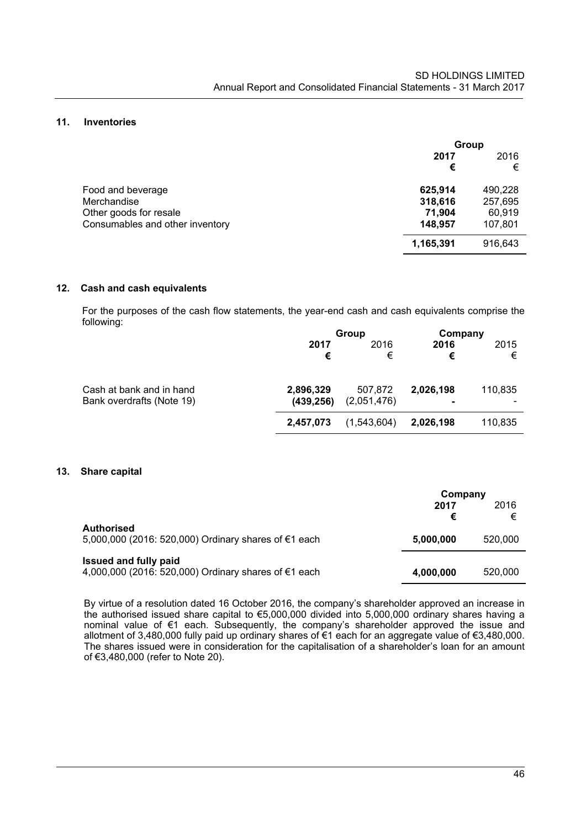#### **11. Inventories**

|                                 |           | Group     |  |
|---------------------------------|-----------|-----------|--|
|                                 | 2017<br>€ | 2016<br>€ |  |
| Food and beverage               | 625,914   | 490,228   |  |
| Merchandise                     | 318,616   | 257,695   |  |
| Other goods for resale          | 71,904    | 60,919    |  |
| Consumables and other inventory | 148,957   | 107,801   |  |
|                                 | 1,165,391 | 916,643   |  |

#### **12. Cash and cash equivalents**

 For the purposes of the cash flow statements, the year-end cash and cash equivalents comprise the following:

|                           |            | Group       |           | Company |
|---------------------------|------------|-------------|-----------|---------|
|                           | 2017       | 2016        | 2016      | 2015    |
|                           | €          | €           | €         | €       |
| Cash at bank and in hand  | 2,896,329  | 507,872     | 2,026,198 | 110,835 |
| Bank overdrafts (Note 19) | (439, 256) | (2,051,476) |           |         |
|                           | 2,457,073  | (1,543,604) | 2,026,198 | 110,835 |

#### **13. Share capital**

|                                                                                      |           | Company   |  |
|--------------------------------------------------------------------------------------|-----------|-----------|--|
|                                                                                      | 2017<br>€ | 2016<br>€ |  |
| <b>Authorised</b><br>5,000,000 (2016: 520,000) Ordinary shares of €1 each            | 5,000,000 | 520,000   |  |
| <b>Issued and fully paid</b><br>4,000,000 (2016: 520,000) Ordinary shares of €1 each | 4,000,000 | 520,000   |  |

By virtue of a resolution dated 16 October 2016, the company's shareholder approved an increase in the authorised issued share capital to €5,000,000 divided into 5,000,000 ordinary shares having a nominal value of €1 each. Subsequently, the company's shareholder approved the issue and allotment of 3,480,000 fully paid up ordinary shares of €1 each for an aggregate value of €3,480,000. The shares issued were in consideration for the capitalisation of a shareholder's loan for an amount of €3,480,000 (refer to Note 20).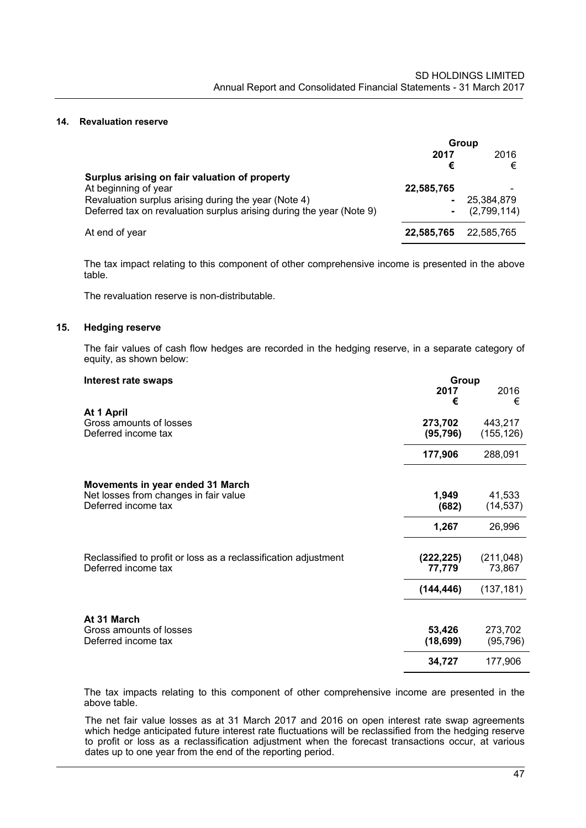#### **14. Revaluation reserve**

|                                                                      | Group        |             |
|----------------------------------------------------------------------|--------------|-------------|
|                                                                      | 2016<br>2017 |             |
|                                                                      | €            | €           |
| Surplus arising on fair valuation of property                        |              |             |
| At beginning of year                                                 | 22,585,765   | ۰           |
| Revaluation surplus arising during the year (Note 4)                 | ۰            | 25.384.879  |
| Deferred tax on revaluation surplus arising during the year (Note 9) | ۰            | (2,799,114) |
| At end of year                                                       | 22,585,765   | 22,585,765  |

 The tax impact relating to this component of other comprehensive income is presented in the above table.

The revaluation reserve is non-distributable.

#### **15. Hedging reserve**

The fair values of cash flow hedges are recorded in the hedging reserve, in a separate category of equity, as shown below:

| Interest rate swaps                                             | Group      |            |
|-----------------------------------------------------------------|------------|------------|
|                                                                 | 2017<br>€  | 2016<br>€  |
| At 1 April                                                      |            |            |
| Gross amounts of losses<br>Deferred income tax                  | 273,702    | 443,217    |
|                                                                 | (95, 796)  | (155, 126) |
|                                                                 | 177,906    | 288,091    |
| Movements in year ended 31 March                                |            |            |
| Net losses from changes in fair value                           | 1,949      | 41,533     |
| Deferred income tax                                             | (682)      | (14, 537)  |
|                                                                 | 1,267      | 26,996     |
| Reclassified to profit or loss as a reclassification adjustment | (222, 225) | (211, 048) |
| Deferred income tax                                             | 77,779     | 73,867     |
|                                                                 | (144, 446) | (137, 181) |
| At 31 March                                                     |            |            |
| Gross amounts of losses                                         | 53,426     | 273,702    |
| Deferred income tax                                             | (18, 699)  | (95, 796)  |
|                                                                 | 34,727     | 177,906    |

The tax impacts relating to this component of other comprehensive income are presented in the above table.

The net fair value losses as at 31 March 2017 and 2016 on open interest rate swap agreements which hedge anticipated future interest rate fluctuations will be reclassified from the hedging reserve to profit or loss as a reclassification adjustment when the forecast transactions occur, at various dates up to one year from the end of the reporting period.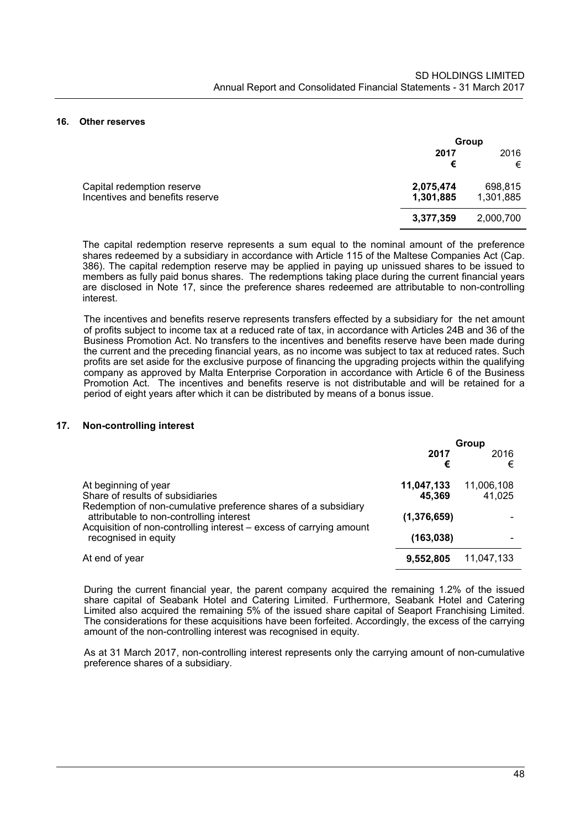#### **16. Other reserves**

|                                                               | Group                  |                      |
|---------------------------------------------------------------|------------------------|----------------------|
|                                                               | 2017<br>€              | 2016<br>€            |
| Capital redemption reserve<br>Incentives and benefits reserve | 2,075,474<br>1,301,885 | 698,815<br>1,301,885 |
|                                                               | 3,377,359              | 2,000,700            |

The capital redemption reserve represents a sum equal to the nominal amount of the preference shares redeemed by a subsidiary in accordance with Article 115 of the Maltese Companies Act (Cap. 386). The capital redemption reserve may be applied in paying up unissued shares to be issued to members as fully paid bonus shares. The redemptions taking place during the current financial years are disclosed in Note 17, since the preference shares redeemed are attributable to non-controlling interest.

The incentives and benefits reserve represents transfers effected by a subsidiary for the net amount of profits subject to income tax at a reduced rate of tax, in accordance with Articles 24B and 36 of the Business Promotion Act. No transfers to the incentives and benefits reserve have been made during the current and the preceding financial years, as no income was subject to tax at reduced rates. Such profits are set aside for the exclusive purpose of financing the upgrading projects within the qualifying company as approved by Malta Enterprise Corporation in accordance with Article 6 of the Business Promotion Act. The incentives and benefits reserve is not distributable and will be retained for a period of eight years after which it can be distributed by means of a bonus issue.

#### **17. Non-controlling interest**

|                                                                                                                                                                                   | Group                |                      |
|-----------------------------------------------------------------------------------------------------------------------------------------------------------------------------------|----------------------|----------------------|
|                                                                                                                                                                                   | 2017<br>€            | 2016<br>€            |
| At beginning of year<br>Share of results of subsidiaries                                                                                                                          | 11,047,133<br>45,369 | 11,006,108<br>41.025 |
| Redemption of non-cumulative preference shares of a subsidiary<br>attributable to non-controlling interest<br>Acquisition of non-controlling interest – excess of carrying amount | (1,376,659)          |                      |
| recognised in equity                                                                                                                                                              | (163, 038)           |                      |
| At end of year                                                                                                                                                                    | 9,552,805            | 11,047,133           |

During the current financial year, the parent company acquired the remaining 1.2% of the issued share capital of Seabank Hotel and Catering Limited. Furthermore, Seabank Hotel and Catering Limited also acquired the remaining 5% of the issued share capital of Seaport Franchising Limited. The considerations for these acquisitions have been forfeited. Accordingly, the excess of the carrying amount of the non-controlling interest was recognised in equity.

As at 31 March 2017, non-controlling interest represents only the carrying amount of non-cumulative preference shares of a subsidiary.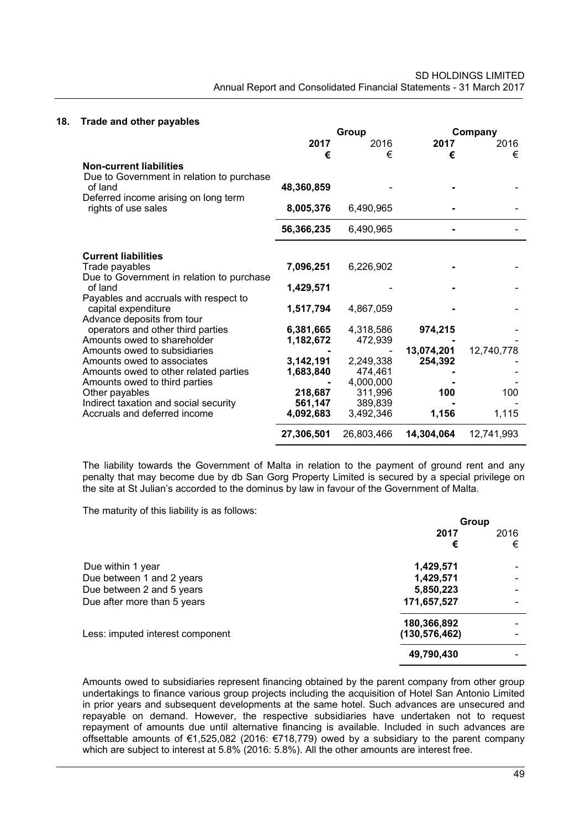#### **18. Trade and other payables**

|                                           |            | Group      |            | Company    |
|-------------------------------------------|------------|------------|------------|------------|
|                                           | 2017       | 2016       | 2017       | 2016       |
|                                           | €          | €          | €          | €          |
| <b>Non-current liabilities</b>            |            |            |            |            |
| Due to Government in relation to purchase |            |            |            |            |
| of land                                   | 48,360,859 |            |            |            |
| Deferred income arising on long term      |            |            |            |            |
| rights of use sales                       | 8,005,376  | 6,490,965  |            |            |
|                                           |            |            |            |            |
|                                           | 56,366,235 | 6,490,965  |            |            |
|                                           |            |            |            |            |
| <b>Current liabilities</b>                |            |            |            |            |
| Trade payables                            | 7,096,251  | 6,226,902  |            |            |
| Due to Government in relation to purchase |            |            |            |            |
| of land                                   | 1,429,571  |            |            |            |
| Payables and accruals with respect to     |            |            |            |            |
| capital expenditure                       | 1,517,794  | 4,867,059  |            |            |
| Advance deposits from tour                |            |            |            |            |
| operators and other third parties         | 6,381,665  | 4,318,586  | 974,215    |            |
| Amounts owed to shareholder               | 1,182,672  | 472,939    |            |            |
| Amounts owed to subsidiaries              |            |            | 13,074,201 | 12,740,778 |
| Amounts owed to associates                | 3,142,191  | 2,249,338  | 254,392    |            |
| Amounts owed to other related parties     | 1,683,840  | 474.461    |            |            |
| Amounts owed to third parties             |            | 4,000,000  |            |            |
| Other payables                            | 218,687    | 311,996    | 100        | 100        |
| Indirect taxation and social security     | 561,147    | 389,839    |            |            |
| Accruals and deferred income              | 4,092,683  | 3,492,346  | 1,156      | 1,115      |
|                                           | 27,306,501 | 26,803,466 | 14,304,064 | 12,741,993 |

The liability towards the Government of Malta in relation to the payment of ground rent and any penalty that may become due by db San Gorg Property Limited is secured by a special privilege on the site at St Julian's accorded to the dominus by law in favour of the Government of Malta.

The maturity of this liability is as follows:

|                                  | Group           |      |
|----------------------------------|-----------------|------|
|                                  | 2017            | 2016 |
|                                  | €               | €    |
| Due within 1 year                | 1,429,571       |      |
| Due between 1 and 2 years        | 1,429,571       |      |
| Due between 2 and 5 years        | 5,850,223       |      |
| Due after more than 5 years      | 171,657,527     |      |
|                                  | 180,366,892     |      |
| Less: imputed interest component | (130, 576, 462) |      |
|                                  | 49,790,430      |      |

Amounts owed to subsidiaries represent financing obtained by the parent company from other group undertakings to finance various group projects including the acquisition of Hotel San Antonio Limited in prior years and subsequent developments at the same hotel. Such advances are unsecured and repayable on demand. However, the respective subsidiaries have undertaken not to request repayment of amounts due until alternative financing is available. Included in such advances are offsettable amounts of €1,525,082 (2016: €718,779) owed by a subsidiary to the parent company which are subject to interest at 5.8% (2016: 5.8%). All the other amounts are interest free.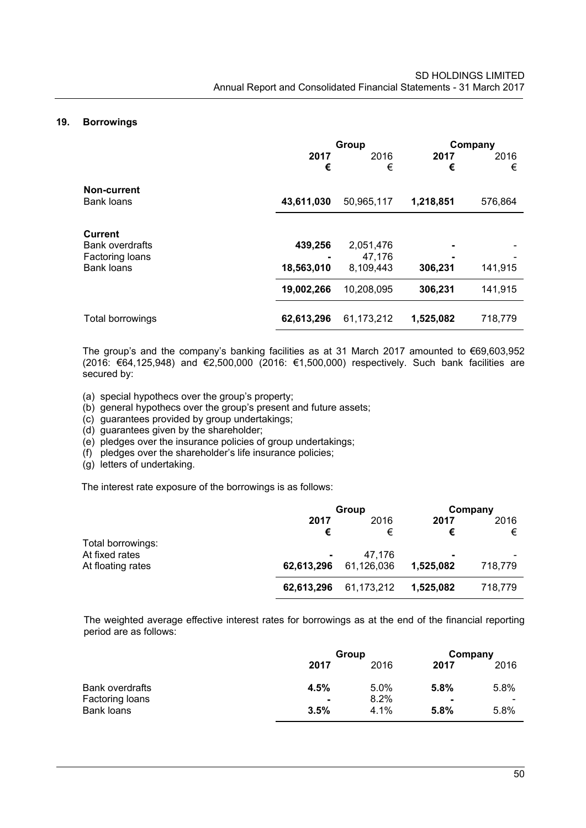#### **19. Borrowings**

|                                                                                  | 2017<br>€             | Group<br>2016<br>€               | 2017<br>€ | Company<br>2016<br>€ |
|----------------------------------------------------------------------------------|-----------------------|----------------------------------|-----------|----------------------|
| Non-current<br><b>Bank loans</b>                                                 | 43,611,030            | 50,965,117                       | 1,218,851 | 576,864              |
| <b>Current</b><br><b>Bank overdrafts</b><br>Factoring loans<br><b>Bank loans</b> | 439,256<br>18,563,010 | 2,051,476<br>47,176<br>8,109,443 | 306,231   | 141,915              |
|                                                                                  | 19,002,266            | 10,208,095                       | 306,231   | 141,915              |
| Total borrowings                                                                 | 62,613,296            | 61,173,212                       | 1,525,082 | 718,779              |

The group's and the company's banking facilities as at 31 March 2017 amounted to €69,603,952 (2016: €64,125,948) and €2,500,000 (2016: €1,500,000) respectively. Such bank facilities are secured by:

(a) special hypothecs over the group's property;

- (b) general hypothecs over the group's present and future assets;
- (c) guarantees provided by group undertakings;
- (d) guarantees given by the shareholder;

(e) pledges over the insurance policies of group undertakings;

(f) pledges over the shareholder's life insurance policies;

(g) letters of undertaking.

The interest rate exposure of the borrowings is as follows:

|                   |            | Group      |           | Company |
|-------------------|------------|------------|-----------|---------|
|                   | 2017       | 2016       | 2017      | 2016    |
|                   | €          | €          | €         | €       |
| Total borrowings: |            |            |           |         |
| At fixed rates    | $\sim$     | 47.176     |           |         |
| At floating rates | 62,613,296 | 61,126,036 | 1,525,082 | 718,779 |
|                   | 62,613,296 | 61,173,212 | 1,525,082 | 718,779 |

The weighted average effective interest rates for borrowings as at the end of the financial reporting period are as follows:

|                 | Group          |         | Company |                          |
|-----------------|----------------|---------|---------|--------------------------|
|                 | 2017           | 2016    | 2017    | 2016                     |
| Bank overdrafts | 4.5%           | $5.0\%$ | 5.8%    | 5.8%                     |
| Factoring loans | $\blacksquare$ | 8.2%    |         | $\overline{\phantom{0}}$ |
| Bank loans      | 3.5%           | $4.1\%$ | 5.8%    | 5.8%                     |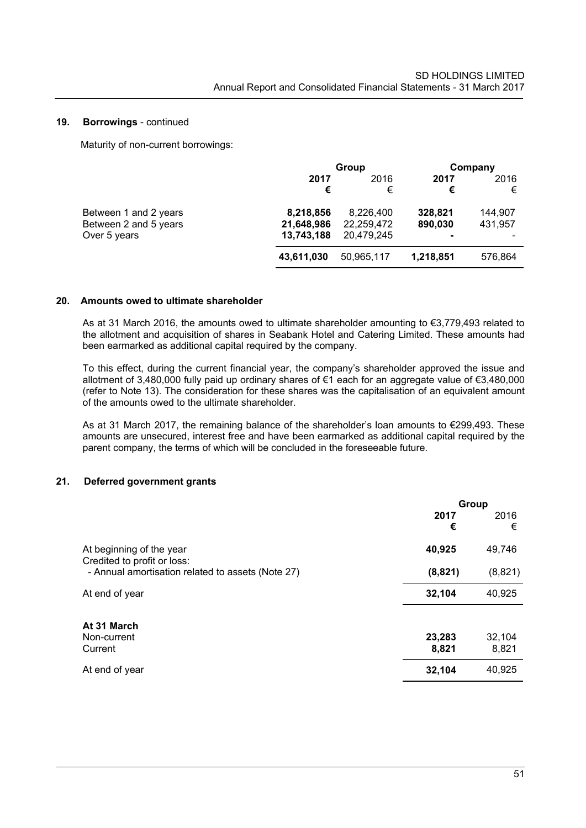#### **19. Borrowings** - continued

Maturity of non-current borrowings:

|                                                                |                                       | Group                                 |                         | Company            |
|----------------------------------------------------------------|---------------------------------------|---------------------------------------|-------------------------|--------------------|
|                                                                | 2017<br>€                             | 2016<br>€                             | 2017<br>€               | 2016<br>€          |
| Between 1 and 2 years<br>Between 2 and 5 years<br>Over 5 years | 8,218,856<br>21,648,986<br>13,743,188 | 8,226,400<br>22,259,472<br>20.479.245 | 328,821<br>890,030<br>- | 144,907<br>431,957 |
|                                                                | 43,611,030                            | 50,965,117                            | 1,218,851               | 576,864            |

#### **20. Amounts owed to ultimate shareholder**

As at 31 March 2016, the amounts owed to ultimate shareholder amounting to €3,779,493 related to the allotment and acquisition of shares in Seabank Hotel and Catering Limited. These amounts had been earmarked as additional capital required by the company.

To this effect, during the current financial year, the company's shareholder approved the issue and allotment of 3,480,000 fully paid up ordinary shares of €1 each for an aggregate value of €3,480,000 (refer to Note 13). The consideration for these shares was the capitalisation of an equivalent amount of the amounts owed to the ultimate shareholder.

As at 31 March 2017, the remaining balance of the shareholder's loan amounts to €299,493. These amounts are unsecured, interest free and have been earmarked as additional capital required by the parent company, the terms of which will be concluded in the foreseeable future.

#### **21. Deferred government grants**

|                                                         | Group     |           |
|---------------------------------------------------------|-----------|-----------|
|                                                         | 2017<br>€ | 2016<br>€ |
| At beginning of the year<br>Credited to profit or loss: | 40,925    | 49,746    |
| - Annual amortisation related to assets (Note 27)       | (8,821)   | (8,821)   |
| At end of year                                          | 32,104    | 40,925    |
| At 31 March<br>Non-current                              | 23,283    | 32,104    |
| Current                                                 | 8,821     | 8,821     |
| At end of year                                          | 32,104    | 40,925    |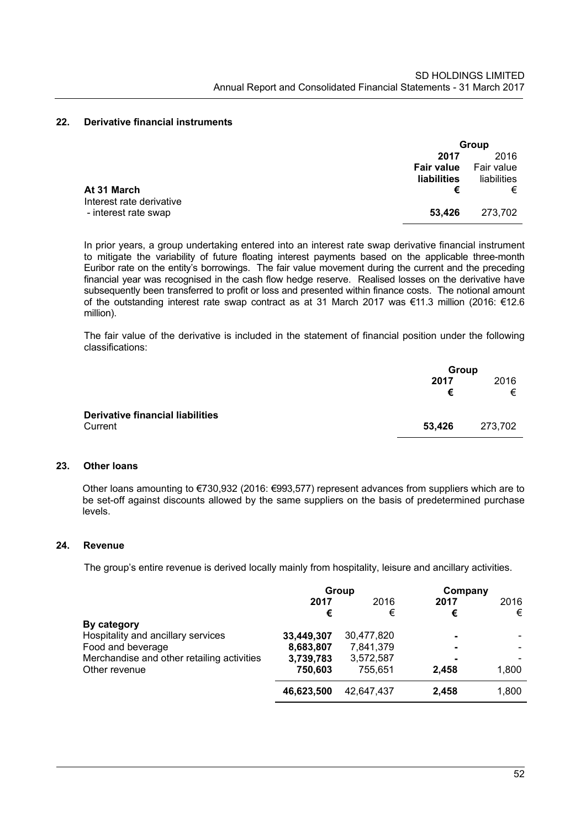## **22. Derivative financial instruments**

|                          | Group             |             |
|--------------------------|-------------------|-------------|
|                          | 2017              | 2016        |
|                          | <b>Fair value</b> | Fair value  |
|                          | liabilities       | liabilities |
| At 31 March              |                   | €           |
| Interest rate derivative |                   |             |
| - interest rate swap     | 53.426            | 273,702     |

In prior years, a group undertaking entered into an interest rate swap derivative financial instrument to mitigate the variability of future floating interest payments based on the applicable three-month Euribor rate on the entity's borrowings. The fair value movement during the current and the preceding financial year was recognised in the cash flow hedge reserve. Realised losses on the derivative have subsequently been transferred to profit or loss and presented within finance costs. The notional amount of the outstanding interest rate swap contract as at 31 March 2017 was €11.3 million (2016: €12.6 million).

The fair value of the derivative is included in the statement of financial position under the following classifications:

|                                         |        | Group   |  |
|-----------------------------------------|--------|---------|--|
|                                         | 2017   | 2016    |  |
|                                         | €      | €       |  |
| <b>Derivative financial liabilities</b> |        |         |  |
| Current                                 | 53,426 | 273.702 |  |

#### **23. Other loans**

Other loans amounting to €730,932 (2016: €993,577) represent advances from suppliers which are to be set-off against discounts allowed by the same suppliers on the basis of predetermined purchase levels.

#### **24. Revenue**

The group's entire revenue is derived locally mainly from hospitality, leisure and ancillary activities.

|                                            | Group      |            | Company |       |
|--------------------------------------------|------------|------------|---------|-------|
|                                            | 2017       | 2016       | 2017    | 2016  |
|                                            | €          | €          | €       | €     |
| By category                                |            |            |         |       |
| Hospitality and ancillary services         | 33,449,307 | 30,477,820 | -       |       |
| Food and beverage                          | 8,683,807  | 7,841,379  | -       |       |
| Merchandise and other retailing activities | 3,739,783  | 3,572,587  |         |       |
| Other revenue                              | 750,603    | 755.651    | 2.458   | 1,800 |
|                                            | 46,623,500 | 42.647.437 | 2,458   | 1,800 |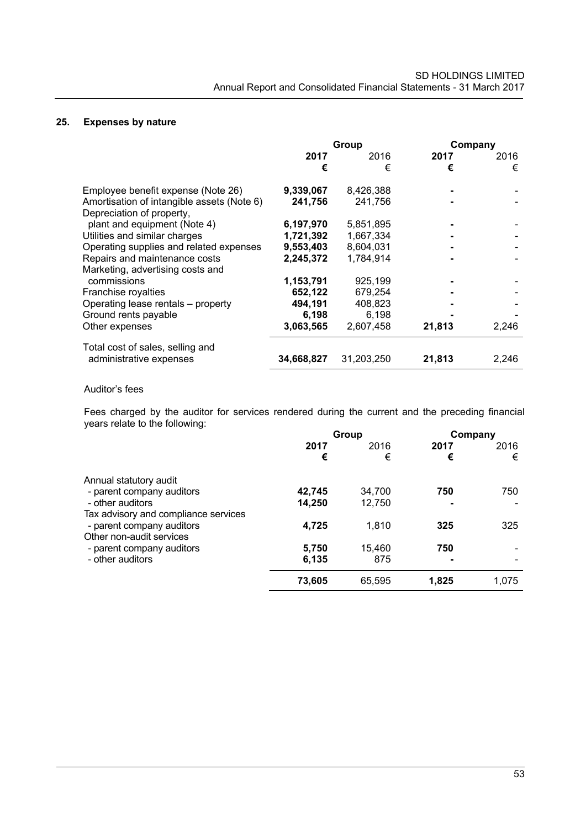### **25. Expenses by nature**

|                                                                         | Group      |            |        | Company |
|-------------------------------------------------------------------------|------------|------------|--------|---------|
|                                                                         | 2017       | 2016       | 2017   | 2016    |
|                                                                         | €          | €          | €      | €       |
| Employee benefit expense (Note 26)                                      | 9,339,067  | 8,426,388  |        |         |
| Amortisation of intangible assets (Note 6)<br>Depreciation of property, | 241,756    | 241,756    |        |         |
| plant and equipment (Note 4)                                            | 6,197,970  | 5,851,895  |        |         |
| Utilities and similar charges                                           | 1,721,392  | 1,667,334  |        |         |
| Operating supplies and related expenses                                 | 9,553,403  | 8,604,031  |        |         |
| Repairs and maintenance costs                                           | 2,245,372  | 1,784,914  |        |         |
| Marketing, advertising costs and                                        |            |            |        |         |
| commissions                                                             | 1,153,791  | 925,199    |        |         |
| Franchise royalties                                                     | 652,122    | 679,254    |        |         |
| Operating lease rentals - property                                      | 494,191    | 408,823    |        |         |
| Ground rents payable                                                    | 6,198      | 6,198      |        |         |
| Other expenses                                                          | 3,063,565  | 2,607,458  | 21,813 | 2,246   |
| Total cost of sales, selling and                                        |            |            |        |         |
| administrative expenses                                                 | 34,668,827 | 31,203,250 | 21,813 | 2,246   |

### Auditor's fees

Fees charged by the auditor for services rendered during the current and the preceding financial years relate to the following:

| Group  |        | Company |       |
|--------|--------|---------|-------|
| 2017   | 2016   | 2017    | 2016  |
| €      | €      | €       | €     |
|        |        |         |       |
| 42,745 | 34,700 | 750     | 750   |
| 14,250 | 12,750 |         |       |
|        |        |         |       |
| 4,725  | 1.810  | 325     | 325   |
|        |        |         |       |
| 5,750  | 15,460 | 750     |       |
| 6,135  | 875    | ۰       |       |
| 73,605 | 65,595 | 1,825   | 1.075 |
|        |        |         |       |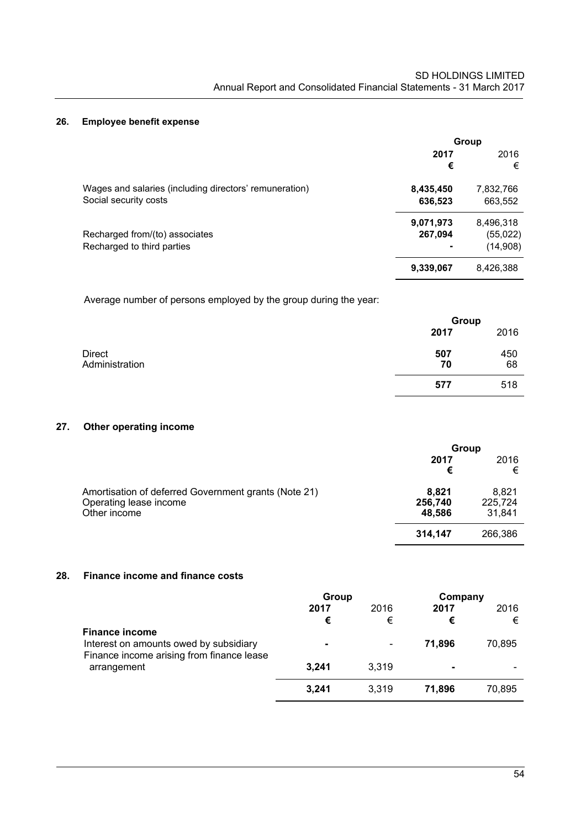## **26. Employee benefit expense**

|                                                        | Group     |           |  |
|--------------------------------------------------------|-----------|-----------|--|
|                                                        | 2017      | 2016      |  |
|                                                        | €         | €         |  |
| Wages and salaries (including directors' remuneration) | 8,435,450 | 7,832,766 |  |
| Social security costs                                  | 636,523   | 663,552   |  |
|                                                        | 9,071,973 | 8,496,318 |  |
| Recharged from/(to) associates                         | 267,094   | (55, 022) |  |
| Recharged to third parties                             | ۰         | (14,908)  |  |
|                                                        | 9,339,067 | 8,426,388 |  |

Average number of persons employed by the group during the year:

|                                 |           | Group     |  |
|---------------------------------|-----------|-----------|--|
|                                 | 2017      | 2016      |  |
| <b>Direct</b><br>Administration | 507<br>70 | 450<br>68 |  |
|                                 | 577       | 518       |  |

# **27. Other operating income**

|                                                                                                | Group                      |                            |
|------------------------------------------------------------------------------------------------|----------------------------|----------------------------|
|                                                                                                | 2017<br>€                  | 2016<br>€                  |
| Amortisation of deferred Government grants (Note 21)<br>Operating lease income<br>Other income | 8,821<br>256,740<br>48,586 | 8,821<br>225,724<br>31,841 |
|                                                                                                | 314,147                    | 266,386                    |

# **28. Finance income and finance costs**

|                                                                                                              | Group     |                          | Company   |           |
|--------------------------------------------------------------------------------------------------------------|-----------|--------------------------|-----------|-----------|
|                                                                                                              | 2017<br>€ | 2016<br>€                | 2017<br>€ | 2016<br>€ |
| <b>Finance income</b><br>Interest on amounts owed by subsidiary<br>Finance income arising from finance lease | ۰         | $\overline{\phantom{a}}$ | 71.896    | 70.895    |
| arrangement                                                                                                  | 3,241     | 3,319                    | ۰         |           |
|                                                                                                              | 3,241     | 3,319                    | 71,896    | 70,895    |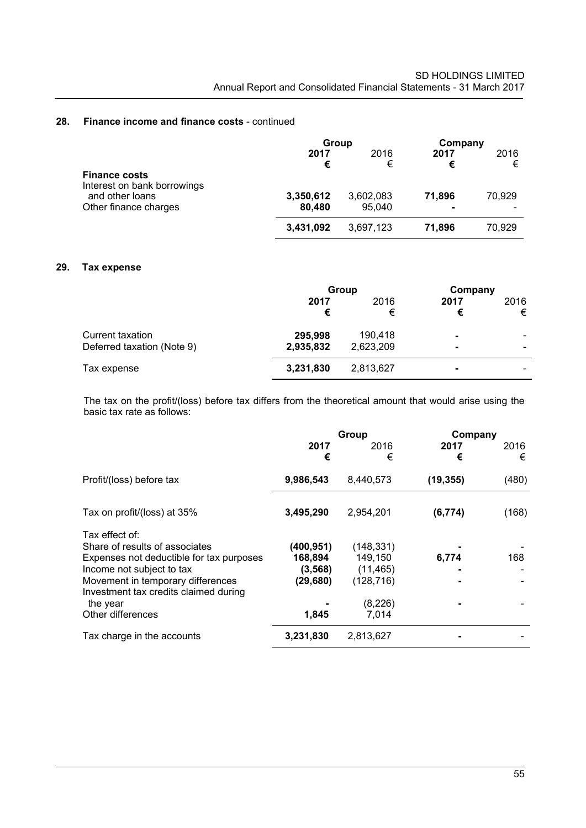#### **28. Finance income and finance costs** - continued

|                                                     | Group     |           | Company   |           |
|-----------------------------------------------------|-----------|-----------|-----------|-----------|
|                                                     | 2017<br>€ | 2016<br>€ | 2017<br>€ | 2016<br>€ |
| <b>Finance costs</b><br>Interest on bank borrowings |           |           |           |           |
| and other loans                                     | 3,350,612 | 3,602,083 | 71.896    | 70,929    |
| Other finance charges                               | 80.480    | 95.040    |           |           |
|                                                     | 3,431,092 | 3,697,123 | 71,896    | 70,929    |

## **29. Tax expense**

|                            | Group     |           | Company        |           |
|----------------------------|-----------|-----------|----------------|-----------|
|                            | 2017<br>€ | 2016<br>€ | 2017<br>€      | 2016<br>€ |
| Current taxation           | 295,998   | 190,418   | ۰              |           |
| Deferred taxation (Note 9) | 2,935,832 | 2,623,209 | ۰              |           |
| Tax expense                | 3,231,830 | 2,813,627 | $\blacksquare$ |           |

The tax on the profit/(loss) before tax differs from the theoretical amount that would arise using the basic tax rate as follows:

|                                                                            |            | Group      |           | Company |  |
|----------------------------------------------------------------------------|------------|------------|-----------|---------|--|
|                                                                            | 2017       | 2016       | 2017      | 2016    |  |
|                                                                            | €          | €          | €         | €       |  |
| Profit/(loss) before tax                                                   | 9,986,543  | 8,440,573  | (19, 355) | (480)   |  |
| Tax on profit/(loss) at 35%                                                | 3,495,290  | 2,954,201  | (6, 774)  | (168)   |  |
| Tax effect of:                                                             |            |            |           |         |  |
| Share of results of associates                                             | (400, 951) | (148, 331) |           |         |  |
| Expenses not deductible for tax purposes                                   | 168,894    | 149,150    | 6,774     | 168     |  |
| Income not subject to tax                                                  | (3, 568)   | (11, 465)  |           |         |  |
| Movement in temporary differences<br>Investment tax credits claimed during | (29,680)   | (128, 716) |           |         |  |
| the year                                                                   |            | (8, 226)   |           |         |  |
| Other differences                                                          | 1,845      | 7,014      |           |         |  |
| Tax charge in the accounts                                                 | 3,231,830  | 2,813,627  |           |         |  |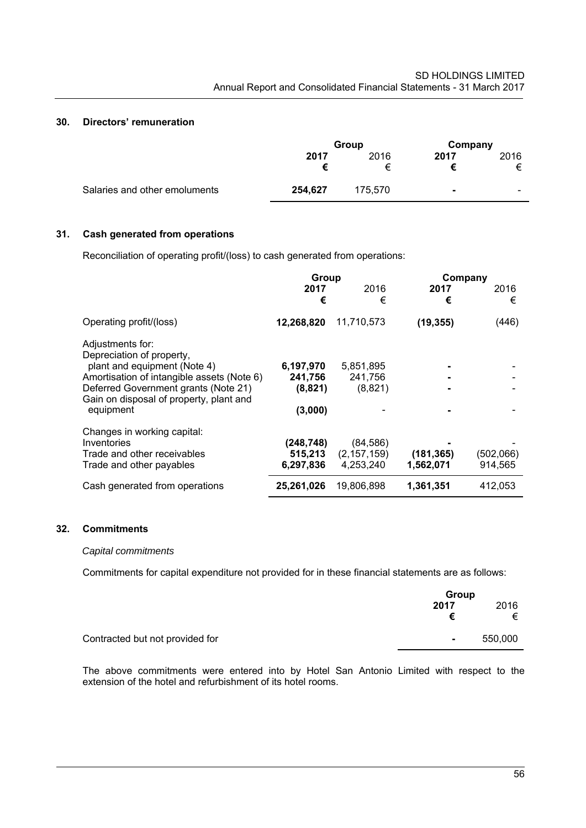### **30. Directors' remuneration**

|                               | Group   |           | Company                  |                          |
|-------------------------------|---------|-----------|--------------------------|--------------------------|
|                               | 2017    | 2016<br>⊧ | 2017                     | 2016<br>⇇                |
| Salaries and other emoluments | 254,627 | 175.570   | $\overline{\phantom{a}}$ | $\overline{\phantom{0}}$ |

## **31. Cash generated from operations**

Reconciliation of operating profit/(loss) to cash generated from operations:

|                                                                                 | Group                |                            | Company    |           |
|---------------------------------------------------------------------------------|----------------------|----------------------------|------------|-----------|
|                                                                                 | 2017<br>€            | 2016<br>€                  | 2017<br>€  | 2016<br>€ |
| Operating profit/(loss)                                                         | 12,268,820           | 11,710,573                 | (19, 355)  | (446)     |
| Adjustments for:<br>Depreciation of property,                                   |                      |                            |            |           |
| plant and equipment (Note 4)<br>Amortisation of intangible assets (Note 6)      | 6,197,970<br>241,756 | 5,851,895<br>241,756       |            |           |
| Deferred Government grants (Note 21)<br>Gain on disposal of property, plant and | (8,821)              | (8,821)                    |            |           |
| equipment                                                                       | (3,000)              |                            |            |           |
| Changes in working capital:<br>Inventories                                      |                      |                            |            |           |
| Trade and other receivables                                                     | (248,748)<br>515,213 | (84, 586)<br>(2, 157, 159) | (181, 365) | (502,066) |
| Trade and other payables                                                        | 6,297,836            | 4,253,240                  | 1,562,071  | 914,565   |
| Cash generated from operations                                                  | 25,261,026           | 19,806,898                 | 1,361,351  | 412,053   |

# **32. Commitments**

#### *Capital commitments*

Commitments for capital expenditure not provided for in these financial statements are as follows:

|                                 | Group     |           |
|---------------------------------|-----------|-----------|
|                                 | 2017<br>€ | 2016<br>€ |
| Contracted but not provided for | $\sim$    | 550,000   |

The above commitments were entered into by Hotel San Antonio Limited with respect to the extension of the hotel and refurbishment of its hotel rooms.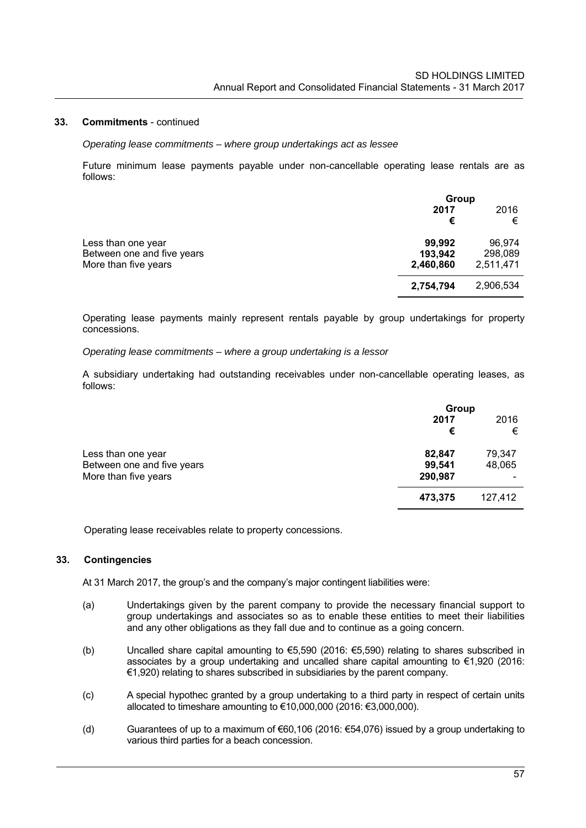#### **33. Commitments** - continued

#### *Operating lease commitments – where group undertakings act as lessee*

Future minimum lease payments payable under non-cancellable operating lease rentals are as follows:

|                            | Group     |           |
|----------------------------|-----------|-----------|
|                            | 2017      | 2016      |
|                            | €         | €         |
| Less than one year         | 99,992    | 96.974    |
| Between one and five years | 193,942   | 298,089   |
| More than five years       | 2,460,860 | 2,511,471 |
|                            | 2,754,794 | 2,906,534 |

Operating lease payments mainly represent rentals payable by group undertakings for property concessions.

#### *Operating lease commitments – where a group undertaking is a lessor*

A subsidiary undertaking had outstanding receivables under non-cancellable operating leases, as follows:

|                            |         | Group   |  |
|----------------------------|---------|---------|--|
|                            | 2017    | 2016    |  |
|                            | €       | €       |  |
| Less than one year         | 82,847  | 79,347  |  |
| Between one and five years | 99,541  | 48,065  |  |
| More than five years       | 290,987 |         |  |
|                            | 473,375 | 127,412 |  |

Operating lease receivables relate to property concessions.

#### **33. Contingencies**

At 31 March 2017, the group's and the company's major contingent liabilities were:

- (a) Undertakings given by the parent company to provide the necessary financial support to group undertakings and associates so as to enable these entities to meet their liabilities and any other obligations as they fall due and to continue as a going concern.
- (b) Uncalled share capital amounting to €5,590 (2016: €5,590) relating to shares subscribed in associates by a group undertaking and uncalled share capital amounting to €1,920 (2016: €1,920) relating to shares subscribed in subsidiaries by the parent company.
- (c) A special hypothec granted by a group undertaking to a third party in respect of certain units allocated to timeshare amounting to €10,000,000 (2016: €3,000,000).
- (d) Guarantees of up to a maximum of  $\epsilon$ 60,106 (2016:  $\epsilon$ 54,076) issued by a group undertaking to various third parties for a beach concession.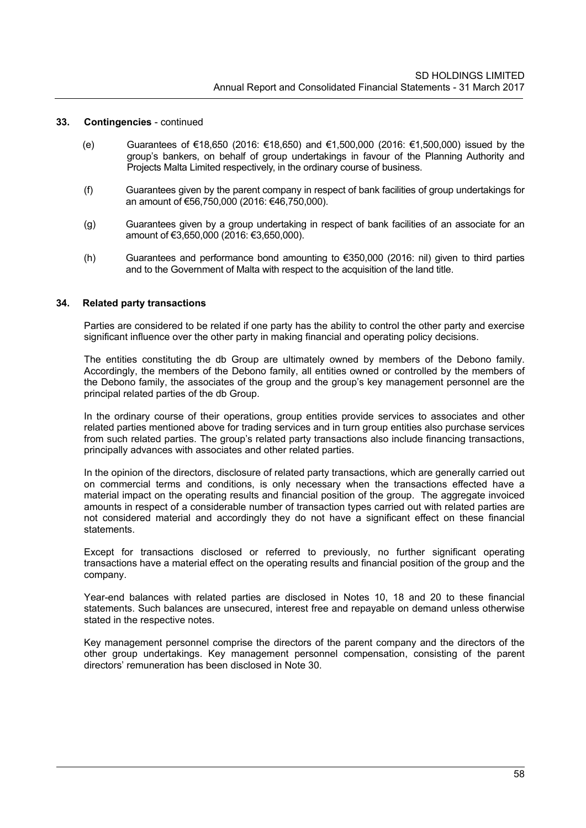#### **33. Contingencies** - continued

- (e) Guarantees of €18,650 (2016: €18,650) and €1,500,000 (2016: €1,500,000) issued by the group's bankers, on behalf of group undertakings in favour of the Planning Authority and Projects Malta Limited respectively, in the ordinary course of business.
- (f) Guarantees given by the parent company in respect of bank facilities of group undertakings for an amount of €56,750,000 (2016: €46,750,000).
- (g) Guarantees given by a group undertaking in respect of bank facilities of an associate for an amount of €3,650,000 (2016: €3,650,000).
- (h) Guarantees and performance bond amounting to €350,000 (2016: nil) given to third parties and to the Government of Malta with respect to the acquisition of the land title.

#### **34. Related party transactions**

Parties are considered to be related if one party has the ability to control the other party and exercise significant influence over the other party in making financial and operating policy decisions.

The entities constituting the db Group are ultimately owned by members of the Debono family. Accordingly, the members of the Debono family, all entities owned or controlled by the members of the Debono family, the associates of the group and the group's key management personnel are the principal related parties of the db Group.

In the ordinary course of their operations, group entities provide services to associates and other related parties mentioned above for trading services and in turn group entities also purchase services from such related parties. The group's related party transactions also include financing transactions, principally advances with associates and other related parties.

In the opinion of the directors, disclosure of related party transactions, which are generally carried out on commercial terms and conditions, is only necessary when the transactions effected have a material impact on the operating results and financial position of the group. The aggregate invoiced amounts in respect of a considerable number of transaction types carried out with related parties are not considered material and accordingly they do not have a significant effect on these financial statements.

Except for transactions disclosed or referred to previously, no further significant operating transactions have a material effect on the operating results and financial position of the group and the company.

Year-end balances with related parties are disclosed in Notes 10, 18 and 20 to these financial statements. Such balances are unsecured, interest free and repayable on demand unless otherwise stated in the respective notes.

Key management personnel comprise the directors of the parent company and the directors of the other group undertakings. Key management personnel compensation, consisting of the parent directors' remuneration has been disclosed in Note 30.